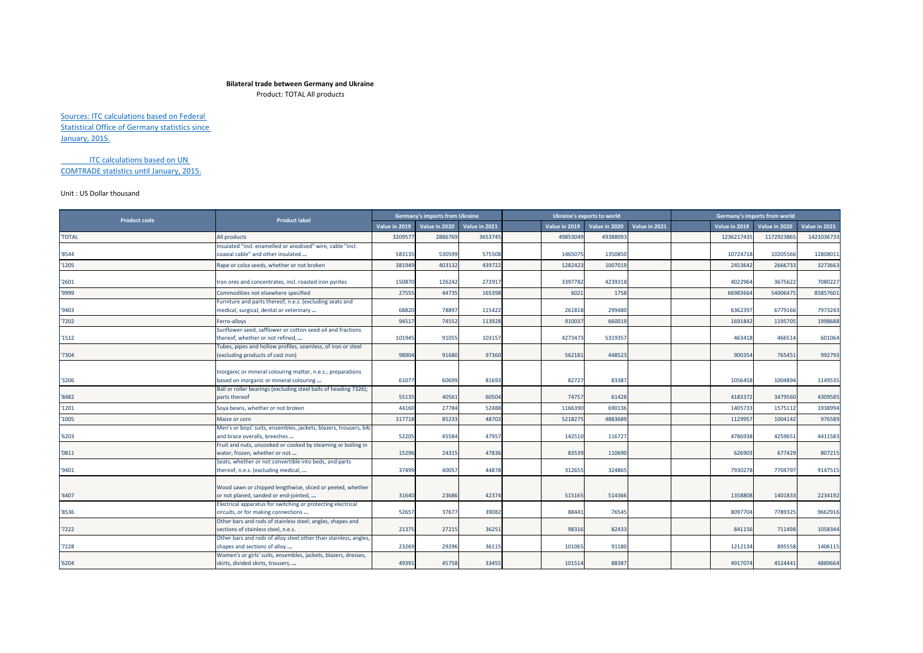## **Bilateral trade between Germany and Ukraine**

Product: TOTAL All products

Sources: ITC calculations based on Federal Statistical Office of Germany statistics since January, 2015.

ITC calculations based on UN COMTRADE statistics until January, 2015.

## Unit : US Dollar thousand

| <b>Product code</b> | <b>Product label</b>                                                                                                                                               | <b>Germany's imports from Ukraine</b> |               |               |               | Ukraine's exports to world |               |               | Germany's imports from world |               |
|---------------------|--------------------------------------------------------------------------------------------------------------------------------------------------------------------|---------------------------------------|---------------|---------------|---------------|----------------------------|---------------|---------------|------------------------------|---------------|
|                     |                                                                                                                                                                    | Value in 2019                         | Value in 2020 | Value in 2021 | Value in 2019 | Value in 2020              | Value in 2021 | Value in 2019 | Value in 2020                | Value in 2021 |
| <b>'TOTAL</b>       | All products                                                                                                                                                       | 3209577                               | 2886769       | 3653745       | 49853049      | 49388093                   |               | 1236217435    | 1172923865                   | 1421036733    |
| '8544               | Insulated "incl. enamelled or anodised" wire, cable "incl.<br>coaxial cable" and other insulated                                                                   | 583135                                | 530599        | 575508        | 146507        | 1350850                    |               | 10724718      | 10205566                     | 12808011      |
| '1205               | Rape or colza seeds, whether or not broken                                                                                                                         | 381949                                | 403132        | 439722        | 1282423       | 1007019                    |               | 2453642       | 2666733                      | 3273663       |
| '2601               | Iron ores and concentrates, incl. roasted iron pyrites                                                                                                             | 15087                                 | 126242        | 272917        | 339778        | 4239318                    |               | 4022964       | 3675622                      | 7080227       |
| '9999               | Commodities not elsewhere specified                                                                                                                                | 27555                                 | 44735         | 165398        | 6021          | 1758                       |               | 66983664      | 54006475                     | 85857601      |
| '9403               | Furniture and parts thereof, n.e.s. (excluding seats and<br>medical, surgical, dental or veterinary                                                                | 68820                                 | 78897         | 115422        | 261818        | 299480                     |               | 6362397       | 6779166                      | 7973243       |
| '7202               | Ferro-alloys                                                                                                                                                       | 94517                                 | 74552         | 113928        | 91003         | 660019                     |               | 1691842       | 1195705                      | 1998688       |
| 1512                | Sunflower-seed, safflower or cotton-seed oil and fractions<br>thereof, whether or not refined,                                                                     | 101945                                | 91055         | 103157        | 4273473       | 5319357                    |               | 463418        | 466514                       | 601064        |
| '7304               | Tubes, pipes and hollow profiles, seamless, of iron or steel<br>(excluding products of cast iron)                                                                  | 98904                                 | 91680         | 97360         | 562181        | 448523                     |               | 900354        | 765451                       | 992793        |
| '3206               | Inorganic or mineral colouring matter, n.e.s.; preparations<br>based on inorganic or mineral colouring                                                             | 61077                                 | 60699         | 81693         | 82727         | 83387                      |               | 1056458       | 1004894                      | 1149535       |
| '8482               | Ball or roller bearings (excluding steel balls of heading 7326);<br>parts thereof                                                                                  | 55135                                 | 40561         | 60504         | 74757         | 61428                      |               | 4183372       | 3479560                      | 4309585       |
| '1201               | Soya beans, whether or not broken                                                                                                                                  | 44160                                 | 27784         | 52488         | 116639        | 690136                     |               | 1405733       | 1575112                      | 1938994       |
| '1005               | Maize or corn                                                                                                                                                      | 317718                                | 85233         | 48703         | 521827        | 4883689                    |               | 1129957       | 1004142                      | 976589        |
| '6203               | Men's or boys' suits, ensembles, jackets, blazers, trousers, bib<br>and brace overalls, breeches                                                                   | 52205                                 | 45584         | 47957         | 14251         | 116727                     |               | 4786938       | 4259651                      | 4411583       |
| '0811               | Fruit and nuts, uncooked or cooked by steaming or boiling in<br>water, frozen, whether or not                                                                      | 15296                                 | 24315         | 47836         | 83539         | 110690                     |               | 626903        | 677429                       | 807215        |
| '9401               | Seats, whether or not convertible into beds, and parts<br>thereof, n.e.s. (excluding medical,                                                                      | 37499                                 | 40057         | 44878         | 31265         | 324865                     |               | 7930278       | 7704797                      | 9147515       |
| '4407               | Wood sawn or chipped lengthwise, sliced or peeled, whether<br>or not planed, sanded or end-jointed,<br>Electrical apparatus for switching or protecting electrical | 31640                                 | 23686         | 42374         | 515165        | 514366                     |               | 1358808       | 1401833                      | 2234192       |
| '8536               | circuits, or for making connections                                                                                                                                | 52657                                 | 37677         | 39082         | 88441         | 76545                      |               | 8097704       | 7789325                      | 9662916       |
| 7222                | Other bars and rods of stainless steel; angles, shapes and<br>sections of stainless steel, n.e.s.                                                                  | 21375                                 | 27215         | 36251         | 98316         | 82433                      |               | 841156        | 711498                       | 1058344       |
| '7228               | Other bars and rods of alloy steel other than stainless, angles,<br>shapes and sections of alloy                                                                   | 23269                                 | 29296         | 36115         | 101065        | 91180                      |               | 1212134       | 895558                       | 1406115       |
| 16204               | Women's or girls' suits, ensembles, jackets, blazers, dresses,<br>skirts, divided skirts, trousers,                                                                | 49391                                 | 45758         | 33455         | 101514        | 88387                      |               | 4917074       | 4524441                      | 4889664       |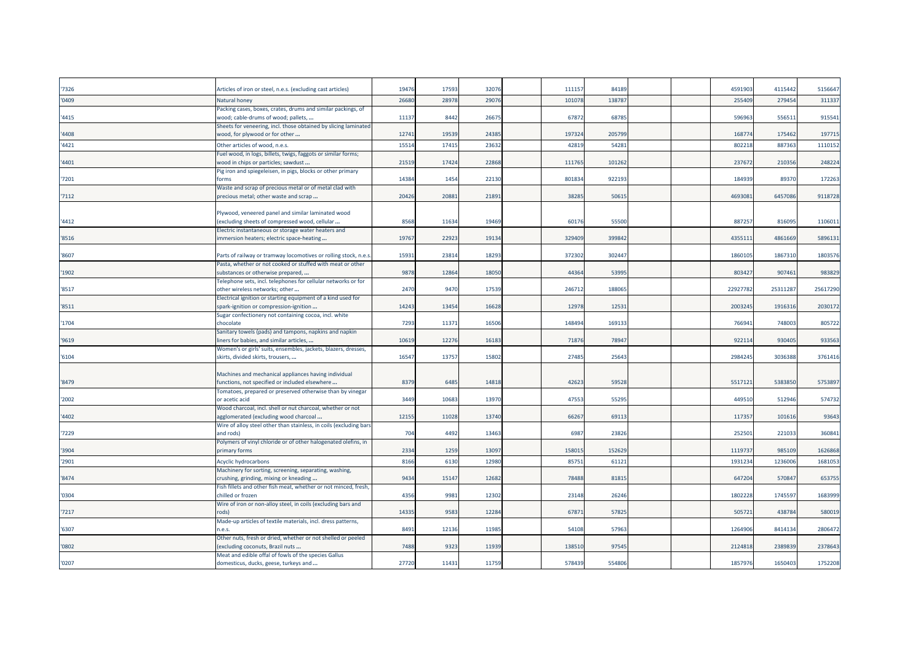| '7326 | Articles of iron or steel, n.e.s. (excluding cast articles)                                         | 19476 | 1759  | 32076 | 11115  | 84189  |  | 459190   | 4115442  | 5156647  |
|-------|-----------------------------------------------------------------------------------------------------|-------|-------|-------|--------|--------|--|----------|----------|----------|
| '0409 | Natural honey                                                                                       | 2668  | 2897  | 29076 | 10107  | 13878  |  | 255409   | 279454   | 311337   |
| '4415 | Packing cases, boxes, crates, drums and similar packings, of<br>wood; cable-drums of wood; pallets, | 1113  | 8442  | 26675 | 6787   | 68785  |  | 596963   | 556511   | 915541   |
| '4408 | Sheets for veneering, incl. those obtained by slicing laminated<br>wood, for plywood or for other   | 1274  | 19539 | 24385 | 19732  | 205799 |  | 168774   | 175462   | 197715   |
| '4421 | Other articles of wood, n.e.s.                                                                      | 15514 | 1741  | 23632 | 4281   | 54281  |  | 802218   | 887363   | 1110152  |
|       | Fuel wood, in logs, billets, twigs, faggots or similar forms;                                       |       |       |       |        |        |  |          |          |          |
| '4401 | wood in chips or particles; sawdust                                                                 | 21519 | 17424 | 22868 | 11176  | 101262 |  | 237672   | 210356   | 248224   |
| '7201 | Pig iron and spiegeleisen, in pigs, blocks or other primary<br>forms                                | 14384 | 1454  | 22130 | 80183  | 922193 |  | 184939   | 89370    | 172263   |
| '7112 | Waste and scrap of precious metal or of metal clad with<br>precious metal; other waste and scrap    | 20426 | 20881 | 21891 | 3828   | 50615  |  | 4693081  | 6457086  | 9118728  |
|       | Plywood, veneered panel and similar laminated wood                                                  |       |       |       |        |        |  |          |          |          |
| '4412 | excluding sheets of compressed wood, cellular                                                       | 8568  | 11634 | 19469 | 6017   | 55500  |  | 887257   | 816095   | 1106011  |
|       | Electric instantaneous or storage water heaters and                                                 |       |       |       |        |        |  |          |          |          |
| '8516 | mmersion heaters; electric space-heating                                                            | 19767 | 2292  | 19134 | 32940  | 39984  |  | 435511   | 4861669  | 5896131  |
| '8607 | Parts of railway or tramway locomotives or rolling stock, n.e.s                                     | 15931 | 23814 | 18293 | 372302 | 302447 |  | 1860105  | 1867310  | 1803576  |
| '1902 | Pasta, whether or not cooked or stuffed with meat or other<br>substances or otherwise prepared,     | 9878  | 12864 | 18050 | 44364  | 53995  |  | 803427   | 907461   | 983829   |
| '8517 | Felephone sets, incl. telephones for cellular networks or for<br>other wireless networks; other     | 2470  | 9470  | 17539 | 24671  | 188065 |  | 22927782 | 25311287 | 25617290 |
|       | Electrical ignition or starting equipment of a kind used for                                        |       |       |       |        |        |  |          |          |          |
| '8511 | spark-ignition or compression-ignition                                                              | 1424  | 1345  | 16628 | 1297   | 1253   |  | 2003245  | 1916316  | 2030172  |
|       | Sugar confectionery not containing cocoa, incl. white                                               |       |       |       |        |        |  |          |          |          |
| '1704 | chocolate                                                                                           | 7293  | 1137  | 16506 | 14849  | 169133 |  | 766941   | 748003   | 805722   |
| '9619 | Sanitary towels (pads) and tampons, napkins and napkin<br>iners for babies, and similar articles,   | 10619 | 12276 | 16183 | 7187   | 78947  |  | 922114   | 930405   | 933563   |
| '6104 | Women's or girls' suits, ensembles, jackets, blazers, dresses,<br>skirts, divided skirts, trousers, | 1654  | 13757 | 15802 | 2748   | 25643  |  | 2984245  | 3036388  | 3761416  |
|       |                                                                                                     |       |       |       |        |        |  |          |          |          |
|       | Machines and mechanical appliances having individual                                                |       |       |       |        |        |  |          |          |          |
| '8479 | functions, not specified or included elsewhere                                                      | 8379  | 6485  | 14818 | 4262   | 59528  |  | 5517121  | 5383850  | 5753897  |
| '2002 | Tomatoes, prepared or preserved otherwise than by vinegar<br>or acetic acid                         | 3449  | 10683 | 13970 | 47553  | 55295  |  | 449510   | 512946   | 574732   |
|       | Wood charcoal, incl. shell or nut charcoal, whether or not                                          |       |       |       |        |        |  |          |          |          |
| '4402 | agglomerated (excluding wood charcoal                                                               | 12155 | 11028 | 13740 | 6626   | 69113  |  | 117357   | 101616   | 93643    |
|       | Wire of alloy steel other than stainless, in coils (excluding bars                                  |       |       |       |        |        |  |          |          |          |
| '7229 | and rods)                                                                                           | 704   | 4492  | 13463 | 6987   | 23826  |  | 25250    | 221033   | 360841   |
| '3904 | Polymers of vinyl chloride or of other halogenated olefins, in<br>primary forms                     | 2334  | 1259  | 13097 | 15801  | 152629 |  | 1119737  | 985109   | 1626868  |
|       |                                                                                                     |       |       |       |        |        |  |          |          |          |
| '2901 | Acyclic hydrocarbons<br>Machinery for sorting, screening, separating, washing,                      | 8166  | 6130  | 12980 | 8575   | 6112   |  | 193123   | 123600   | 1681053  |
| '8474 | crushing, grinding, mixing or kneading                                                              | 9434  | 15147 | 12682 | 78488  | 81815  |  | 647204   | 570847   | 653755   |
|       | Fish fillets and other fish meat, whether or not minced, fresh,                                     |       |       |       |        |        |  |          |          |          |
| '0304 | chilled or frozen                                                                                   | 4356  | 9981  | 12302 | 2314   | 26246  |  | 1802228  | 1745597  | 1683999  |
|       | Wire of iron or non-alloy steel, in coils (excluding bars and<br>rods)                              | 14335 | 9583  | 12284 | 6787   | 57825  |  | 505721   | 438784   | 580019   |
| 7217  | Made-up articles of textile materials, incl. dress patterns,                                        |       |       |       |        |        |  |          |          |          |
| '6307 | n.e.s.                                                                                              | 8491  | 12136 | 11985 | 54108  | 57963  |  | 1264906  | 8414134  | 2806472  |
| '0802 | Other nuts, fresh or dried, whether or not shelled or peeled<br>(excluding coconuts, Brazil nuts    | 7488  | 9323  | 11939 | 13851  | 97545  |  | 2124818  | 2389839  | 2378643  |
|       | Meat and edible offal of fowls of the species Gallus                                                |       |       |       |        |        |  |          |          |          |
| '0207 | domesticus, ducks, geese, turkeys and                                                               | 27720 | 11431 | 11759 | 578439 | 554806 |  | 1857976  | 1650403  | 1752208  |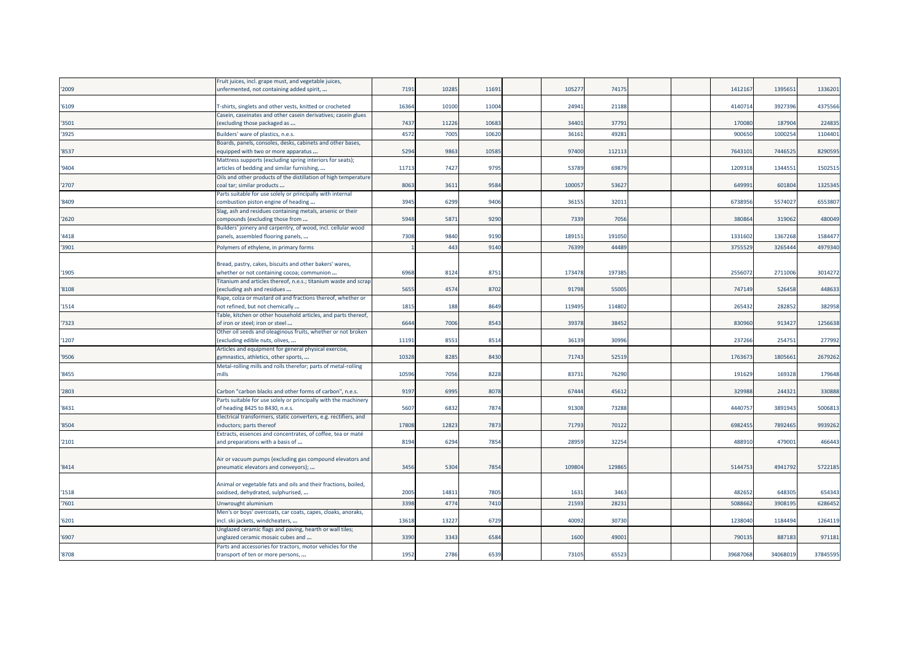|       | Fruit juices, incl. grape must, and vegetable juices,                                                                     |       |                 |       |        |        |  |          |          |          |
|-------|---------------------------------------------------------------------------------------------------------------------------|-------|-----------------|-------|--------|--------|--|----------|----------|----------|
| '2009 | unfermented, not containing added spirit,                                                                                 | 7191  | 1028            | 11691 | 10527  | 74175  |  | 1412167  | 1395651  | 1336201  |
|       |                                                                                                                           |       |                 |       |        |        |  |          |          |          |
| '6109 | T-shirts, singlets and other vests, knitted or crocheted<br>Casein, caseinates and other casein derivatives; casein glues | 16364 | 10100           | 11004 | 24941  | 21188  |  | 4140714  | 3927396  | 4375566  |
| '3501 | excluding those packaged as                                                                                               | 7437  | 1122            | 10683 | 3440   | 3779   |  | 170080   | 187904   | 224835   |
| '3925 | Builders' ware of plastics, n.e.s.                                                                                        | 4572  | 7005            | 1062  | 3616   | 4928   |  | 90065    | 100025   | 1104401  |
|       | Boards, panels, consoles, desks, cabinets and other bases,                                                                |       |                 |       |        |        |  |          |          |          |
| '8537 | equipped with two or more apparatus                                                                                       | 5294  | 9863            | 10585 | 97400  | 112113 |  | 7643101  | 7446525  | 8290595  |
|       | Mattress supports (excluding spring interiors for seats);                                                                 |       |                 |       |        |        |  |          |          |          |
| '9404 | articles of bedding and similar furnishing,                                                                               | 11713 | 7427            | 9795  | 53789  | 6987   |  | 1209318  | 1344551  | 1502519  |
|       | Oils and other products of the distillation of high temperature                                                           |       |                 |       |        |        |  |          |          |          |
| '2707 | coal tar; similar products                                                                                                | 8063  | 361             | 9584  | 10005  | 5362   |  | 64999    | 601804   | 1325345  |
| '8409 | Parts suitable for use solely or principally with internal<br>combustion piston engine of heading                         | 3945  | 6299            | 9406  | 3615   | 32011  |  | 6738956  | 5574027  | 6553807  |
|       | Slag, ash and residues containing metals, arsenic or their                                                                |       |                 |       |        |        |  |          |          |          |
| '2620 | compounds (excluding those from                                                                                           | 5948  | 587             | 9290  | 7339   | 7056   |  | 38086    | 319062   | 480049   |
|       | Builders' joinery and carpentry, of wood, incl. cellular wood                                                             |       |                 |       |        |        |  |          |          |          |
| '4418 | panels, assembled flooring panels,                                                                                        | 7308  | 9840            | 9190  | 18915  | 191050 |  | 1331602  | 1367268  | 1584477  |
| '3901 | Polymers of ethylene, in primary forms                                                                                    |       | 44 <sup>5</sup> | 9140  | 76399  | 4448   |  | 375552   | 326544   | 4979340  |
|       |                                                                                                                           |       |                 |       |        |        |  |          |          |          |
|       | Bread, pastry, cakes, biscuits and other bakers' wares,                                                                   |       |                 |       |        |        |  |          |          |          |
| '1905 | whether or not containing cocoa; communion                                                                                | 6968  | 8124            | 8751  | 173478 | 19738  |  | 2556072  | 2711006  | 3014272  |
| '8108 | Titanium and articles thereof, n.e.s.; titanium waste and scrap<br>excluding ash and residues                             | 5655  | 4574            | 8702  | 91798  | 5500   |  | 747149   | 526458   | 448633   |
|       | Rape, colza or mustard oil and fractions thereof, whether or                                                              |       |                 |       |        |        |  |          |          |          |
| '1514 | not refined, but not chemically                                                                                           | 1815  | 188             | 8649  | 11949  | 114802 |  | 265432   | 282852   | 382958   |
|       | Table, kitchen or other household articles, and parts thereof,                                                            |       |                 |       |        |        |  |          |          |          |
| 7323  | of iron or steel; iron or steel                                                                                           | 6644  | 7006            | 8543  | 39378  | 38452  |  | 830960   | 913427   | 1256638  |
|       | Other oil seeds and oleaginous fruits, whether or not broken                                                              |       |                 |       |        |        |  |          |          |          |
| '1207 | (excluding edible nuts, olives,                                                                                           | 11191 | 855             | 8514  | 36139  | 30996  |  | 237266   | 254751   | 277992   |
| '9506 | Articles and equipment for general physical exercise,<br>gymnastics, athletics, other sports,                             | 10328 | 8285            | 8430  | 7174   | 52519  |  | 176367   | 1805661  | 2679262  |
|       | Metal-rolling mills and rolls therefor; parts of metal-rolling                                                            |       |                 |       |        |        |  |          |          |          |
| '8455 | mills                                                                                                                     | 10596 | 7056            | 8228  | 8373   | 76290  |  | 191629   | 169328   | 179648   |
|       |                                                                                                                           |       |                 |       |        |        |  |          |          |          |
| '2803 | Carbon "carbon blacks and other forms of carbon", n.e.s.                                                                  | 9197  | 6995            | 8078  | 67444  | 45612  |  | 329988   | 244321   | 330888   |
|       | Parts suitable for use solely or principally with the machinery                                                           |       |                 |       |        |        |  |          |          |          |
| '8431 | of heading 8425 to 8430, n.e.s.                                                                                           | 5607  | 6832            | 7874  | 91308  | 73288  |  | 4440757  | 3891943  | 5006813  |
| '8504 | Electrical transformers, static converters, e.g. rectifiers, and<br>nductors; parts thereof                               | 17808 | 12823           | 7873  | 7179   | 70122  |  | 698245   | 7892465  | 9939262  |
|       | Extracts, essences and concentrates, of coffee, tea or maté                                                               |       |                 |       |        |        |  |          |          |          |
| '2101 | and preparations with a basis of                                                                                          | 8194  | 6294            | 7854  | 28959  | 32254  |  | 48891    | 479001   | 466443   |
|       |                                                                                                                           |       |                 |       |        |        |  |          |          |          |
|       | Air or vacuum pumps (excluding gas compound elevators and                                                                 |       |                 |       |        |        |  |          |          |          |
| '8414 | pneumatic elevators and conveyors);                                                                                       | 3456  | 5304            | 7854  | 109804 | 12986  |  | 5144753  | 4941792  | 5722185  |
|       |                                                                                                                           |       |                 |       |        |        |  |          |          |          |
| '1518 | Animal or vegetable fats and oils and their fractions, boiled,<br>oxidised, dehydrated, sulphurised,                      | 2005  | 1481            | 7805  | 163    | 3463   |  | 482652   | 648305   | 654343   |
| '7601 |                                                                                                                           | 3398  | 4774            | 7410  | 21593  | 2823   |  | 508866   | 390819   | 6286452  |
|       | Unwrought aluminium<br>Men's or boys' overcoats, car coats, capes, cloaks, anoraks,                                       |       |                 |       |        |        |  |          |          |          |
| '6201 | incl. ski jackets, windcheaters,                                                                                          | 13618 | 13227           | 6729  | 4009   | 30730  |  | 1238040  | 1184494  | 1264119  |
|       | Unglazed ceramic flags and paving, hearth or wall tiles;                                                                  |       |                 |       |        |        |  |          |          |          |
| '6907 | inglazed ceramic mosaic cubes and                                                                                         | 3390  | 334             | 6584  | 1600   | 4900   |  | 79013    | 887183   | 971181   |
|       | Parts and accessories for tractors, motor vehicles for the                                                                |       |                 |       |        |        |  |          |          |          |
| '8708 | transport of ten or more persons,                                                                                         | 1952  | 2786            | 6539  | 73105  | 6552   |  | 39687068 | 34068019 | 37845595 |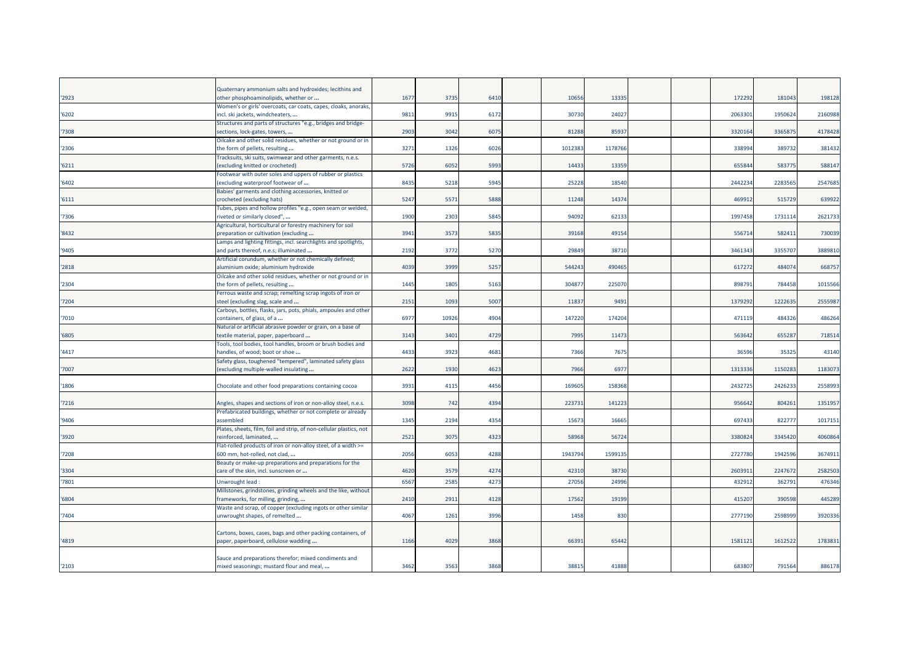| '2923 | Quaternary ammonium salts and hydroxides; lecithins and<br>other phosphoaminolipids, whether or                                                            | 1677 | 3735 | 6410 | 10656  | 13335   |  | 172292  | 181043  | 198128  |
|-------|------------------------------------------------------------------------------------------------------------------------------------------------------------|------|------|------|--------|---------|--|---------|---------|---------|
| '6202 | Women's or girls' overcoats, car coats, capes, cloaks, anoraks,<br>incl. ski jackets, windcheaters,                                                        | 9811 | 9915 | 6172 | 30730  | 24027   |  | 2063301 | 1950624 | 2160988 |
| 7308  | Structures and parts of structures "e.g., bridges and bridge-<br>sections, lock-gates, towers,                                                             | 2903 | 3042 | 6075 | 81288  | 85937   |  | 3320164 | 336587  | 417842  |
| '2306 | Oilcake and other solid residues, whether or not ground or in<br>the form of pellets, resulting                                                            | 3271 | 1326 | 6026 | 101238 | 1178766 |  | 338994  | 389732  | 381432  |
| '6211 | Fracksuits, ski suits, swimwear and other garments, n.e.s.<br>excluding knitted or crocheted)                                                              | 5726 | 6052 | 5993 | 14433  | 13359   |  | 655844  | 583775  | 588147  |
| 6402  | Footwear with outer soles and uppers of rubber or plastics<br>excluding waterproof footwear of                                                             | 8435 | 5218 | 5945 | 25228  | 18540   |  | 2442234 | 2283565 | 2547685 |
| 6111  | Babies' garments and clothing accessories, knitted or<br>crocheted (excluding hats)                                                                        | 5247 | 557  | 5888 | 11248  | 14374   |  | 469912  | 515729  | 639922  |
| 7306  | Tubes, pipes and hollow profiles "e.g., open seam or welded,<br>iveted or similarly closed",<br>Agricultural, horticultural or forestry machinery for soil | 1900 | 2303 | 5845 | 94092  | 62133   |  | 1997458 | 1731114 | 262173  |
| 8432  | preparation or cultivation (excluding<br>Lamps and lighting fittings, incl. searchlights and spotlights,                                                   | 3941 | 357  | 5835 | 39168  | 49154   |  | 556714  | 582411  | 730039  |
| '9405 | and parts thereof, n.e.s; illuminated<br>Artificial corundum, whether or not chemically defined;                                                           | 2192 | 3772 | 5270 | 29849  | 38710   |  | 3461343 | 3355707 | 388981  |
| 2818  | aluminium oxide; aluminium hydroxide<br>Oilcake and other solid residues, whether or not ground or in                                                      | 4039 | 3999 | 5257 | 544243 | 490465  |  | 617272  | 484074  | 668757  |
| '2304 | the form of pellets, resulting<br>Ferrous waste and scrap; remelting scrap ingots of iron or                                                               | 1445 | 1805 | 5163 | 30487  | 225070  |  | 898791  | 784458  | 1015566 |
| 7204  | steel (excluding slag, scale and<br>Carboys, bottles, flasks, jars, pots, phials, ampoules and other                                                       | 2151 | 1093 | 5007 | 1183   | 9491    |  | 1379292 | 1222635 | 255598  |
| 7010  | containers, of glass, of a<br>Natural or artificial abrasive powder or grain, on a base of                                                                 | 6977 | 1092 | 4904 | 147220 | 174204  |  | 471119  | 484326  | 486264  |
| '6805 | extile material, paper, paperboard:<br>Fools, tool bodies, tool handles, broom or brush bodies and                                                         | 3143 | 3401 | 4729 | 7995   | 11473   |  | 563642  | 655287  | 718514  |
| 4417  | handles, of wood; boot or shoe<br>Safety glass, toughened "tempered", laminated safety glass                                                               | 4433 | 3923 | 4681 | 7366   | 7675    |  | 36596   | 35325   | 43140   |
| 7007  | (excluding multiple-walled insulating                                                                                                                      | 2622 | 1930 | 4623 | 7966   | 6977    |  | 1313336 | 115028  | 118307  |
| 1806  | Chocolate and other food preparations containing cocoa                                                                                                     | 3931 | 4115 | 4456 | 169605 | 158368  |  | 2432725 | 2426233 | 255899  |
| '7216 | Angles, shapes and sections of iron or non-alloy steel, n.e.s.<br>Prefabricated buildings, whether or not complete or already                              | 3098 | 742  | 4394 | 22373  | 141223  |  | 956642  | 804261  | 135195  |
| '9406 | assembled<br>Plates, sheets, film, foil and strip, of non-cellular plastics, not                                                                           | 1345 | 2194 | 4354 | 1567   | 16665   |  | 697433  | 822777  | 101715  |
| '3920 | reinforced, laminated,<br>Flat-rolled products of iron or non-alloy steel, of a width >=                                                                   | 2521 | 307  | 4323 | 5896   | 56724   |  | 3380824 | 3345420 | 4060864 |
| 7208  | 600 mm, hot-rolled, not clad,<br>Beauty or make-up preparations and preparations for the                                                                   | 2056 | 6053 | 4288 | 194379 | 1599135 |  | 2727780 | 1942596 | 367491  |
| '3304 | care of the skin, incl. sunscreen or                                                                                                                       | 4620 | 357  | 4274 | 42310  | 38730   |  | 2603911 | 2247672 | 2582503 |
| 7801  | Unwrought lead<br>Millstones, grindstones, grinding wheels and the like, without                                                                           | 6567 | 2585 | 4273 | 27056  | 24996   |  | 432912  | 362791  | 47634   |
| '6804 | frameworks, for milling, grinding,<br>Waste and scrap, of copper (excluding ingots or other similar                                                        | 2410 | 2911 | 4128 | 17562  | 19199   |  | 415207  | 390598  | 445289  |
| 7404  | unwrought shapes, of remelted                                                                                                                              | 4067 | 1261 | 3996 | 1458   | 830     |  | 2777190 | 2598999 | 392033  |
| '4819 | Cartons, boxes, cases, bags and other packing containers, of<br>paper, paperboard, cellulose wadding                                                       | 1166 | 4029 | 3868 | 6639   | 65442   |  | 1581121 | 1612522 | 1783831 |
| '2103 | Sauce and preparations therefor; mixed condiments and<br>mixed seasonings; mustard flour and meal,                                                         | 3462 | 3563 | 3868 | 38815  | 41888   |  | 683807  | 791564  | 886178  |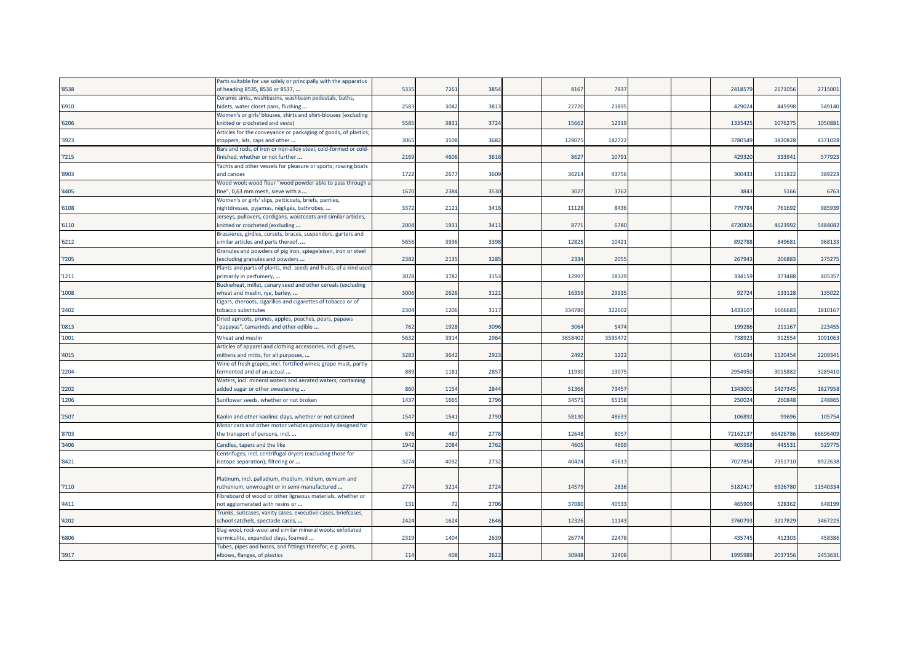|       | Parts suitable for use solely or principally with the apparatus                                    |      |      |      |        |        |  |         |          |          |
|-------|----------------------------------------------------------------------------------------------------|------|------|------|--------|--------|--|---------|----------|----------|
| '8538 | of heading 8535, 8536 or 8537,                                                                     | 5335 | 7261 | 3854 | 8167   | 7937   |  | 241857  | 217105   | 2715001  |
|       | Ceramic sinks, washbasins, washbasin pedestals, baths,                                             |      |      |      |        |        |  |         |          |          |
| '6910 | bidets, water closet pans, flushing                                                                | 2583 | 3042 | 3813 | 22720  | 2189   |  | 42902   | 445998   | 549140   |
|       | Women's or girls' blouses, shirts and shirt-blouses (excluding                                     |      |      |      |        |        |  |         |          |          |
| '6206 | knitted or crocheted and vests)                                                                    | 5585 | 3831 | 3724 | 15662  | 1231   |  | 1335425 | 1076275  | 1050881  |
|       | Articles for the conveyance or packaging of goods, of plastics;                                    |      |      |      |        |        |  |         |          |          |
| '3923 | stoppers, lids, caps and other                                                                     | 3065 | 3508 | 3682 | 12907  | 142722 |  | 378054  | 3820828  | 4371028  |
|       | Bars and rods, of iron or non-alloy steel, cold-formed or cold-                                    |      |      |      |        |        |  |         |          |          |
| '7215 | inished, whether or not further                                                                    | 2169 | 4606 | 3616 | 862    | 1079   |  | 42932   | 33394    | 577923   |
|       | Yachts and other vessels for pleasure or sports; rowing boats                                      |      |      |      |        |        |  |         |          |          |
| '8903 | and canoes                                                                                         | 1722 | 2677 | 3609 | 36214  | 43756  |  | 300433  | 1311822  | 389223   |
|       | Wood wool; wood flour "wood powder able to pass through a                                          |      |      |      |        |        |  |         |          |          |
| '4405 | fine", 0,63 mm mesh, sieve with a                                                                  | 1670 | 2384 | 3530 | 3027   | 3762   |  | 384     | 5166     | 6763     |
|       | Women's or girls' slips, petticoats, briefs, panties,                                              |      |      |      |        |        |  |         |          |          |
| '6108 | nightdresses, pyjamas, négligés, bathrobes,                                                        | 3372 | 2121 | 3416 | 11128  | 8436   |  | 77978   | 76169    | 985939   |
|       | Jerseys, pullovers, cardigans, waistcoats and similar articles,                                    |      |      |      |        |        |  |         |          |          |
| '6110 | knitted or crocheted (excluding                                                                    | 2004 | 1931 | 3411 | 8771   | 6780   |  | 472082  | 4623992  | 5484082  |
|       | Brassieres, girdles, corsets, braces, suspenders, garters and                                      |      |      |      |        |        |  |         |          |          |
| '6212 | similar articles and parts thereof,                                                                | 5656 | 3936 | 3398 | 12825  | 1042   |  | 892788  | 849681   | 968133   |
|       | Granules and powders of pig iron, spiegeleisen, iron or steel                                      |      |      |      |        |        |  |         |          |          |
| '7205 | excluding granules and powders                                                                     | 2382 | 2135 | 3285 | 2334   | 2055   |  | 26794   | 206883   | 275275   |
|       | Plants and parts of plants, incl. seeds and fruits, of a kind used                                 |      |      |      |        |        |  |         |          |          |
| '1211 | primarily in perfumery,                                                                            | 3078 | 3782 | 3153 | 12997  | 18329  |  | 334159  | 373488   | 405357   |
|       | Buckwheat, millet, canary seed and other cereals (excluding                                        |      |      |      |        |        |  |         |          |          |
| '1008 | wheat and meslin, rye, barley,                                                                     | 3006 | 2626 | 312  | 16359  | 2993   |  | 9272    | 133128   | 135022   |
|       | Cigars, cheroots, cigarillos and cigarettes of tobacco or of                                       |      |      |      |        |        |  |         |          |          |
| '2402 | tobacco substitutes                                                                                | 2304 | 1206 | 3117 | 334780 | 32260  |  | 143310  | 166668   | 1810167  |
|       | Dried apricots, prunes, apples, peaches, pears, papaws                                             |      |      |      |        |        |  |         |          |          |
| '0813 | "papayas", tamarinds and other edible                                                              | 762  | 1928 | 3096 | 306    | 547    |  | 199286  | 21116    | 223455   |
| '1001 | Wheat and meslin                                                                                   | 5632 | 3914 | 2964 | 365840 | 359547 |  | 73892   | 912554   | 1091063  |
|       | Articles of apparel and clothing accessories, incl. gloves,                                        |      |      |      |        |        |  |         |          |          |
| '4015 | nittens and mitts, for all purposes,                                                               | 3283 | 3642 | 2923 | 2492   | 1222   |  | 65103   | 1120454  | 2209341  |
|       | Wine of fresh grapes, incl. fortified wines; grape must, partly                                    |      |      |      |        |        |  |         |          |          |
| '2204 | fermented and of an actual                                                                         | 889  | 1181 | 2857 | 11930  | 13075  |  | 2954950 | 3015882  | 3289410  |
|       | Waters, incl. mineral waters and aerated waters, containing                                        |      |      |      |        |        |  |         |          |          |
| '2202 | added sugar or other sweetening                                                                    | 860  | 1154 | 2844 | 51366  | 73457  |  | 1343001 | 1427345  | 1827958  |
| '1206 | Sunflower seeds, whether or not broken                                                             | 1437 | 1665 | 2796 | 3457   | 65158  |  | 25002   | 260848   | 248865   |
|       |                                                                                                    |      |      |      |        |        |  |         |          |          |
| '2507 | Kaolin and other kaolinic clays, whether or not calcined                                           | 1547 | 1541 | 2790 | 58130  | 4863   |  | 10689   | 99696    | 105754   |
|       | Motor cars and other motor vehicles principally designed for                                       |      |      |      |        |        |  |         |          |          |
| '8703 | the transport of persons, incl                                                                     | 678  | 487  | 2776 | 12648  | 8057   |  | 7216213 | 66426786 | 66696409 |
| '3406 |                                                                                                    | 1942 | 2084 | 2762 | 4605   | 4699   |  | 40595   | 44553    | 529775   |
|       | Candles, tapers and the like                                                                       |      |      |      |        |        |  |         |          |          |
| '8421 | Centrifuges, incl. centrifugal dryers (excluding those for<br>isotope separation); filtering or    | 3274 | 4032 | 2732 | 40424  | 4561   |  | 702785  | 7351710  | 8922638  |
|       |                                                                                                    |      |      |      |        |        |  |         |          |          |
|       | Platinum, incl. palladium, rhodium, iridium, osmium and                                            |      |      |      |        |        |  |         |          |          |
| '7110 | ruthenium, unwrought or in semi-manufactured                                                       | 2774 | 3214 | 2724 | 14579  | 2836   |  | 5182417 | 692678   | 11540334 |
|       |                                                                                                    |      |      |      |        |        |  |         |          |          |
| 4411  | Fibreboard of wood or other ligneous materials, whether or<br>not agglomerated with resins or      | 131  | 72   | 2706 | 37080  | 4053   |  | 46590   | 528362   | 648199   |
|       |                                                                                                    |      |      |      |        |        |  |         |          |          |
| '4202 | Trunks, suitcases, vanity cases, executive-cases, briefcases,<br>school satchels, spectacle cases, | 2424 | 1624 | 2646 | 12326  | 11143  |  | 376079  | 3217829  | 3467225  |
|       | Slag-wool, rock-wool and similar mineral wools; exfoliated                                         |      |      |      |        |        |  |         |          |          |
| '6806 | vermiculite, expanded clays, foamed                                                                | 2319 | 1404 | 2639 | 26774  | 2247   |  | 435745  | 412303   | 458386   |
|       | Tubes, pipes and hoses, and fittings therefor, e.g. joints,                                        |      |      |      |        |        |  |         |          |          |
| '3917 | elbows, flanges, of plastics                                                                       | 114  | 408  | 2622 | 30948  | 32408  |  | 1995989 | 2037356  | 2453631  |
|       |                                                                                                    |      |      |      |        |        |  |         |          |          |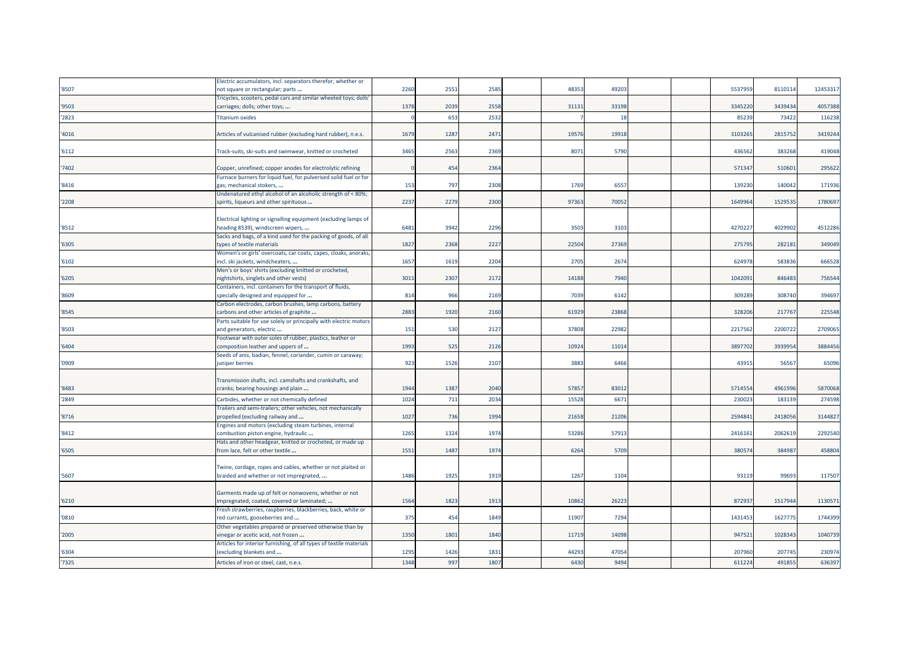|       | Electric accumulators, incl. separators therefor, whether or                                  |      |      |      |       |       |  |         |         |          |
|-------|-----------------------------------------------------------------------------------------------|------|------|------|-------|-------|--|---------|---------|----------|
| '8507 | not square or rectangular; parts                                                              | 2260 | 2551 | 2585 | 4835  | 49203 |  | 553795  | 8110114 | 12453317 |
|       | Fricycles, scooters, pedal cars and similar wheeled toys; dolls                               |      |      |      |       |       |  |         |         |          |
| '9503 | carriages; dolls; other toys;                                                                 | 1378 | 2039 | 2558 | 3113  | 33198 |  | 3345220 | 3439434 | 4057388  |
| '2823 | <b>Titanium oxides</b>                                                                        |      | 653  | 2532 |       | 18    |  | 85239   | 73422   | 116238   |
|       |                                                                                               |      |      |      |       |       |  |         |         |          |
| '4016 | Articles of vulcanised rubber (excluding hard rubber), n.e.s.                                 | 1679 | 1287 | 2471 | 1957  | 19918 |  | 3103265 | 2815752 | 3419244  |
|       |                                                                                               |      |      |      |       |       |  |         |         |          |
| '6112 | Track-suits, ski-suits and swimwear, knitted or crocheted                                     | 3465 | 2563 | 2369 | 807   | 5790  |  | 436562  | 383268  | 419048   |
|       |                                                                                               |      |      |      |       |       |  |         |         |          |
| '7402 | Copper, unrefined; copper anodes for electrolytic refining                                    |      | 454  | 2364 |       |       |  | 57134   | 510601  | 295622   |
|       | Furnace burners for liquid fuel, for pulverised solid fuel or for                             |      |      |      |       |       |  |         |         |          |
| '8416 | gas; mechanical stokers,                                                                      | 153  | 797  | 2308 | 1769  | 6557  |  | 139230  | 140042  | 171936   |
|       | Undenatured ethyl alcohol of an alcoholic strength of < 80%;                                  |      |      |      |       |       |  |         |         |          |
| '2208 | spirits, liqueurs and other spirituous                                                        | 2237 | 2279 | 2300 | 97363 | 70052 |  | 1649964 | 1529535 | 1780697  |
|       |                                                                                               |      |      |      |       |       |  |         |         |          |
|       | Electrical lighting or signalling equipment (excluding lamps of                               |      |      |      |       |       |  |         |         |          |
| '8512 | neading 8539), windscreen wipers,                                                             | 6481 | 3942 | 2296 | 3503  | 3103  |  | 427022  | 4029902 | 4512286  |
|       | Sacks and bags, of a kind used for the packing of goods, of all                               |      |      |      |       |       |  |         |         |          |
| '6305 | types of textile materials                                                                    | 1827 | 2368 | 2227 | 22504 | 27369 |  | 275795  | 282181  | 349049   |
|       | Women's or girls' overcoats, car coats, capes, cloaks, anoraks,                               |      |      |      |       |       |  |         |         |          |
| '6102 | incl. ski jackets, windcheaters,                                                              | 1657 | 1619 | 2204 | 2705  | 2674  |  | 624978  | 583836  | 666528   |
|       | Men's or boys' shirts (excluding knitted or crocheted,                                        |      |      |      |       |       |  |         |         |          |
| '6205 | nightshirts, singlets and other vests)                                                        | 3011 | 2307 | 2172 | 14188 | 7940  |  | 1042091 | 846483  | 756544   |
|       | Containers, incl. containers for the transport of fluids,                                     |      |      |      |       |       |  |         |         |          |
| '8609 | specially designed and equipped for                                                           | 814  | 966  | 2169 | 7039  | 6142  |  | 309289  | 308740  | 394697   |
|       | Carbon electrodes, carbon brushes, lamp carbons, battery                                      |      |      |      |       |       |  |         |         |          |
| '8545 | carbons and other articles of graphite                                                        | 2883 | 1920 | 2160 | 61929 | 23868 |  | 328206  | 217767  | 225548   |
| '8503 | Parts suitable for use solely or principally with electric motors<br>and generators, electric | 151  | 530  | 2127 | 37808 | 22982 |  | 2217562 | 2200722 | 2709065  |
|       | Footwear with outer soles of rubber, plastics, leather or                                     |      |      |      |       |       |  |         |         |          |
| '6404 | composition leather and uppers of                                                             | 1993 | 525  | 2126 | 10924 | 11014 |  | 3897702 | 3939954 | 3884456  |
|       | Seeds of anis, badian, fennel, coriander, cumin or caraway;                                   |      |      |      |       |       |  |         |         |          |
| '0909 | juniper berries                                                                               | 923  | 1526 | 2107 | 3883  | 6466  |  | 43915   | 56567   | 65096    |
|       |                                                                                               |      |      |      |       |       |  |         |         |          |
|       | Transmission shafts, incl. camshafts and crankshafts, and                                     |      |      |      |       |       |  |         |         |          |
| '8483 | cranks; bearing housings and plain                                                            | 1944 | 1387 | 2040 | 5785  | 83012 |  | 5714554 | 4961996 | 5870068  |
| '2849 | Carbides, whether or not chemically defined                                                   | 1024 | 711  | 2034 | 15528 | 6671  |  | 230023  | 183139  | 274598   |
|       | Frailers and semi-trailers; other vehicles, not mechanically                                  |      |      |      |       |       |  |         |         |          |
| '8716 | propelled (excluding railway and                                                              | 1027 | 736  | 1994 | 21658 | 21206 |  | 2594841 | 2418056 | 3144827  |
|       | Engines and motors (excluding steam turbines, internal                                        |      |      |      |       |       |  |         |         |          |
| '8412 | combustion piston engine, hydraulic                                                           | 1265 | 1324 | 1974 | 53286 | 57913 |  | 241616  | 2062619 | 2292540  |
|       | Hats and other headgear, knitted or crocheted, or made up                                     |      |      |      |       |       |  |         |         |          |
| '6505 | from lace, felt or other textile                                                              | 1551 | 1487 | 1974 | 6264  | 5709  |  | 380574  | 384987  | 458804   |
|       |                                                                                               |      |      |      |       |       |  |         |         |          |
|       | Twine, cordage, ropes and cables, whether or not plaited or                                   |      |      |      |       |       |  |         |         |          |
| '5607 | braided and whether or not impregnated,                                                       | 1486 | 1925 | 1919 | 1267  | 1104  |  | 93119   | 99693   | 117507   |
|       |                                                                                               |      |      |      |       |       |  |         |         |          |
|       | Garments made up of felt or nonwovens, whether or not                                         |      |      |      |       |       |  |         |         |          |
| '6210 | impregnated, coated, covered or laminated;                                                    | 1564 | 1823 | 1913 | 10862 | 26223 |  | 872937  | 1517944 | 1130571  |
|       | Fresh strawberries, raspberries, blackberries, back, white or                                 |      |      |      |       |       |  |         |         |          |
| '0810 | red currants, gooseberries and                                                                | 375  | 454  | 1849 | 11907 | 7294  |  | 1431453 | 1627775 | 1744399  |
|       | Other vegetables prepared or preserved otherwise than by                                      |      |      |      |       |       |  |         |         |          |
| '2005 | vinegar or acetic acid, not frozen                                                            | 1350 | 1801 | 1840 | 11719 | 14098 |  | 947521  | 1028343 | 1040739  |
|       | Articles for interior furnishing, of all types of textile materials                           |      |      |      |       |       |  |         |         |          |
| '6304 | (excluding blankets and                                                                       | 1295 | 1426 | 1831 | 44293 | 47054 |  | 207960  | 207745  | 230974   |
| '7325 | Articles of iron or steel, cast, n.e.s.                                                       | 1348 | 997  | 1807 | 6430  | 9494  |  | 611224  | 491855  | 636397   |
|       |                                                                                               |      |      |      |       |       |  |         |         |          |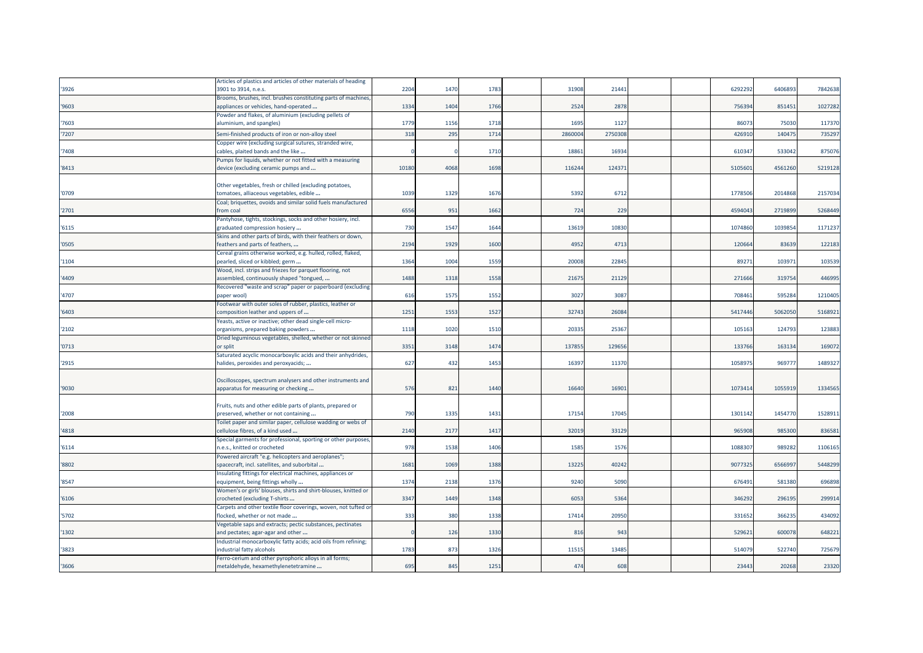|       | Articles of plastics and articles of other materials of heading |       |      |      |         |         |  |         |         |         |
|-------|-----------------------------------------------------------------|-------|------|------|---------|---------|--|---------|---------|---------|
| '3926 | 3901 to 3914, n.e.s.                                            | 2204  | 1470 | 1783 | 31908   | 21441   |  | 6292292 | 6406893 | 7842638 |
|       | Brooms, brushes, incl. brushes constituting parts of machines   |       |      |      |         |         |  |         |         |         |
| '9603 | appliances or vehicles, hand-operated                           | 1334  | 1404 | 1766 | 2524    | 2878    |  | 756394  | 851451  | 1027282 |
|       | Powder and flakes, of aluminium (excluding pellets of           |       |      |      |         |         |  |         |         |         |
| 7603  | aluminium, and spangles)                                        | 1779  | 1156 | 1718 | 1695    | 1127    |  | 86073   | 75030   | 117370  |
| 7207  | Semi-finished products of iron or non-alloy steel               | 318   | 295  | 1714 | 2860004 | 2750308 |  | 426910  | 14047   | 735297  |
|       | Copper wire (excluding surgical sutures, stranded wire,         |       |      |      |         |         |  |         |         |         |
| 7408  | cables, plaited bands and the like                              |       |      | 1710 | 18861   | 16934   |  | 610347  | 533042  | 875076  |
|       | Pumps for liquids, whether or not fitted with a measuring       |       |      |      |         |         |  |         |         |         |
| '8413 | device (excluding ceramic pumps and                             | 10180 | 4068 | 1698 | 116244  | 124371  |  | 510560  | 4561260 | 5219128 |
|       |                                                                 |       |      |      |         |         |  |         |         |         |
|       | Other vegetables, fresh or chilled (excluding potatoes,         |       |      |      |         |         |  |         |         |         |
| '0709 | tomatoes, alliaceous vegetables, edible                         | 1039  | 1329 | 1676 | 5392    | 6712    |  | 1778506 | 2014868 | 2157034 |
|       | Coal; briquettes, ovoids and similar solid fuels manufactured   |       |      |      |         |         |  |         |         |         |
| '2701 | from coal                                                       | 6556  | 951  | 1662 | 724     | 229     |  | 4594043 | 2719899 | 5268449 |
|       | Pantyhose, tights, stockings, socks and other hosiery, incl.    |       |      |      |         |         |  |         |         |         |
| '6115 | graduated compression hosiery                                   | 730   | 1547 | 1644 | 13619   | 10830   |  | 1074860 | 1039854 | 1171237 |
|       | Skins and other parts of birds, with their feathers or down,    |       |      |      |         |         |  |         |         |         |
| '0505 | feathers and parts of feathers,                                 | 2194  | 1929 | 1600 | 4952    | 4713    |  | 120664  | 83639   | 122183  |
|       | Cereal grains otherwise worked, e.g. hulled, rolled, flaked,    |       |      |      |         |         |  |         |         |         |
| '1104 |                                                                 | 1364  | 1004 | 1559 | 20008   | 22845   |  | 89271   | 103971  | 103539  |
|       | pearled, sliced or kibbled; germ                                |       |      |      |         |         |  |         |         |         |
|       | Wood, incl. strips and friezes for parquet flooring, not        |       |      |      |         |         |  |         |         |         |
| 4409  | assembled, continuously shaped "tongued,                        | 1488  | 1318 | 1558 | 2167    | 21129   |  | 271666  | 319754  | 446995  |
|       | Recovered "waste and scrap" paper or paperboard (excluding      |       |      |      |         |         |  |         |         |         |
| 4707  | paper wool)                                                     | 616   | 1575 | 1552 | 3027    | 3087    |  | 708461  | 595284  | 1210405 |
|       | Footwear with outer soles of rubber, plastics, leather or       |       |      |      |         |         |  |         |         |         |
| 6403  | composition leather and uppers of                               | 1251  | 1553 | 1527 | 32743   | 26084   |  | 5417446 | 506205  | 5168921 |
|       | Yeasts, active or inactive; other dead single-cell micro-       |       |      |      |         |         |  |         |         |         |
| '2102 | organisms, prepared baking powders                              | 1118  | 1020 | 1510 | 2033    | 25367   |  | 105163  | 124793  | 123883  |
|       | Dried leguminous vegetables, shelled, whether or not skinned    |       |      |      |         |         |  |         |         |         |
| '0713 | or split                                                        | 3351  | 3148 | 1474 | 137855  | 129656  |  | 133766  | 163134  | 169072  |
|       | Saturated acyclic monocarboxylic acids and their anhydrides,    |       |      |      |         |         |  |         |         |         |
| '2915 | halides, peroxides and peroxyacids;                             | 627   | 432  | 1453 | 16397   | 11370   |  | 1058975 | 969777  | 1489327 |
|       |                                                                 |       |      |      |         |         |  |         |         |         |
|       | Oscilloscopes, spectrum analysers and other instruments and     |       |      |      |         |         |  |         |         |         |
| '9030 | apparatus for measuring or checking                             | 576   | 821  | 1440 | 16640   | 16901   |  | 1073414 | 1055919 | 1334565 |
|       |                                                                 |       |      |      |         |         |  |         |         |         |
|       | Fruits, nuts and other edible parts of plants, prepared or      |       |      |      |         |         |  |         |         |         |
| '2008 | preserved, whether or not containing                            | 790   | 1335 | 1431 | 17154   | 17045   |  | 1301142 | 1454770 | 1528911 |
|       | Toilet paper and similar paper, cellulose wadding or webs of    |       |      |      |         |         |  |         |         |         |
| '4818 | cellulose fibres, of a kind used                                | 2140  | 2177 | 1417 | 32019   | 33129   |  | 965908  | 985300  | 836581  |
|       | Special garments for professional, sporting or other purposes,  |       |      |      |         |         |  |         |         |         |
| 6114  | 1.e.s., knitted or crocheted                                    | 978   | 1538 | 1406 | 1585    | 1576    |  | 108830  | 989282  | 1106165 |
|       | Powered aircraft "e.g. helicopters and aeroplanes";             |       |      |      |         |         |  |         |         |         |
| '8802 | spacecraft, incl. satellites, and suborbital                    | 1681  | 1069 | 1388 | 13225   | 40242   |  | 9077325 | 656699  | 5448299 |
|       | Insulating fittings for electrical machines, appliances or      |       |      |      |         |         |  |         |         |         |
| '8547 | equipment, being fittings wholly                                | 1374  | 2138 | 1376 | 9240    | 5090    |  | 676491  | 581380  | 696898  |
|       | Women's or girls' blouses, shirts and shirt-blouses, knitted or |       |      |      |         |         |  |         |         |         |
| '6106 | crocheted (excluding T-shirts                                   | 3347  | 1449 | 1348 | 6053    | 5364    |  | 346292  | 296195  | 299914  |
|       | Carpets and other textile floor coverings, woven, not tufted or |       |      |      |         |         |  |         |         |         |
| 5702  | flocked, whether or not made                                    | 333   | 380  | 1338 | 17414   | 20950   |  | 331652  | 366235  | 434092  |
|       | Vegetable saps and extracts; pectic substances, pectinates      |       |      |      |         |         |  |         |         |         |
| 1302  | and pectates; agar-agar and other                               |       | 126  | 1330 | 816     | 943     |  | 529621  | 600078  | 648221  |
|       | Industrial monocarboxylic fatty acids; acid oils from refining; |       |      |      |         |         |  |         |         |         |
| 3823  | industrial fatty alcohols                                       | 1783  | 873  | 1326 | 1151    | 13485   |  | 514079  | 522740  | 725679  |
|       | Ferro-cerium and other pyrophoric alloys in all forms;          |       |      |      |         |         |  |         |         |         |
| '3606 | metaldehyde, hexamethylenetetramine                             | 695   | 845  | 1251 | 474     | 608     |  | 23443   | 20268   | 23320   |
|       |                                                                 |       |      |      |         |         |  |         |         |         |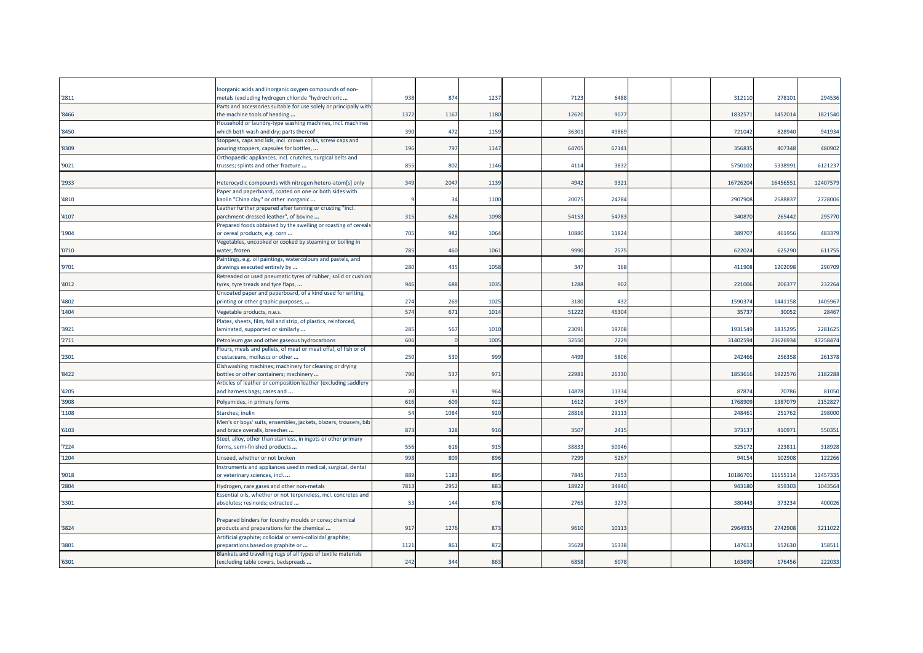| '2811  | norganic acids and inorganic oxygen compounds of non-<br>metals (excluding hydrogen chloride "hydrochloric                                                    | 938  | 874  | 1237 | 7123  | 6488  |  | 312110   | 278101   | 294536   |
|--------|---------------------------------------------------------------------------------------------------------------------------------------------------------------|------|------|------|-------|-------|--|----------|----------|----------|
| '8466  | Parts and accessories suitable for use solely or principally with<br>the machine tools of heading                                                             | 1372 | 1167 | 1180 | 12620 | 9077  |  | 183257   | 1452014  | 1821540  |
| '8450  | Household or laundry-type washing machines, incl. machines<br>which both wash and dry; parts thereof                                                          | 390  | 472  | 1159 | 3630  | 49869 |  | 721042   | 828940   | 941934   |
| '8309  | Stoppers, caps and lids, incl. crown corks, screw caps and<br>pouring stoppers, capsules for bottles,                                                         | 196  | 797  | 1147 | 64705 | 67141 |  | 356835   | 407348   | 480902   |
| '9021  | Orthopaedic appliances, incl. crutches, surgical belts and<br>trusses; splints and other fracture                                                             | 855  | 802  | 1146 | 4114  | 3832  |  | 5750102  | 533899:  | 6121237  |
| 2933   | Heterocyclic compounds with nitrogen hetero-atom[s] only                                                                                                      | 349  | 2047 | 1139 | 4942  | 9321  |  | 16726204 | 1645655  | 12407579 |
| '4810  | Paper and paperboard, coated on one or both sides with<br>kaolin "China clay" or other inorganic<br>Leather further prepared after tanning or crusting "incl. |      | 34   | 1100 | 2007  | 24784 |  | 2907908  | 258883   | 2728006  |
| 4107   | parchment-dressed leather", of bovine<br>Prepared foods obtained by the swelling or roasting of cereals                                                       | 315  | 628  | 1098 | 54153 | 54783 |  | 340870   | 265442   | 295770   |
| '1904  | or cereal products, e.g. corn<br>Vegetables, uncooked or cooked by steaming or boiling in                                                                     | 705  | 982  | 1064 | 10880 | 11824 |  | 389707   | 461956   | 483379   |
| '0710' | water, frozen<br>Paintings, e.g. oil paintings, watercolours and pastels, and                                                                                 | 785  | 460  | 1061 | 9990  | 7575  |  | 622024   | 625290   | 611755   |
| '9701  | drawings executed entirely by<br>Retreaded or used pneumatic tyres of rubber; solid or cushior                                                                | 280  | 435  | 1058 | 347   | 168   |  | 411908   | 1202098  | 290709   |
| 4012   | tyres, tyre treads and tyre flaps,<br>Uncoated paper and paperboard, of a kind used for writing,                                                              | 946  | 688  | 1035 | 1288  | 902   |  | 221006   | 20637    | 232264   |
| '4802  | printing or other graphic purposes,                                                                                                                           | 274  | 269  | 1025 | 3180  | 432   |  | 1590374  | 1441158  | 1405967  |
| '1404  | Vegetable products, n.e.s.                                                                                                                                    | 574  | 671  | 1014 | 5122  | 46304 |  | 3573     | 3005     | 28467    |
| 3921   | Plates, sheets, film, foil and strip, of plastics, reinforced,<br>laminated, supported or similarly                                                           | 285  | 567  | 1010 | 2309  | 19708 |  | 1931549  | 183529   | 2281625  |
| '2711  | Petroleum gas and other gaseous hydrocarbons                                                                                                                  | 606  |      | 1005 | 32550 | 7229  |  | 31402594 | 23626934 | 47258474 |
| '2301  | Flours, meals and pellets, of meat or meat offal, of fish or of<br>crustaceans, molluscs or other                                                             | 250  | 530  | 999  | 4499  | 5806  |  | 242466   | 256358   | 261378   |
| '8422  | Dishwashing machines; machinery for cleaning or drying<br>bottles or other containers; machinery                                                              | 790  | 537  | 971  | 22981 | 26330 |  | 1853616  | 1922576  | 2182288  |
| '4205  | Articles of leather or composition leather (excluding saddlery<br>and harness bags; cases and                                                                 | 20   | 91   | 964  | 1487  | 11334 |  | 87874    | 70786    | 81050    |
| 3908   | Polyamides, in primary forms                                                                                                                                  | 616  | 609  | 922  | 1612  | 1457  |  | 176890   | 138707   | 2152827  |
| 1108   | Starches; inulin                                                                                                                                              | 54   | 1084 | 920  | 2881  | 29113 |  | 248461   | 251762   | 298000   |
| 6103   | Men's or boys' suits, ensembles, jackets, blazers, trousers, bib<br>and brace overalls, breeches                                                              | 873  | 328  | 916  | 3507  | 2415  |  | 373137   | 410971   | 550351   |
| 7224   | Steel, alloy, other than stainless, in ingots or other primary<br>forms, semi-finished products                                                               | 556  | 616  | 915  | 38833 | 50946 |  | 325172   | 22381    | 318928   |
| 1204   | Linseed, whether or not broken                                                                                                                                | 998  | 809  | 896  | 7299  | 5267  |  | 94154    | 102908   | 122266   |
| '9018  | Instruments and appliances used in medical, surgical, dental<br>or veterinary sciences, incl                                                                  | 889  | 1183 | 895  | 7845  | 7953  |  | 10186701 | 11155114 | 12457335 |
| '2804  | Hydrogen, rare gases and other non-metals                                                                                                                     | 781  | 2952 | 883  | 1892  | 34940 |  | 943180   | 95930    | 1043564  |
| '3301  | Essential oils, whether or not terpeneless, incl. concretes and<br>absolutes; resinoids; extracted                                                            | 53   | 144  | 876  | 2765  | 3273  |  | 380443   | 373234   | 400026   |
| 3824   | Prepared binders for foundry moulds or cores; chemical<br>products and preparations for the chemical                                                          | 917  | 1276 | 873  | 9610  | 10113 |  | 2964935  | 2742908  | 3211022  |
| '3801  | Artificial graphite; colloidal or semi-colloidal graphite;<br>preparations based on graphite or                                                               | 1121 | 861  | 872  | 35628 | 16338 |  | 147613   | 152630   | 158511   |
| '6301  | Blankets and travelling rugs of all types of textile materials<br>(excluding table covers, bedspreads                                                         | 242  | 344  | 863  | 6858  | 6078  |  | 163690   | 176456   | 222033   |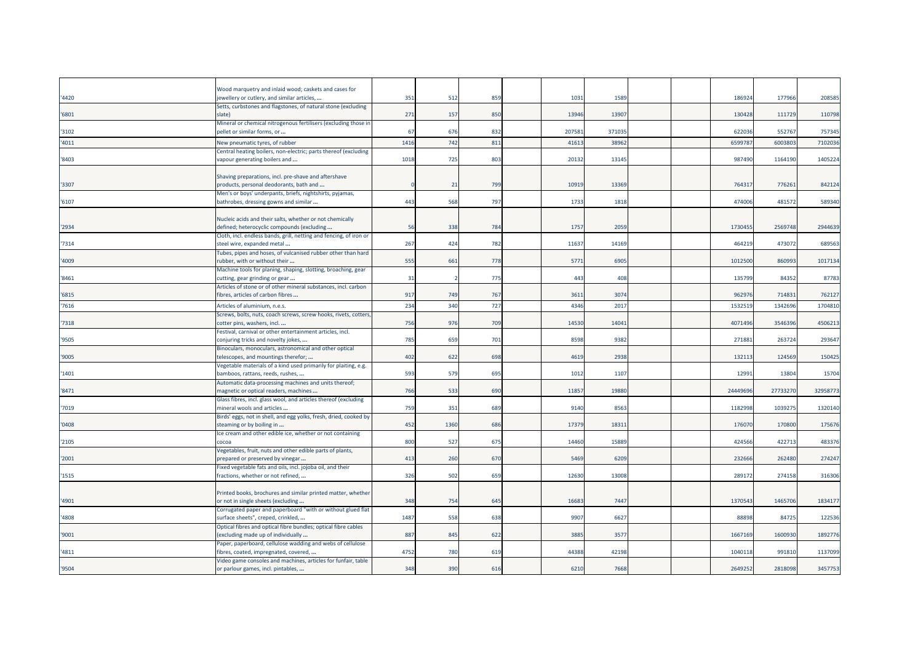|       | Wood marquetry and inlaid wood; caskets and cases for                                               |      |      |     |        |        |  |          |          |          |
|-------|-----------------------------------------------------------------------------------------------------|------|------|-----|--------|--------|--|----------|----------|----------|
| '4420 | jewellery or cutlery, and similar articles,                                                         | 351  | 512  | 859 | 1031   | 1589   |  | 186924   | 177966   | 208585   |
| '6801 | Setts, curbstones and flagstones, of natural stone (excluding<br>slate)                             | 271  | 157  | 850 | 13946  | 13907  |  | 130428   | 111729   | 110798   |
| '3102 | Mineral or chemical nitrogenous fertilisers (excluding those ir<br>pellet or similar forms, or      | 67   | 676  | 832 | 207581 | 371035 |  | 622036   | 552767   | 757345   |
| '4011 | New pneumatic tyres, of rubber                                                                      | 1416 | 742  | 811 | 4161   | 38962  |  | 659978   | 600380   | 7102036  |
|       | Central heating boilers, non-electric; parts thereof (excluding                                     |      |      |     |        |        |  |          |          |          |
| 8403  | vapour generating boilers and                                                                       | 1018 | 725  | 803 | 2013   | 13145  |  | 987490   | 1164190  | 1405224  |
|       |                                                                                                     |      |      |     |        |        |  |          |          |          |
|       | Shaving preparations, incl. pre-shave and aftershave                                                |      |      |     |        |        |  |          |          |          |
| 3307  | products, personal deodorants, bath and                                                             |      | 21   | 799 | 10919  | 13369  |  | 764317   | 776261   | 842124   |
|       | Men's or boys' underpants, briefs, nightshirts, pyjamas,                                            |      |      |     |        |        |  |          |          |          |
| '6107 | bathrobes, dressing gowns and similar                                                               | 443  | 568  | 797 | 1733   | 1818   |  | 474006   | 481572   | 589340   |
|       |                                                                                                     |      |      |     |        |        |  |          |          |          |
|       | Nucleic acids and their salts, whether or not chemically                                            |      |      |     |        |        |  |          |          |          |
| '2934 | defined; heterocyclic compounds (excluding                                                          | 56   | 338  | 784 | 1757   | 2059   |  | 1730455  | 2569748  | 2944639  |
|       | Cloth, incl. endless bands, grill, netting and fencing, of iron or                                  |      |      |     |        |        |  |          |          |          |
| '7314 | steel wire, expanded metal                                                                          | 267  | 424  | 782 | 11637  | 14169  |  | 464219   | 473072   | 689563   |
|       | Tubes, pipes and hoses, of vulcanised rubber other than hard                                        |      |      |     |        |        |  |          |          |          |
| '4009 | rubber, with or without their                                                                       | 555  | 661  | 778 | 5771   | 6905   |  | 1012500  | 860993   | 1017134  |
|       | Machine tools for planing, shaping, slotting, broaching, gear                                       |      |      | 775 | 443    | 408    |  | 135799   | 84352    | 87783    |
| '8461 | cutting, gear grinding or gear<br>Articles of stone or of other mineral substances, incl. carbon    | 31   |      |     |        |        |  |          |          |          |
| 6815  | fibres, articles of carbon fibres                                                                   | 917  | 749  | 767 | 3611   | 3074   |  | 962976   | 714831   | 762127   |
|       |                                                                                                     |      |      |     |        |        |  |          |          |          |
| 7616  | Articles of aluminium, n.e.s.                                                                       | 234  | 340  | 727 | 4346   | 2017   |  | 1532519  | 134269   | 1704810  |
|       | Screws, bolts, nuts, coach screws, screw hooks, rivets, cotters                                     |      |      |     |        |        |  |          |          |          |
| 7318  | cotter pins, washers, incl                                                                          | 756  | 976  | 709 | 14530  | 14041  |  | 4071496  | 3546396  | 4506213  |
|       | Festival, carnival or other entertainment articles, incl.                                           |      |      |     |        |        |  |          |          |          |
| '9505 | conjuring tricks and novelty jokes,                                                                 | 785  | 659  | 701 | 8598   | 9382   |  | 271883   | 263724   | 293647   |
|       | Binoculars, monoculars, astronomical and other optical                                              |      |      |     |        |        |  |          |          |          |
| '9005 | telescopes, and mountings therefor;                                                                 | 402  | 622  | 698 | 4619   | 2938   |  | 132113   | 124569   | 150425   |
| 1401  | Vegetable materials of a kind used primarily for plaiting, e.g.<br>bamboos, rattans, reeds, rushes, | 593  | 579  | 695 | 1012   | 1107   |  | 12991    | 13804    | 15704    |
|       | Automatic data-processing machines and units thereof;                                               |      |      |     |        |        |  |          |          |          |
| '8471 | magnetic or optical readers, machines                                                               | 766  | 533  | 690 | 11857  | 19880  |  | 24449696 | 27733270 | 32958773 |
|       | Glass fibres, incl. glass wool, and articles thereof (excluding                                     |      |      |     |        |        |  |          |          |          |
| 7019  | mineral wools and articles                                                                          | 759  | 351  | 689 | 9140   | 8563   |  | 1182998  | 103927   | 1320140  |
|       | Birds' eggs, not in shell, and egg yolks, fresh, dried, cooked by                                   |      |      |     |        |        |  |          |          |          |
| '0408 | steaming or by boiling in                                                                           | 452  | 1360 | 686 | 1737   | 1831   |  | 176070   | 170800   | 175676   |
|       | Ice cream and other edible ice, whether or not containing                                           |      |      |     |        |        |  |          |          |          |
| '2105 | cocoa                                                                                               | 800  | 527  | 675 | 14460  | 15889  |  | 424566   | 422713   | 483376   |
|       | Vegetables, fruit, nuts and other edible parts of plants,                                           |      |      |     |        |        |  |          |          |          |
| 2001  | prepared or preserved by vinegar                                                                    | 413  | 260  | 670 | 5469   | 6209   |  | 232666   | 262480   | 274247   |
|       | Fixed vegetable fats and oils, incl. jojoba oil, and their                                          |      |      |     |        |        |  |          |          |          |
| '1515 | fractions, whether or not refined,                                                                  | 326  | 502  | 659 | 12630  | 13008  |  | 289172   | 274158   | 316306   |
|       |                                                                                                     |      |      |     |        |        |  |          |          |          |
|       | Printed books, brochures and similar printed matter, whether                                        |      |      |     |        |        |  |          |          |          |
| '4901 | or not in single sheets (excluding                                                                  | 348  | 754  | 645 | 16683  | 7447   |  | 1370543  | 1465706  | 1834177  |
|       | Corrugated paper and paperboard "with or without glued flat                                         |      |      |     |        |        |  |          |          |          |
| '4808 | surface sheets", creped, crinkled,                                                                  | 1487 | 558  | 638 | 9907   | 6627   |  | 88898    | 84725    | 122536   |
|       | Optical fibres and optical fibre bundles; optical fibre cables                                      |      |      |     |        |        |  |          |          |          |
| '9001 | excluding made up of individually                                                                   | 887  | 845  | 622 | 3885   | 3577   |  | 1667169  | 1600930  | 1892776  |
|       | Paper, paperboard, cellulose wadding and webs of cellulose                                          |      |      |     |        |        |  |          |          |          |
| '4811 | fibres, coated, impregnated, covered,                                                               | 4752 | 780  | 619 | 44388  | 42198  |  | 1040118  | 991810   | 1137099  |
|       | Video game consoles and machines, articles for funfair, table                                       |      |      |     |        |        |  |          |          |          |
| '9504 | or parlour games, incl. pintables,                                                                  | 348  | 390  | 616 | 6210   | 7668   |  | 2649252  | 2818098  | 3457753  |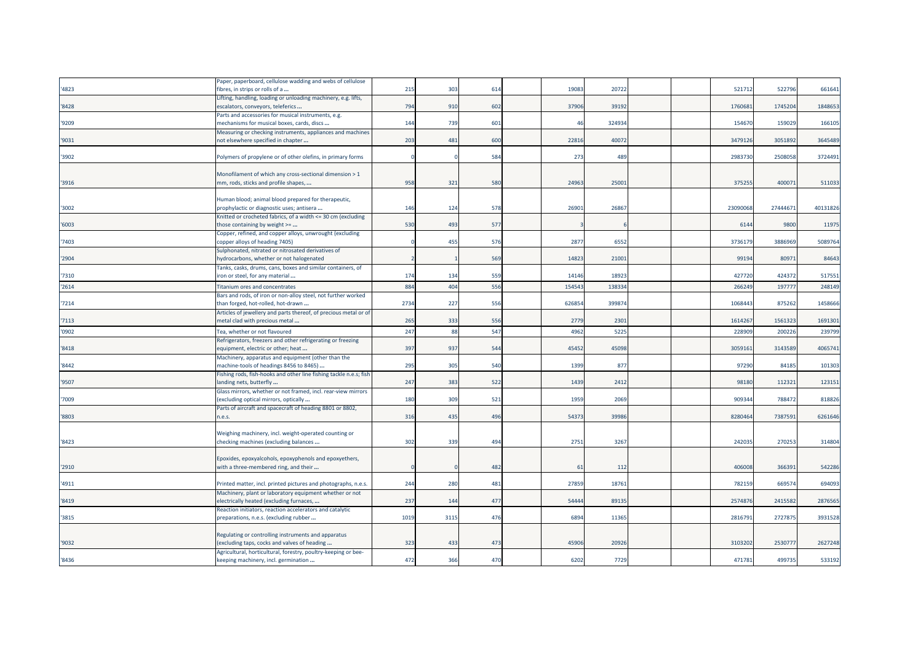|       | Paper, paperboard, cellulose wadding and webs of cellulose         |      |      |     |       |        |  |          |          |          |
|-------|--------------------------------------------------------------------|------|------|-----|-------|--------|--|----------|----------|----------|
| '4823 | fibres, in strips or rolls of a                                    | 215  | 303  | 614 | 1908  | 20722  |  | 521712   | 522796   | 661641   |
|       | Lifting, handling, loading or unloading machinery, e.g. lifts,     |      |      |     |       |        |  |          |          |          |
| '8428 | escalators, conveyors, teleferics                                  | 794  | 910  | 602 | 37906 | 39192  |  | 176068   | 1745204  | 1848653  |
|       | Parts and accessories for musical instruments, e.g.                |      |      |     |       |        |  |          |          |          |
| '9209 | mechanisms for musical boxes, cards, discs                         | 144  | 739  | 601 | 46    | 324934 |  | 154670   | 159029   | 166105   |
|       | Measuring or checking instruments, appliances and machines         |      |      |     |       |        |  |          |          |          |
| '9031 | not elsewhere specified in chapter                                 | 203  | 481  | 600 | 22816 | 40072  |  | 3479126  | 3051892  | 3645489  |
|       |                                                                    |      |      |     |       |        |  |          |          |          |
| '3902 | Polymers of propylene or of other olefins, in primary forms        |      |      | 584 | 273   | 489    |  | 2983730  | 2508058  | 3724491  |
|       |                                                                    |      |      |     |       |        |  |          |          |          |
|       | Monofilament of which any cross-sectional dimension > 1            |      |      |     |       |        |  |          |          |          |
| '3916 | mm, rods, sticks and profile shapes,                               | 958  | 321  | 580 | 24963 | 2500   |  | 375255   | 400071   | 511033   |
|       |                                                                    |      |      |     |       |        |  |          |          |          |
|       | Human blood; animal blood prepared for therapeutic,                |      |      |     |       |        |  |          |          |          |
| '3002 |                                                                    | 146  | 124  | 578 | 26901 | 26867  |  | 23090068 | 27444671 | 40131826 |
|       | prophylactic or diagnostic uses; antisera                          |      |      |     |       |        |  |          |          |          |
|       | Knitted or crocheted fabrics, of a width <= 30 cm (excluding       |      |      |     |       |        |  |          |          |          |
| '6003 | those containing by weight >=                                      | 530  | 493  | 577 |       |        |  | 6144     | 9800     | 11975    |
|       | Copper, refined, and copper alloys, unwrought (excluding           |      |      |     |       |        |  |          |          |          |
| '7403 | copper alloys of heading 7405)                                     |      | 455  | 576 | 2877  | 6552   |  | 3736179  | 3886969  | 5089764  |
|       | Sulphonated, nitrated or nitrosated derivatives of                 |      |      |     |       |        |  |          |          |          |
| '2904 | hydrocarbons, whether or not halogenated                           |      |      | 569 | 1482  | 2100   |  | 99194    | 80971    | 84643    |
|       | Tanks, casks, drums, cans, boxes and similar containers, of        |      |      |     |       |        |  |          |          |          |
| '7310 | iron or steel, for any material                                    | 174  | 134  | 559 | 14146 | 18923  |  | 427720   | 424372   | 517551   |
| '2614 | <b>Titanium ores and concentrates</b>                              | 884  | 404  | 556 | 15454 | 138334 |  | 266249   | 197777   | 248149   |
|       | Bars and rods, of iron or non-alloy steel, not further worked      |      |      |     |       |        |  |          |          |          |
| '7214 | than forged, hot-rolled, hot-drawn                                 | 2734 | 227  | 556 | 62685 | 399874 |  | 1068443  | 875262   | 1458666  |
|       | Articles of jewellery and parts thereof, of precious metal or of   |      |      |     |       |        |  |          |          |          |
| '7113 | metal clad with precious metal                                     | 265  | 333  | 556 | 2779  | 2301   |  | 1614267  | 1561323  | 1691301  |
|       |                                                                    |      |      |     |       |        |  |          |          |          |
| '0902 | Tea, whether or not flavoured                                      | 247  | 88   | 547 | 4962  | 5225   |  | 22890    | 200226   | 239799   |
|       | Refrigerators, freezers and other refrigerating or freezing        |      |      |     |       |        |  |          |          |          |
| '8418 | equipment, electric or other; heat                                 | 397  | 937  | 544 | 45452 | 45098  |  | 305916:  | 3143589  | 4065741  |
|       | Machinery, apparatus and equipment (other than the                 |      |      |     |       |        |  |          |          |          |
| '8442 | machine-tools of headings 8456 to 8465)                            | 295  | 305  | 540 | 1399  | 877    |  | 97290    | 84185    | 101303   |
|       | Fishing rods, fish-hooks and other line fishing tackle n.e.s; fish |      |      |     |       |        |  |          |          |          |
| '9507 | landing nets, butterfly                                            | 247  | 383  | 522 | 1439  | 2412   |  | 98180    | 112321   | 123151   |
|       | Glass mirrors, whether or not framed, incl. rear-view mirrors      |      |      |     |       |        |  |          |          |          |
| '7009 | (excluding optical mirrors, optically                              | 180  | 309  | 521 | 1959  | 2069   |  | 909344   | 788472   | 818826   |
|       | Parts of aircraft and spacecraft of heading 8801 or 8802,          |      |      |     |       |        |  |          |          |          |
| '8803 | n.e.s.                                                             | 316  | 435  | 496 | 5437  | 39986  |  | 8280464  | 7387591  | 6261646  |
|       |                                                                    |      |      |     |       |        |  |          |          |          |
|       |                                                                    |      |      |     |       |        |  |          |          |          |
|       | Weighing machinery, incl. weight-operated counting or              |      |      |     |       |        |  |          |          |          |
| '8423 | checking machines (excluding balances                              | 302  | 339  | 494 | 2751  | 3267   |  | 242035   | 270253   | 314804   |
|       |                                                                    |      |      |     |       |        |  |          |          |          |
|       | Epoxides, epoxyalcohols, epoxyphenols and epoxyethers,             |      |      |     |       |        |  |          |          |          |
| '2910 | with a three-membered ring, and their                              |      |      | 482 | 61    | 112    |  | 406008   | 366391   | 542286   |
|       |                                                                    |      |      |     |       |        |  |          |          |          |
| '4911 | Printed matter, incl. printed pictures and photographs, n.e.s.     | 244  | 280  | 481 | 2785  | 18761  |  | 782159   | 669574   | 694093   |
|       | Machinery, plant or laboratory equipment whether or not            |      |      |     |       |        |  |          |          |          |
| '8419 | electrically heated (excluding furnaces,                           | 237  | 144  | 477 | 5444  | 89135  |  | 2574876  | 2415582  | 2876565  |
|       | Reaction initiators, reaction accelerators and catalytic           |      |      |     |       |        |  |          |          |          |
| '3815 | preparations, n.e.s. (excluding rubber                             | 1019 | 3115 | 476 | 6894  | 11365  |  | 2816791  | 2727875  | 3931528  |
|       |                                                                    |      |      |     |       |        |  |          |          |          |
|       | Regulating or controlling instruments and apparatus                |      |      |     |       |        |  |          |          |          |
| '9032 | (excluding taps, cocks and valves of heading                       | 323  | 433  | 473 | 45906 | 20926  |  | 310320   | 2530777  | 2627248  |
|       | Agricultural, horticultural, forestry, poultry-keeping or bee-     |      |      |     |       |        |  |          |          |          |
| '8436 | keeping machinery, incl. germination                               | 472  | 366  | 470 | 6202  | 7729   |  | 47178    | 499735   | 533192   |
|       |                                                                    |      |      |     |       |        |  |          |          |          |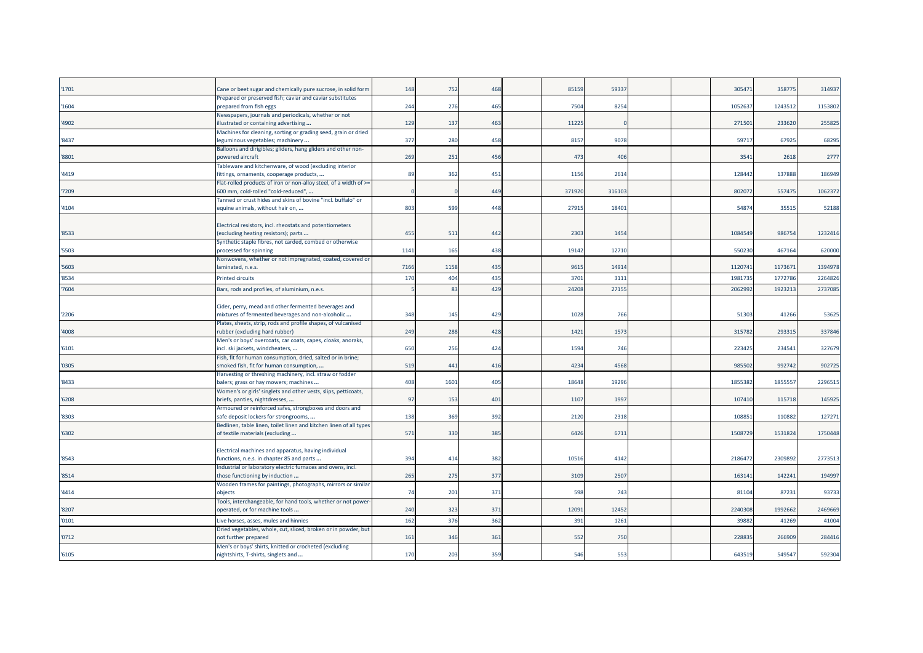| '1701 | Cane or beet sugar and chemically pure sucrose, in solid form                                 | 148  | 752             | 468 | 85159  | 5933  |  | 30547   | 35877   | 314937  |
|-------|-----------------------------------------------------------------------------------------------|------|-----------------|-----|--------|-------|--|---------|---------|---------|
| '1604 | Prepared or preserved fish; caviar and caviar substitutes<br>prepared from fish eggs          | 244  | 276             | 465 | 7504   | 8254  |  | 105263  | 124351  | 1153802 |
|       |                                                                                               |      |                 |     |        |       |  |         |         |         |
| '4902 | Newspapers, journals and periodicals, whether or not<br>illustrated or containing advertising | 129  | 137             | 463 | 11225  |       |  | 27150   | 233620  | 25582   |
|       | Machines for cleaning, sorting or grading seed, grain or dried                                |      |                 |     |        |       |  |         |         |         |
| '8437 | leguminous vegetables; machinery                                                              | 377  | 280             | 458 | 8157   | 9078  |  | 59717   | 67925   | 68295   |
|       | Balloons and dirigibles; gliders, hang gliders and other non-                                 |      |                 |     |        |       |  |         |         |         |
| '8801 | powered aircraft                                                                              | 269  | 251             | 456 | 473    | 40    |  | 3541    | 2618    | 2777    |
|       | <b>Fableware and kitchenware, of wood (excluding interior</b>                                 |      |                 |     |        |       |  |         |         |         |
| '4419 | fittings, ornaments, cooperage products,                                                      | 89   | 362             | 451 | 1156   | 2614  |  | 12844   | 137888  | 186949  |
|       | Flat-rolled products of iron or non-alloy steel, of a width of >=                             |      |                 |     |        |       |  |         |         |         |
| '7209 | 600 mm, cold-rolled "cold-reduced",                                                           |      |                 | 449 | 371920 | 31610 |  | 802072  | 557475  | 1062372 |
|       | Tanned or crust hides and skins of bovine "incl. buffalo" or                                  |      |                 |     |        |       |  |         |         |         |
| '4104 | equine animals, without hair on,                                                              | 803  | 599             | 448 | 2791   | 1840  |  | 5487    | 3551    | 52188   |
|       |                                                                                               |      |                 |     |        |       |  |         |         |         |
|       | Electrical resistors, incl. rheostats and potentiometers                                      |      |                 |     |        |       |  |         |         |         |
| '8533 | (excluding heating resistors); parts                                                          | 455  | 511             | 442 | 2303   | 145   |  | 108454  | 986754  | 1232416 |
|       | Synthetic staple fibres, not carded, combed or otherwise                                      |      |                 |     |        |       |  |         |         |         |
| '5503 | processed for spinning                                                                        | 1141 | 165             | 438 | 19142  | 12710 |  | 550230  | 467164  | 620000  |
|       | Nonwovens, whether or not impregnated, coated, covered or                                     |      |                 |     |        |       |  |         |         |         |
| '5603 | laminated, n.e.s.                                                                             | 7166 | 1158            | 435 | 9615   | 1491  |  | 1120741 | 117367  | 1394978 |
| '8534 | <b>Printed circuits</b>                                                                       | 170  | 40 <sup>2</sup> | 435 | 3701   | 3111  |  | 198173  | 177278  | 2264826 |
| '7604 |                                                                                               |      | 8 <sup>2</sup>  | 429 | 24208  | 2715  |  | 206299  | 192321  | 273708  |
|       | Bars, rods and profiles, of aluminium, n.e.s.                                                 |      |                 |     |        |       |  |         |         |         |
|       |                                                                                               |      |                 |     |        |       |  |         |         |         |
|       | Cider, perry, mead and other fermented beverages and                                          |      |                 |     |        |       |  |         |         |         |
| '2206 | mixtures of fermented beverages and non-alcoholic                                             | 348  | 145             | 429 | 1028   | 766   |  | 5130    | 41266   | 53625   |
|       | Plates, sheets, strip, rods and profile shapes, of vulcanised                                 |      |                 |     |        |       |  |         |         |         |
| '4008 | rubber (excluding hard rubber)                                                                | 249  | 288             | 428 | 1421   | 157   |  | 31578   | 29331   | 337846  |
|       | Men's or boys' overcoats, car coats, capes, cloaks, anoraks,                                  |      |                 |     |        |       |  |         |         |         |
| '6101 | incl. ski jackets, windcheaters,                                                              | 650  | 256             | 424 | 1594   | 746   |  | 22342   | 23454   | 327679  |
|       | Fish, fit for human consumption, dried, salted or in brine;                                   |      |                 |     |        |       |  |         |         |         |
| '0305 | smoked fish, fit for human consumption,                                                       | 519  | 441             | 416 | 4234   | 4568  |  | 98550   | 992742  | 902725  |
|       | Harvesting or threshing machinery, incl. straw or fodder                                      |      |                 |     |        |       |  |         |         |         |
| '8433 | balers; grass or hay mowers; machines                                                         | 408  | 1601            | 405 | 18648  | 1929  |  | 185538  | 185555  | 2296515 |
|       | Women's or girls' singlets and other vests, slips, petticoats,                                |      |                 |     |        |       |  |         |         |         |
| '6208 | briefs, panties, nightdresses,                                                                | 97   | 153             | 401 | 1107   | 199   |  | 10741   | 115718  | 145925  |
|       | Armoured or reinforced safes, strongboxes and doors and                                       |      |                 |     |        |       |  |         |         |         |
| '8303 | safe deposit lockers for strongrooms,                                                         | 138  | 369             | 392 | 2120   | 2318  |  | 10885   | 11088   | 127271  |
|       | Bedlinen, table linen, toilet linen and kitchen linen of all types                            |      |                 |     |        |       |  |         |         |         |
| '6302 | of textile materials (excluding                                                               | 571  | 330             | 385 | 6426   | 6711  |  | 1508729 | 1531824 | 1750448 |
|       |                                                                                               |      |                 |     |        |       |  |         |         |         |
|       | Electrical machines and apparatus, having individual                                          |      |                 |     |        |       |  |         |         |         |
| '8543 | functions, n.e.s. in chapter 85 and parts                                                     | 394  | 414             | 382 | 1051   | 4142  |  | 218647  | 2309892 | 2773513 |
|       | Industrial or laboratory electric furnaces and ovens, incl.                                   |      |                 |     |        |       |  |         |         |         |
| '8514 | those functioning by induction                                                                | 265  | 275             | 377 | 3109   | 250   |  | 163141  | 142241  | 194997  |
|       | Wooden frames for paintings, photographs, mirrors or similar                                  |      |                 |     |        |       |  |         |         |         |
| '4414 | objects                                                                                       | 74   | 201             | 371 | 598    | 743   |  | 8110    | 8723    | 93733   |
|       | Tools, interchangeable, for hand tools, whether or not power-                                 |      |                 |     |        |       |  |         |         |         |
| '8207 | operated, or for machine tools                                                                | 240  | 323             | 371 | 1209:  | 1245  |  | 224030  | 1992662 | 2469669 |
| '0101 | Live horses, asses, mules and hinnies                                                         | 162  | 376             | 362 | 391    | 1261  |  | 3988    | 41269   | 41004   |
|       | Dried vegetables, whole, cut, sliced, broken or in powder, but                                |      |                 |     |        |       |  |         |         |         |
| '0712 | not further prepared                                                                          | 161  | 346             | 361 | 552    | 750   |  | 22883   | 266909  | 284416  |
|       | Men's or boys' shirts, knitted or crocheted (excluding                                        |      |                 |     |        |       |  |         |         |         |
| '6105 | nightshirts, T-shirts, singlets and                                                           | 170  | 203             | 359 | 546    | 553   |  | 64351   | 549547  | 592304  |
|       |                                                                                               |      |                 |     |        |       |  |         |         |         |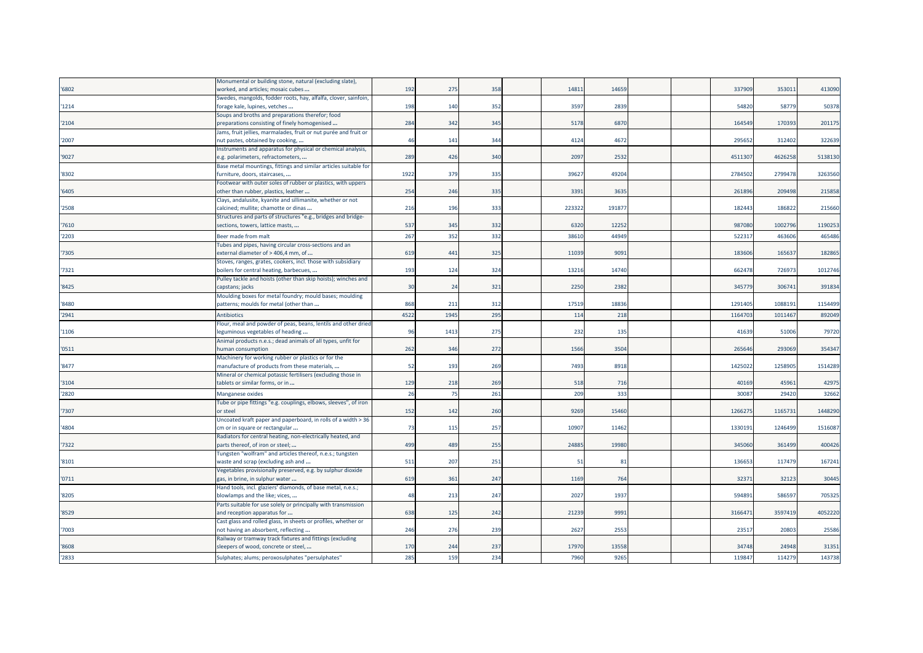|                | Monumental or building stone, natural (excluding slate),                                 |            |                |            |                 |              |  |                |                |                 |
|----------------|------------------------------------------------------------------------------------------|------------|----------------|------------|-----------------|--------------|--|----------------|----------------|-----------------|
| '6802          | worked, and articles; mosaic cubes                                                       | 192        | 275            | 358        | 1481            | 14659        |  | 337909         | 353011         | 413090          |
|                | Swedes, mangolds, fodder roots, hay, alfalfa, clover, sainfoin,                          |            |                |            |                 |              |  |                |                |                 |
| '1214          | forage kale, lupines, vetches                                                            | 198        | 140            | 352        | 359             | 2839         |  | 54820          | 58779          | 50378           |
|                | Soups and broths and preparations therefor; food                                         |            |                |            |                 |              |  |                |                |                 |
| '2104          | preparations consisting of finely homogenised                                            | 284        | 342            | 345        | 5178            | 6870         |  | 164549         | 170393         | 201175          |
|                | Jams, fruit jellies, marmalades, fruit or nut purée and fruit or                         |            |                |            |                 |              |  |                |                |                 |
| '2007          | nut pastes, obtained by cooking,                                                         | 46         | 141            | 344        | 4124            | 4672         |  | 29565          | 312402         | 322639          |
|                | Instruments and apparatus for physical or chemical analysis,                             |            |                |            |                 |              |  |                |                |                 |
| '9027          | .g. polarimeters, refractometers,                                                        | 289        | 426            | 340        | 2097            | 2532         |  | 451130         | 462625         | 5138130         |
|                | Base metal mountings, fittings and similar articles suitable for                         |            |                |            |                 |              |  |                |                |                 |
| '8302          | furniture, doors, staircases,                                                            | 1922       | 379            | 335        | 3962            | 49204        |  | 2784502        | 2799478        | 3263560         |
|                | Footwear with outer soles of rubber or plastics, with uppers                             |            |                |            |                 |              |  |                |                |                 |
| '6405          | other than rubber, plastics, leather                                                     | 254        | 246            | 335        | 339             | 3635         |  | 261896         | 209498         | 215858          |
|                | Clays, andalusite, kyanite and sillimanite, whether or not                               |            |                |            |                 |              |  |                |                |                 |
| '2508          | calcined; mullite; chamotte or dinas                                                     | 216        | 196            | 333        | 223322          | 19187        |  | 182443         | 186822         | 215660          |
|                | Structures and parts of structures "e.g., bridges and bridge-                            |            |                |            |                 |              |  |                |                |                 |
| '7610          | sections, towers, lattice masts,                                                         | 537        | 345            | 332        | 6320            | 1225         |  | 987080         | 1002796        | 1190253         |
|                |                                                                                          |            |                |            |                 |              |  |                |                |                 |
| '2203          | Beer made from malt                                                                      | 267        | 352            | 332        | 38610           | 44949        |  | 52231          | 46360          | 465486          |
|                | Tubes and pipes, having circular cross-sections and an                                   |            |                |            |                 |              |  |                |                |                 |
| '7305          | external diameter of > 406,4 mm, of                                                      | 619        | 441            | 325        | 11039           | 9091         |  | 183606         | 165637         | 182865          |
|                | Stoves, ranges, grates, cookers, incl. those with subsidiary                             |            |                |            |                 |              |  |                |                |                 |
| '7321          | boilers for central heating, barbecues,                                                  | 193        | 124            | 324        | 13216           | 14740        |  | 662478         | 726973         | 1012746         |
|                | Pulley tackle and hoists (other than skip hoists); winches and                           |            |                |            |                 |              |  |                |                |                 |
| '8425          | capstans; jacks                                                                          | 30         | 2 <sup>2</sup> | 321        | 2250            | 2382         |  | 345779         | 306741         | 391834          |
|                | Moulding boxes for metal foundry; mould bases; moulding                                  |            |                |            |                 |              |  |                |                |                 |
| '8480          | patterns; moulds for metal (other than                                                   | 868        | 211            | 312        | 17519           | 18836        |  | 1291405        | 1088191        | 1154499         |
| '2941          | <b>Antibiotics</b>                                                                       | 4522       | 1945           | 295        | 11 <sup>2</sup> | 218          |  | 1164703        | 101146         | 892049          |
|                | Flour, meal and powder of peas, beans, lentils and other dried                           |            |                |            |                 |              |  |                |                |                 |
| '1106          | leguminous vegetables of heading                                                         | 96         | 1413           | 275        | 232             | 135          |  | 41639          | 51006          | 79720           |
|                | Animal products n.e.s.; dead animals of all types, unfit for                             |            |                |            |                 |              |  |                |                |                 |
| '0511          | numan consumption                                                                        | 262        | 346            | 272        | 1566            | 3504         |  | 26564          | 293069         | 354347          |
|                | Machinery for working rubber or plastics or for the                                      |            |                |            |                 |              |  |                |                |                 |
| '8477          | manufacture of products from these materials,                                            | 52         | 193            | 269        | 7493            | 8918         |  | 1425022        | 125890         | 1514289         |
|                | Mineral or chemical potassic fertilisers (excluding those in                             |            |                |            |                 |              |  |                |                |                 |
| '3104          | tablets or similar forms, or in                                                          | 129        | 218            | 269        | 518             | 716          |  | 40169          | 45961          | 42975           |
| '2820          | Manganese oxides                                                                         | 26         | 75             | 261        | 209             | 333          |  |                |                | 32662           |
|                | Tube or pipe fittings "e.g. couplings, elbows, sleeves", of iron                         |            |                |            |                 |              |  |                |                |                 |
| '7307          |                                                                                          |            |                |            |                 |              |  | 3008           | 29420          |                 |
|                |                                                                                          |            |                |            |                 |              |  |                |                |                 |
|                | or steel                                                                                 | 152        | 142            | 260        | 9269            | 15460        |  | 126627         | 116573         | 1448290         |
|                | Uncoated kraft paper and paperboard, in rolls of a width > 36                            |            |                |            |                 |              |  |                |                |                 |
| '4804          | cm or in square or rectangular                                                           | 73         | 115            | 257        | 1090            | 11462        |  | 133019         | 1246499        | 1516087         |
|                | Radiators for central heating, non-electrically heated, and                              |            |                |            |                 |              |  |                |                |                 |
| '7322          | parts thereof, of iron or steel;                                                         | 499        | 489            | 255        | 2488            | 19980        |  | 345060         | 361499         | 400426          |
|                | Fungsten "wolfram" and articles thereof, n.e.s.; tungsten                                |            |                |            |                 |              |  |                |                |                 |
| '8101          | waste and scrap (excluding ash and                                                       | 511        | 207            | 251        | -51             | 81           |  | 136653         | 117479         | 167241          |
|                | Vegetables provisionally preserved, e.g. by sulphur dioxide                              |            |                |            |                 |              |  |                |                |                 |
| '0711          | gas, in brine, in sulphur water                                                          | 619        | 361            | 247        | 1169            | 764          |  | 32371          | 32123          | 30445           |
|                | Hand tools, incl. glaziers' diamonds, of base metal, n.e.s.;                             |            |                |            |                 |              |  |                |                |                 |
| '8205          | blowlamps and the like; vices,                                                           | 48         | 213            | 247        | 202             | 1937         |  | 594891         | 58659          | 705325          |
|                | Parts suitable for use solely or principally with transmission                           |            |                |            |                 |              |  |                |                |                 |
| '8529          | and reception apparatus for                                                              | 638        | 125            | 242        | 21239           | 999          |  | 316647         | 3597419        | 4052220         |
|                | Cast glass and rolled glass, in sheets or profiles, whether or                           |            |                |            |                 |              |  |                |                |                 |
| '7003          | not having an absorbent, reflecting                                                      | 246        | 276            | 239        | 2627            | 2553         |  | 2351           | 20803          | 25586           |
|                | Railway or tramway track fixtures and fittings (excluding                                |            |                |            |                 |              |  |                |                |                 |
| '8608<br>'2833 | sleepers of wood, concrete or steel,<br>Sulphates; alums; peroxosulphates "persulphates' | 170<br>285 | 244<br>159     | 237<br>234 | 1797<br>7960    | 13558<br>926 |  | 34748<br>11984 | 24948<br>11427 | 31351<br>143738 |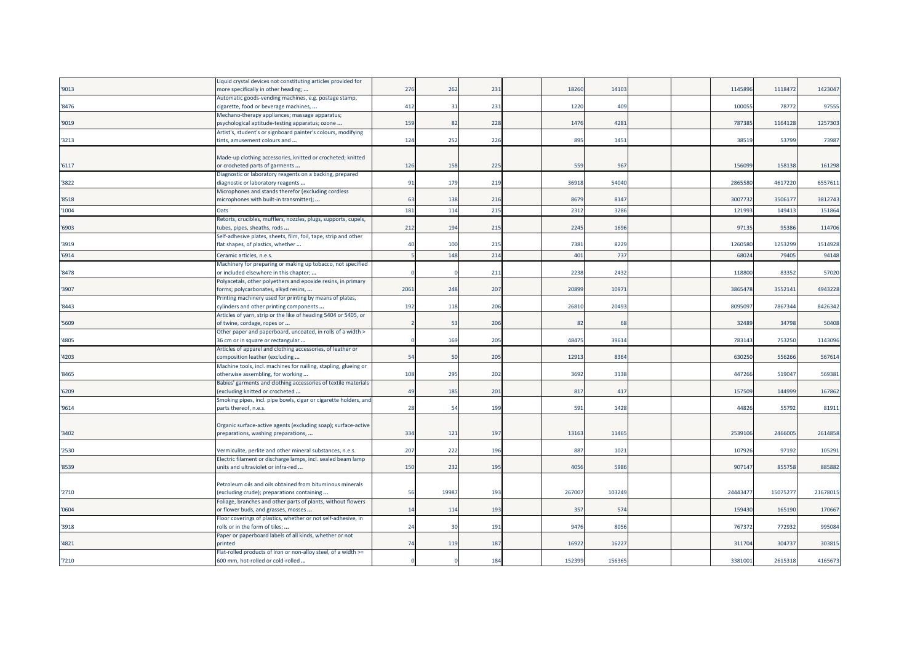|        | Liquid crystal devices not constituting articles provided for                             |            |                 |     |        |        |  |          |         |          |
|--------|-------------------------------------------------------------------------------------------|------------|-----------------|-----|--------|--------|--|----------|---------|----------|
| '9013  | more specifically in other heading;                                                       | 276        | 262             | 231 | 18260  | 14103  |  | 1145896  | 1118472 | 1423047  |
|        | Automatic goods-vending machines, e.g. postage stamp,                                     |            |                 |     |        |        |  |          |         |          |
| '8476  | cigarette, food or beverage machines,                                                     | 412        | 31              | 231 | 1220   | 409    |  | 100055   | 78772   | 97555    |
|        | Mechano-therapy appliances; massage apparatus;                                            |            |                 |     |        |        |  |          |         |          |
| '9019  | psychological aptitude-testing apparatus; ozone                                           | <b>159</b> | 82              | 228 | 1476   | 4281   |  | 787385   | 1164128 | 1257303  |
|        | Artist's, student's or signboard painter's colours, modifying                             |            |                 |     |        |        |  |          |         |          |
| '3213  | tints, amusement colours and                                                              | 124        | 252             | 226 | 895    | 1451   |  | 38519    | 53799   | 73987    |
|        |                                                                                           |            |                 |     |        |        |  |          |         |          |
|        | Made-up clothing accessories, knitted or crocheted; knitted                               |            |                 |     |        |        |  |          |         |          |
| '6117  | or crocheted parts of garments                                                            | 126        | 158             | 225 | 559    | 967    |  | 15609    | 158138  | 161298   |
|        | Diagnostic or laboratory reagents on a backing, prepared                                  |            |                 |     |        |        |  |          |         |          |
| '3822  | diagnostic or laboratory reagents                                                         | 91         | 179             | 219 | 36918  | 54040  |  | 2865580  | 4617220 | 6557611  |
|        | Microphones and stands therefor (excluding cordless                                       |            |                 |     |        |        |  |          |         |          |
| '8518  | microphones with built-in transmitter);                                                   | 63         | 138             | 216 | 8679   | 8147   |  | 300773   | 350617  | 3812743  |
| '1004  | Oats                                                                                      | 181        | 11 <sup>2</sup> | 215 | 2312   | 3286   |  | 12199    | 14941   | 151864   |
|        | Retorts, crucibles, mufflers, nozzles, plugs, supports, cupels,                           |            |                 |     |        |        |  |          |         |          |
| '6903' | tubes, pipes, sheaths, rods                                                               | 212        | 194             | 215 | 2245   | 1696   |  | 97135    | 95386   | 114706   |
|        | Self-adhesive plates, sheets, film, foil, tape, strip and other                           |            |                 |     |        |        |  |          |         |          |
| '3919  | flat shapes, of plastics, whether                                                         | 40         | 100             | 215 | 7381   | 8229   |  | 1260580  | 1253299 | 1514928  |
| '6914  | Ceramic articles, n.e.s.                                                                  |            | 148             | 214 | 401    | 737    |  | 6802     | 79405   | 94148    |
|        | Machinery for preparing or making up tobacco, not specified                               |            |                 |     |        |        |  |          |         |          |
| '8478  | or included elsewhere in this chapter;                                                    |            |                 | 211 | 2238   | 2432   |  | 118800   | 83352   | 57020    |
|        | Polyacetals, other polyethers and epoxide resins, in primary                              |            |                 |     |        |        |  |          |         |          |
| '3907  | forms; polycarbonates, alkyd resins,                                                      | 2061       | 248             | 207 | 2089   | 10971  |  | 3865478  | 3552141 | 4943228  |
|        | Printing machinery used for printing by means of plates,                                  |            |                 |     |        |        |  |          |         |          |
| '8443  | cylinders and other printing components                                                   | 192        | 118             | 206 | 2681   | 20493  |  | 809509   | 7867344 | 8426342  |
|        | Articles of yarn, strip or the like of heading 5404 or 5405, or                           |            |                 |     |        |        |  |          |         |          |
| '5609  | of twine, cordage, ropes or                                                               |            | 53              | 206 | -82    | 68     |  | 32489    | 34798   | 50408    |
|        | Other paper and paperboard, uncoated, in rolls of a width >                               |            |                 |     |        |        |  |          |         |          |
| '4805  | 36 cm or in square or rectangular                                                         |            | 169             | 205 | 4847   | 39614  |  | 783143   | 753250  | 1143096  |
|        | Articles of apparel and clothing accessories, of leather or                               |            |                 |     |        |        |  |          |         |          |
| '4203  | composition leather (excluding                                                            | 54         | 50              | 205 | 1291   | 8364   |  | 630250   | 556266  | 567614   |
|        | Machine tools, incl. machines for nailing, stapling, glueing or                           |            |                 |     |        |        |  |          |         |          |
| '8465  | otherwise assembling, for working                                                         | 108        | 295             | 202 | 3692   | 3138   |  | 447266   | 51904   | 569381   |
|        | Babies' garments and clothing accessories of textile materials                            |            |                 |     |        | 417    |  | 157509   | 144999  |          |
| '6209  | excluding knitted or crocheted                                                            | 49         | 185             | 201 | 817    |        |  |          |         | 167862   |
| '9614  | Smoking pipes, incl. pipe bowls, cigar or cigarette holders, and<br>parts thereof, n.e.s. | 28         | 54              | 199 | 591    | 1428   |  | 44826    | 55792   | 81911    |
|        |                                                                                           |            |                 |     |        |        |  |          |         |          |
|        | Organic surface-active agents (excluding soap); surface-active                            |            |                 |     |        |        |  |          |         |          |
| '3402  | preparations, washing preparations,                                                       | 334        | 121             | 197 | 1316   | 11465  |  | 2539106  | 246600  | 2614858  |
|        |                                                                                           |            |                 |     |        |        |  |          |         |          |
| '2530  | Vermiculite, perlite and other mineral substances, n.e.s.                                 | 207        | 222             | 196 | 887    | 1021   |  | 107926   | 97192   | 105291   |
|        | Electric filament or discharge lamps, incl. sealed beam lamp                              |            |                 |     |        |        |  |          |         |          |
| '8539  | units and ultraviolet or infra-red                                                        | 150        | 232             | 195 | 4056   | 5986   |  | 907147   | 855758  | 885882   |
|        |                                                                                           |            |                 |     |        |        |  |          |         |          |
|        | Petroleum oils and oils obtained from bituminous minerals                                 |            |                 |     |        |        |  |          |         |          |
| '2710  | excluding crude); preparations containing                                                 | 56         | 19987           | 193 | 267007 | 103249 |  | 24443477 | 1507527 | 21678019 |
|        | Foliage, branches and other parts of plants, without flowers                              |            |                 |     |        |        |  |          |         |          |
| '0604  | or flower buds, and grasses, mosses                                                       | 14         | 114             | 193 | 357    | 574    |  | 159430   | 165190  | 170667   |
|        | Floor coverings of plastics, whether or not self-adhesive, in                             |            |                 |     |        |        |  |          |         |          |
| '3918  | rolls or in the form of tiles;                                                            | 24         | 30              | 191 | 9476   | 8056   |  | 767372   | 772932  | 995084   |
|        | Paper or paperboard labels of all kinds, whether or not                                   |            |                 |     |        |        |  |          |         |          |
| '4821  | printed                                                                                   | 74         | 119             | 187 | 1692   | 1622   |  | 311704   | 304737  | 303815   |
|        | Flat-rolled products of iron or non-alloy steel, of a width >=                            |            |                 |     |        |        |  |          |         |          |
| '7210  | 600 mm, hot-rolled or cold-rolled                                                         |            |                 | 184 | 152399 | 156365 |  | 3381001  | 2615318 | 4165673  |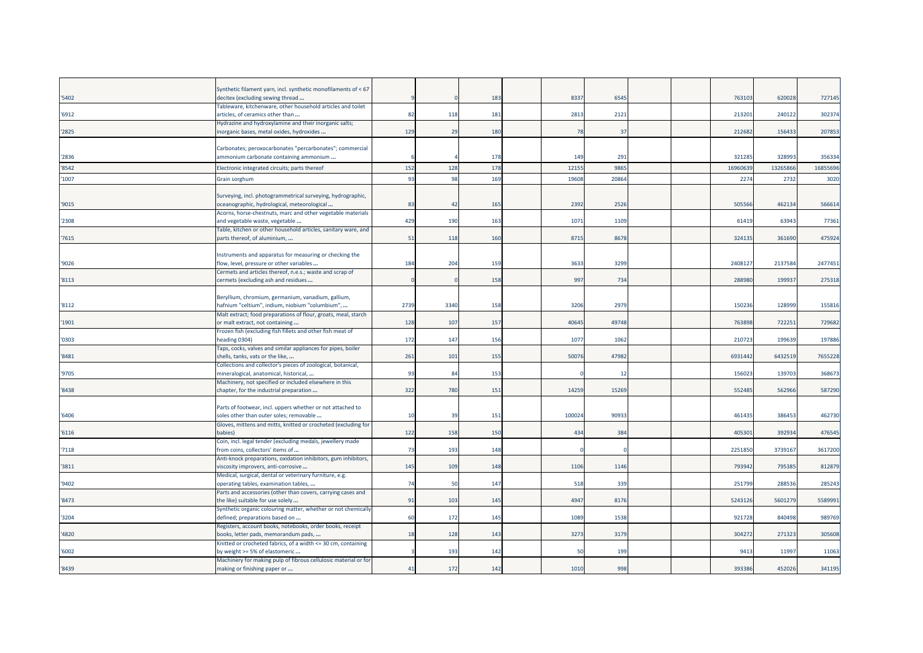|        | Synthetic filament yarn, incl. synthetic monofilaments of < 67                                         |      |      |     |       |       |  |         |         |          |
|--------|--------------------------------------------------------------------------------------------------------|------|------|-----|-------|-------|--|---------|---------|----------|
| '5402  | decitex (excluding sewing thread                                                                       |      |      | 183 | 8337  | 6545  |  | 763103  | 620028  | 727145   |
| '6912  | Tableware, kitchenware, other household articles and toilet<br>articles, of ceramics other than        | 82   | 118  | 181 | 2813  | 2121  |  | 21320   | 240122  | 302374   |
| '2825  | Hydrazine and hydroxylamine and their inorganic salts;<br>inorganic bases, metal oxides, hydroxides    | 129  | 29   | 180 | 78    | 37    |  | 212682  | 156433  | 207853   |
|        |                                                                                                        |      |      |     |       |       |  |         |         |          |
|        | Carbonates; peroxocarbonates "percarbonates"; commercial                                               |      |      |     |       |       |  |         |         |          |
| '2836  | ammonium carbonate containing ammonium                                                                 |      |      | 178 | 149   | 291   |  | 321285  | 328993  | 356334   |
| '8542  | Electronic integrated circuits; parts thereof                                                          | 152  | 128  | 178 | 1215  | 9865  |  | 1696063 | 1326586 | 16855696 |
| '1007  | Grain sorghum                                                                                          | 93   | 98   | 169 | 19608 | 20864 |  | 2274    | 2732    | 3020     |
|        |                                                                                                        |      |      |     |       |       |  |         |         |          |
|        | Surveying, incl. photogrammetrical surveying, hydrographic,                                            |      |      |     |       |       |  |         |         |          |
| '9015  | oceanographic, hydrological, meteorological                                                            | 83   | 42   | 165 | 2392  | 2526  |  | 505566  | 462134  | 566614   |
| '2308  | Acorns, horse-chestnuts, marc and other vegetable materials<br>and vegetable waste, vegetable          | 429  | 190  | 163 | 1071  | 1109  |  | 61419   | 63943   | 77361    |
|        | Table, kitchen or other household articles, sanitary ware, and                                         |      |      |     |       |       |  |         |         |          |
| '7615  | parts thereof, of aluminium,                                                                           | 51   | 118  | 160 | 8715  | 8678  |  | 32413   | 361690  | 475924   |
|        |                                                                                                        |      |      |     |       |       |  |         |         |          |
|        | Instruments and apparatus for measuring or checking the                                                | 184  |      | 159 |       | 3299  |  | 2408127 | 2137584 |          |
| '9026  | flow, level, pressure or other variables                                                               |      | 204  |     | 3633  |       |  |         |         | 2477451  |
| '8113  | Cermets and articles thereof, n.e.s.; waste and scrap of<br>cermets (excluding ash and residues        |      |      | 158 | 997   | 734   |  | 288980  | 199937  | 275318   |
|        |                                                                                                        |      |      |     |       |       |  |         |         |          |
|        | Beryllium, chromium, germanium, vanadium, gallium,                                                     |      |      |     |       |       |  |         |         |          |
| '8112  | hafnium "celtium", indium, niobium "columbium",                                                        | 2739 | 3340 | 158 | 3206  | 2979  |  | 150236  | 12899   | 155816   |
|        | Malt extract; food preparations of flour, groats, meal, starch                                         |      |      |     |       |       |  |         |         |          |
| '1901  | or malt extract, not containing                                                                        | 128  | 107  | 157 | 40645 | 49748 |  | 763898  | 722251  | 729682   |
|        | Frozen fish (excluding fish fillets and other fish meat of                                             |      |      |     |       |       |  |         |         |          |
| '0303  | eading 0304)                                                                                           | 172  | 147  | 156 | 107   | 1062  |  | 210723  | 199639  | 197886   |
|        | Taps, cocks, valves and similar appliances for pipes, boiler                                           |      |      |     |       |       |  |         |         |          |
| '8481  | shells, tanks, vats or the like,                                                                       | 261  | 101  | 155 | 5007  | 47982 |  | 693144  | 6432519 | 7655228  |
| '9705  | Collections and collector's pieces of zoological, botanical,<br>mineralogical, anatomical, historical, | 93   | 84   | 153 |       | 12    |  | 156023  | 139703  | 368673   |
|        | Machinery, not specified or included elsewhere in this                                                 |      |      |     |       |       |  |         |         |          |
| '8438  | chapter, for the industrial preparation                                                                | 322  | 780  | 151 | 14259 | 15269 |  | 552485  | 562966  | 587290   |
|        |                                                                                                        |      |      |     |       |       |  |         |         |          |
|        | Parts of footwear, incl. uppers whether or not attached to                                             |      |      |     |       |       |  |         |         |          |
| '6406' | soles other than outer soles; removable                                                                | 10   | 39   | 151 | 10002 | 90933 |  | 461435  | 386453  | 462730   |
|        | Gloves, mittens and mitts, knitted or crocheted (excluding for                                         |      |      |     |       |       |  |         |         |          |
| '6116  | babies)                                                                                                | 122  | 158  | 150 | 434   | 384   |  | 405301  | 392934  | 476545   |
| '7118  | Coin, incl. legal tender (excluding medals, jewellery made<br>from coins, collectors' items of         | 73   | 193  | 148 |       |       |  | 2251850 | 3739167 | 3617200  |
|        | Anti-knock preparations, oxidation inhibitors, gum inhibitors,                                         |      |      |     |       |       |  |         |         |          |
| '3811  | viscosity improvers, anti-corrosive                                                                    | 145  | 109  | 148 | 1106  | 1146  |  | 793942  | 795385  | 812879   |
|        | Medical, surgical, dental or veterinary furniture, e.g.                                                |      |      |     |       |       |  |         |         |          |
| '9402  | operating tables, examination tables,                                                                  | 74   | 50   | 147 | 518   | 339   |  | 251799  | 288536  | 285243   |
|        | Parts and accessories (other than covers, carrying cases and                                           |      |      |     |       |       |  |         |         |          |
| '8473  | the like) suitable for use solely                                                                      | 91   | 103  | 145 | 4947  | 8176  |  | 5243126 | 5601279 | 5589991  |
|        | Synthetic organic colouring matter, whether or not chemically                                          |      |      |     |       |       |  |         |         |          |
| '3204  | defined; preparations based on                                                                         | 60   | 172  | 145 | 1089  | 1538  |  | 921728  | 840498  | 989769   |
| '4820  | Registers, account books, notebooks, order books, receipt<br>books, letter pads, memorandum pads,      | 18   | 128  | 143 | 3273  | 3179  |  | 304272  | 271323  | 305608   |
|        | Knitted or crocheted fabrics, of a width <= 30 cm, containing                                          |      |      |     |       |       |  |         |         |          |
| '6002  | by weight >= 5% of elastomeric                                                                         |      | 193  | 142 | 50    | 199   |  | 941     | 11997   | 11063    |
|        | Machinery for making pulp of fibrous cellulosic material or for                                        |      |      |     |       |       |  |         |         |          |
| '8439  | making or finishing paper or                                                                           | 41   | 172  | 142 | 1010  | 998   |  | 393386  | 452026  | 341195   |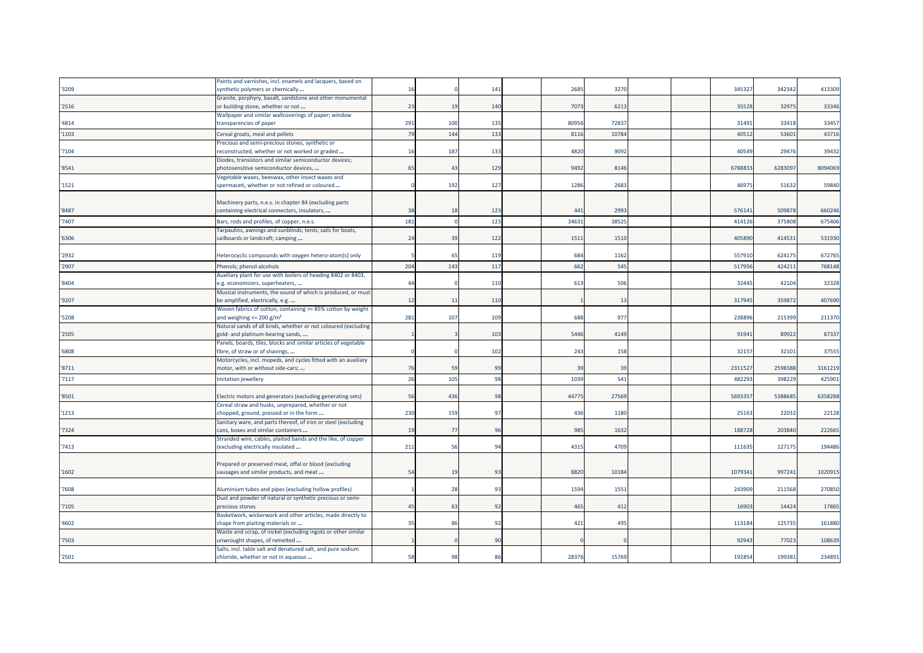|       | Paints and varnishes, incl. enamels and lacquers, based on      |                |                |     |       |                |  |        |         |         |
|-------|-----------------------------------------------------------------|----------------|----------------|-----|-------|----------------|--|--------|---------|---------|
| '3209 | synthetic polymers or chemically                                | 16             |                | 141 | 2685  | 327            |  | 34532  | 342342  | 413309  |
|       | Granite, porphyry, basalt, sandstone and other monumental       |                |                |     |       |                |  |        |         |         |
| '2516 | or building stone, whether or not                               | 23             | 19             | 140 | 7073  | 621            |  | 35528  | 32975   | 33346   |
|       | Wallpaper and similar wallcoverings of paper; window            |                |                |     |       |                |  |        |         |         |
| '4814 | transparencies of paper                                         | 291            | 100            | 135 | 80956 | 7283           |  | 31491  | 33418   | 33457   |
| '1103 |                                                                 | 79             | 144            | 133 | 8116  | 1078           |  | 4051   | 5360    | 43716   |
|       | Cereal groats, meal and pellets                                 |                |                |     |       |                |  |        |         |         |
|       | Precious and semi-precious stones, synthetic or                 |                |                |     |       |                |  |        |         |         |
| '7104 | reconstructed, whether or not worked or graded                  | 16             | 187            | 133 | 4820  | 9092           |  | 4054   | 29476   | 39432   |
|       | Diodes, transistors and similar semiconductor devices;          |                |                |     |       |                |  |        |         |         |
| '8541 | photosensitive semiconductor devices,                           | 65             | 43             | 129 | 9492  | 8146           |  | 678883 | 628309  | 8094069 |
|       | Vegetable waxes, beeswax, other insect waxes and                |                |                |     |       |                |  |        |         |         |
| 1521  | spermaceti, whether or not refined or coloured                  |                | 192            | 127 | 1286  | 2683           |  | 46975  | 51632   | 59840   |
|       |                                                                 |                |                |     |       |                |  |        |         |         |
|       | Machinery parts, n.e.s. in chapter 84 (excluding parts          |                |                |     |       |                |  |        |         |         |
| '8487 | containing electrical connectors, insulators,                   | 38             | -18            | 123 | 441   | 2993           |  | 576141 | 509878  | 660246  |
| '7407 | Bars, rods and profiles, of copper, n.e.s                       | 181            |                | 123 | 3463  | 3852           |  | 41412  | 375808  | 675406  |
|       | Farpaulins, awnings and sunblinds; tents; sails for boats,      |                |                |     |       |                |  |        |         |         |
| '6306 | sailboards or landcraft; camping                                | 24             | 39             | 122 | 1511  | 151            |  | 40589  | 41453   | 531930  |
|       |                                                                 |                |                |     |       |                |  |        |         |         |
| '2932 | Heterocyclic compounds with oxygen hetero-atom[s] only          |                | -65            | 119 | 684   | 1162           |  | 55791  | 624175  | 672765  |
|       |                                                                 |                |                |     |       |                |  |        |         |         |
| '2907 | Phenols; phenol-alcohols                                        | 204            | 143            | 117 | 662   | 545            |  | 51795  | 42421   | 768148  |
|       | Auxiliary plant for use with boilers of heading 8402 or 8403,   |                |                |     |       |                |  |        |         |         |
| '8404 | e.g. economizers, superheaters,                                 | 44             |                | 110 | 613   | 506            |  | 32445  | 42104   | 32328   |
|       | Musical instruments, the sound of which is produced, or must    |                |                |     |       |                |  |        |         |         |
| '9207 | be amplified, electrically, e.g.                                | 12             | 11             | 11C |       | $\overline{1}$ |  | 31794  | 35987   | 407690  |
|       | Woven fabrics of cotton, containing >= 85% cotton by weight     |                |                |     |       |                |  |        |         |         |
| '5208 | and weighing $\leq$ 200 g/m <sup>2</sup>                        | 281            | 107            | 109 | 688   | 977            |  | 23889  | 215399  | 211370  |
|       | Natural sands of all kinds, whether or not coloured (excluding  |                |                |     |       |                |  |        |         |         |
| '2505 | gold- and platinum-bearing sands,                               |                |                | 103 | 5446  | 4149           |  | 91941  | 89922   | 87337   |
|       | Panels, boards, tiles, blocks and similar articles of vegetable |                |                |     |       |                |  |        |         |         |
| '6808 | fibre, of straw or of shavings,                                 |                |                | 102 | 243   | 158            |  | 3215   | 32101   | 37555   |
|       | Motorcycles, incl. mopeds, and cycles fitted with an auxiliary  |                |                |     |       |                |  |        |         |         |
| '8711 | motor, with or without side-cars;                               | 76             | 59             | 99  | 39    | 39             |  | 231152 | 2598388 | 3161219 |
|       |                                                                 | 26             |                | 98  |       | 541            |  |        |         |         |
| '7117 | Imitation jewellery                                             |                | 105            |     | 1039  |                |  | 48229  | 39822   | 425901  |
|       |                                                                 |                |                |     |       |                |  |        |         |         |
| '8501 | Electric motors and generators (excluding generating sets)      | 56             | 436            | 98  | 44775 | 2756           |  | 569335 | 538868  | 6358288 |
|       | Cereal straw and husks, unprepared, whether or not              |                |                |     |       |                |  |        |         |         |
| '1213 | chopped, ground, pressed or in the form                         | 230            | 159            | 97  | 436   | 1180           |  | 25163  | 22032   | 22128   |
|       | Sanitary ware, and parts thereof, of iron or steel (excluding   |                |                |     |       |                |  |        |         |         |
| '7324 | cans, boxes and similar containers                              | 19             | 77             | 96  | 985   | 163            |  | 18872  | 20384   | 222665  |
|       | Stranded wire, cables, plaited bands and the like, of copper    |                |                |     |       |                |  |        |         |         |
| '7413 | (excluding electrically insulated                               | 211            | 56             | 94  | 4315  | 4709           |  | 111635 | 127175  | 194486  |
|       |                                                                 |                |                |     |       |                |  |        |         |         |
|       | Prepared or preserved meat, offal or blood (excluding           |                |                |     |       |                |  |        |         |         |
| '1602 | sausages and similar products, and meat                         | 54             | 1 <sup>′</sup> | 93  | 8820  | 1018           |  | 107934 | 99724   | 1020915 |
|       |                                                                 |                |                |     |       |                |  |        |         |         |
| 7608  | Aluminium tubes and pipes (excluding hollow profiles)           |                | 28             | 93  | 1594  | 155            |  | 24390  | 211568  | 270850  |
|       | Dust and powder of natural or synthetic precious or semi-       |                |                |     |       |                |  |        |         |         |
| '7105 | precious stones                                                 | 4 <sup>5</sup> | -63            | 92  | 465   | 412            |  | 1690   | 14424   | 17865   |
|       | Basketwork, wickerwork and other articles, made directly to     |                |                |     |       |                |  |        |         |         |
| '4602 | shape from plaiting materials or                                | 35             | 86             | 92  | 421   | 495            |  | 113184 | 125735  | 161880  |
|       | Waste and scrap, of nickel (excluding ingots or other similar   |                |                |     |       |                |  |        |         |         |
| '7503 | unwrought shapes, of remelted                                   |                |                | 90  |       |                |  | 92943  | 77023   | 108639  |
|       | Salts, incl. table salt and denatured salt, and pure sodium     |                |                |     |       |                |  |        |         |         |
| '2501 | chloride, whether or not in aqueous                             | 58             | 98             | 86  | 28376 | 15769          |  | 192854 | 199381  | 234891  |
|       |                                                                 |                |                |     |       |                |  |        |         |         |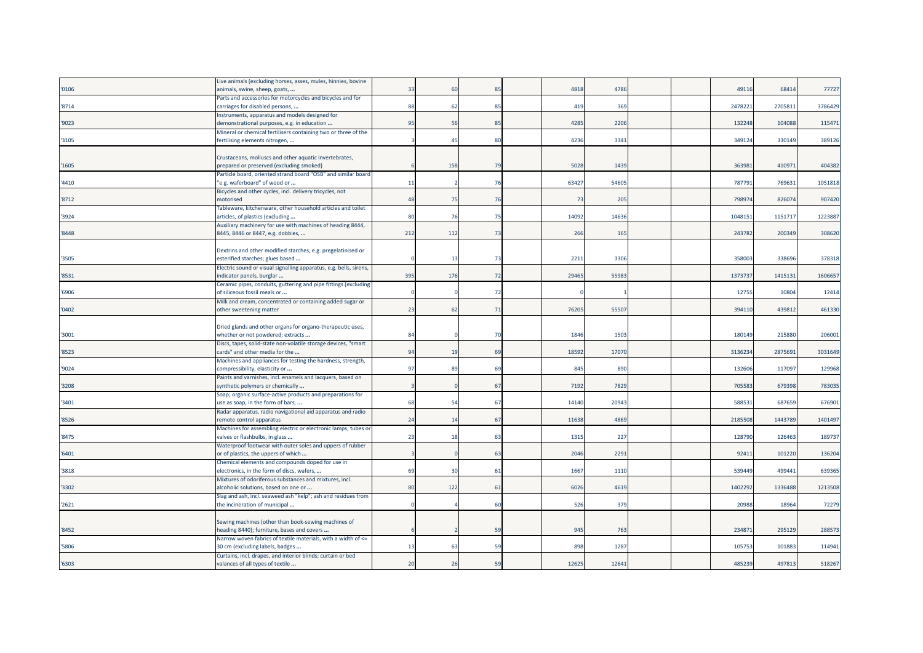|       | Live animals (excluding horses, asses, mules, hinnies, bovine                                               |     |     |    |       |       |  |         |         |         |
|-------|-------------------------------------------------------------------------------------------------------------|-----|-----|----|-------|-------|--|---------|---------|---------|
| '0106 | animals, swine, sheep, goats,                                                                               | 33  | 60  | 85 | 4818  | 4786  |  | 49116   | 68414   | 77727   |
|       | Parts and accessories for motorcycles and bicycles and for                                                  |     |     |    |       |       |  |         |         |         |
| '8714 | carriages for disabled persons,                                                                             | 88  | 62  | 85 | 419   | 369   |  | 2478221 | 270581  | 3786429 |
|       | Instruments, apparatus and models designed for                                                              |     |     |    |       |       |  |         |         |         |
| '9023 | demonstrational purposes, e.g. in education                                                                 | 95  | 56  | 85 | 4285  | 2206  |  | 132248  | 104088  | 115471  |
|       | Mineral or chemical fertilisers containing two or three of the                                              |     |     |    |       |       |  |         |         |         |
| '3105 | fertilising elements nitrogen,                                                                              |     | 45  | 80 | 4236  | 3341  |  | 349124  | 330149  | 389126  |
|       |                                                                                                             |     |     |    |       |       |  |         |         |         |
|       | Crustaceans, molluscs and other aquatic invertebrates,                                                      |     |     |    |       |       |  |         |         |         |
| 1605  | prepared or preserved (excluding smoked)                                                                    |     | 158 | 79 | 5028  | 1439  |  | 363983  | 410971  | 404382  |
|       | Particle board, oriented strand board "OSB" and similar board                                               |     |     |    |       |       |  |         |         |         |
| '4410 | 'e.g. waferboard" of wood or                                                                                | 11  |     | 76 | 63427 | 54605 |  | 787791  | 769631  | 1051818 |
|       | Bicycles and other cycles, incl. delivery tricycles, not                                                    |     |     |    |       |       |  |         |         |         |
| '8712 | motorised                                                                                                   | 48  | 75  | 76 | 73    | 205   |  | 798974  | 826074  | 907420  |
|       | Tableware, kitchenware, other household articles and toilet                                                 | 80  | 76  | 75 | 14092 | 14636 |  | 1048151 | 1151717 | 1223887 |
| '3924 | articles, of plastics (excluding                                                                            |     |     |    |       |       |  |         |         |         |
| '8448 | Auxiliary machinery for use with machines of heading 8444,<br>8445, 8446 or 8447, e.g. dobbies,             | 212 | 112 | 73 | 266   | 165   |  | 243782  | 200349  | 308620  |
|       |                                                                                                             |     |     |    |       |       |  |         |         |         |
|       | Dextrins and other modified starches, e.g. pregelatinised or                                                |     |     |    |       |       |  |         |         |         |
| '3505 | esterified starches; glues based                                                                            |     | 13  | 73 | 2211  | 3306  |  | 358003  | 338696  | 378318  |
|       | Electric sound or visual signalling apparatus, e.g. bells, sirens,                                          |     |     |    |       |       |  |         |         |         |
| '8531 | indicator panels, burglar                                                                                   | 395 | 176 | 72 | 29465 | 55983 |  | 137373  | 1415131 | 1606657 |
|       | Ceramic pipes, conduits, guttering and pipe fittings (excluding                                             |     |     |    |       |       |  |         |         |         |
| '6906 | of siliceous fossil meals or                                                                                |     |     | 72 |       |       |  | 12755   | 10804   | 12414   |
|       | Milk and cream, concentrated or containing added sugar or                                                   |     |     |    |       |       |  |         |         |         |
| 0402  | other sweetening matter                                                                                     | 23  | 62  | 71 | 76205 | 55507 |  | 394110  | 439812  | 461330  |
|       |                                                                                                             |     |     |    |       |       |  |         |         |         |
|       | Dried glands and other organs for organo-therapeutic uses,                                                  |     |     |    |       |       |  |         |         |         |
| '3001 | whether or not powdered; extracts                                                                           | 84  |     | 70 | 1846  | 1503  |  | 180149  | 215880  | 206001  |
|       | Discs, tapes, solid-state non-volatile storage devices, "smart                                              |     |     |    |       |       |  |         |         |         |
| '8523 | cards" and other media for the                                                                              | 94  | 19  | 69 | 18592 | 17070 |  | 3136234 | 2875691 | 3031649 |
|       | Machines and appliances for testing the hardness, strength,                                                 |     |     |    |       |       |  |         |         |         |
| '9024 | compressibility, elasticity or                                                                              | 97  | 89  | 69 | 845   | 890   |  | 132606  | 117097  | 129968  |
|       | Paints and varnishes, incl. enamels and lacquers, based on                                                  |     |     |    |       |       |  |         |         |         |
| 3208  | synthetic polymers or chemically                                                                            |     |     | 67 | 7192  | 7829  |  | 705583  | 679398  | 783035  |
|       | Soap; organic surface-active products and preparations for                                                  |     |     |    |       |       |  |         |         |         |
| 3401  | use as soap, in the form of bars,                                                                           | 68  | 54  | 67 | 14140 | 20943 |  | 58853   | 687659  | 676901  |
|       | Radar apparatus, radio navigational aid apparatus and radio                                                 |     |     |    |       |       |  |         |         |         |
| '8526 | remote control apparatus                                                                                    | 24  | 14  | 67 | 11638 | 4869  |  | 2185508 | 1443789 | 1401497 |
|       | Machines for assembling electric or electronic lamps, tubes or                                              |     |     |    |       |       |  |         |         |         |
| '8475 | valves or flashbulbs, in glass                                                                              | 23  | 18  | 63 | 1315  | 227   |  | 128790  | 126463  | 189737  |
|       | Waterproof footwear with outer soles and uppers of rubber                                                   |     |     |    |       |       |  |         |         |         |
| '6401 | or of plastics, the uppers of which                                                                         |     |     | 63 | 2046  | 2291  |  | 92411   | 101220  | 136204  |
|       | Chemical elements and compounds doped for use in                                                            |     |     |    |       |       |  |         |         |         |
| '3818 | electronics, in the form of discs, wafers,                                                                  | 69  | 30  | 61 | 1667  | 1110  |  | 539449  | 499441  | 639365  |
|       | Mixtures of odoriferous substances and mixtures, incl.                                                      |     |     |    |       |       |  |         |         |         |
| 3302  | alcoholic solutions, based on one or                                                                        | 80  | 122 | 61 | 6026  | 4619  |  | 1402292 | 1336488 | 1213508 |
|       | Slag and ash, incl. seaweed ash "kelp"; ash and residues from                                               |     |     |    |       |       |  |         |         |         |
| '2621 | the incineration of municipal                                                                               |     |     | 60 | 526   | 379   |  | 20988   | 18964   | 72279   |
|       |                                                                                                             |     |     |    |       |       |  |         |         |         |
|       | Sewing machines (other than book-sewing machines of                                                         |     |     | 59 | 945   |       |  | 234871  | 295129  | 288573  |
| 8452  | heading 8440); furniture, bases and covers<br>Narrow woven fabrics of textile materials, with a width of <= |     |     |    |       | 763   |  |         |         |         |
| 5806  | 30 cm (excluding labels, badges                                                                             | 13  | 63  | 59 | 898   | 1287  |  | 105753  | 101883  | 114941  |
|       | Curtains, incl. drapes, and interior blinds; curtain or bed                                                 |     |     |    |       |       |  |         |         |         |
| '6303 | valances of all types of textile                                                                            | 20  | 26  | 59 | 12625 | 12641 |  | 485239  | 497813  | 518267  |
|       |                                                                                                             |     |     |    |       |       |  |         |         |         |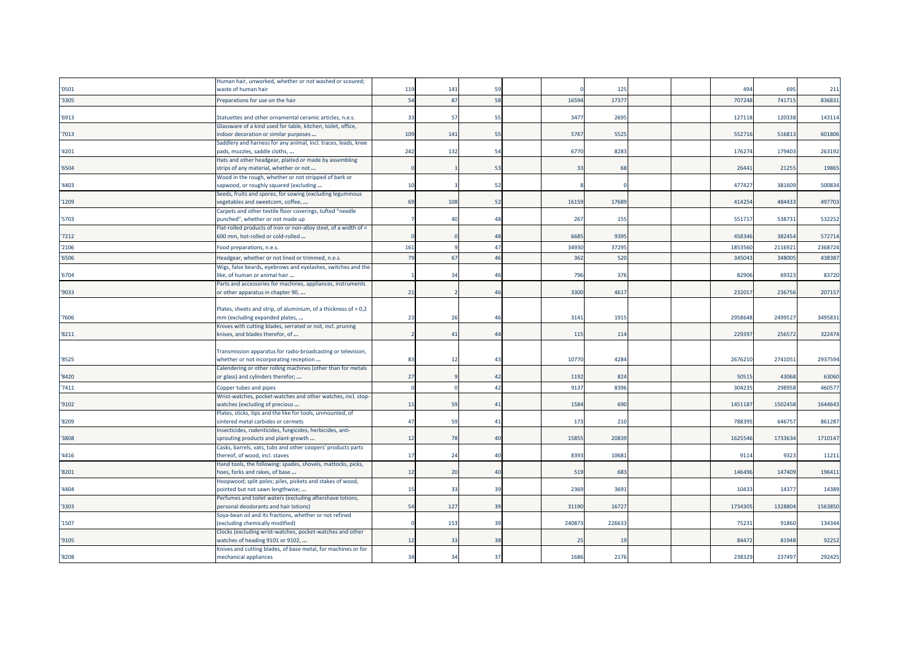|       | Human hair, unworked, whether or not washed or scoured;                                                                                                                |     |                |                |       |       |  |         |         |         |
|-------|------------------------------------------------------------------------------------------------------------------------------------------------------------------------|-----|----------------|----------------|-------|-------|--|---------|---------|---------|
| '0501 | waste of human hair                                                                                                                                                    | 119 | 141            | 59             |       | 125   |  | 494     | 695     | 211     |
| '3305 | Preparations for use on the hair                                                                                                                                       | 54  | 87             | 58             | 16594 | 1737  |  | 707248  | 74171   | 836831  |
| '6913 | Statuettes and other ornamental ceramic articles, n.e.s.                                                                                                               | 33  | -57            | 55             | 3477  | 269   |  | 12711   | 120338  | 143114  |
| '7013 | Glassware of a kind used for table, kitchen, toilet, office,<br>indoor decoration or similar purposes                                                                  | 109 | 141            | 55             | 5767  | 5525  |  | 55271   | 51681   | 601806  |
| '4201 | Saddlery and harness for any animal, incl. traces, leads, knee<br>pads, muzzles, saddle cloths,                                                                        | 242 | 132            | 54             | 6770  | 8283  |  | 17627   | 179403  | 263192  |
| '6504 | Hats and other headgear, plaited or made by assembling<br>strips of any material, whether or not                                                                       |     |                | 53             | 33    | 68    |  | 2644    | 21255   | 19865   |
| '4403 | Wood in the rough, whether or not stripped of bark or<br>sapwood, or roughly squared (excluding                                                                        | 10  |                | 52             |       |       |  | 47742   | 381609  | 500834  |
| '1209 | Seeds, fruits and spores, for sowing (excluding leguminous<br>vegetables and sweetcorn, coffee,                                                                        | 69  | 108            | 52             | 16159 | 1768  |  | 41425   | 484433  | 497703  |
| '5703 | Carpets and other textile floor coverings, tufted "needle<br>punched", whether or not made up                                                                          |     | $\Delta$       | 48             | 267   | 155   |  | 551717  | 53873   | 532252  |
| '7212 | Flat-rolled products of iron or non-alloy steel, of a width of <<br>600 mm, hot-rolled or cold-rolled                                                                  |     |                | 48             | 6685  | 9395  |  | 458346  | 382454  | 572714  |
| '2106 | Food preparations, n.e.s.                                                                                                                                              | 161 |                | 47             | 34930 | 3729  |  | 1853560 | 211692  | 2368724 |
| '6506 | Headgear, whether or not lined or trimmed, n.e.s.                                                                                                                      | 79  | 67             | 46             | 362   | 52    |  | 34504   | 34800   | 438387  |
| '6704 | Wigs, false beards, eyebrows and eyelashes, switches and the<br>like, of human or animal hair                                                                          |     | 34             | 46             | 796   | 376   |  | 82906   | 69323   | 83720   |
| '9033 | Parts and accessories for machines, appliances, instruments<br>or other apparatus in chapter 90,                                                                       | 21  |                | 46             | 3300  | 4617  |  | 23201   | 236756  | 207157  |
| '7606 | Plates, sheets and strip, of aluminium, of a thickness of > 0,2<br>mm (excluding expanded plates,                                                                      | 23  | 26             | 46             | 3141  | 1915  |  | 295864  | 249952  | 349583  |
| '8211 | Knives with cutting blades, serrated or not, incl. pruning<br>knives, and blades therefor, of                                                                          |     | 41             | 44             | 115   | 114   |  | 22939   | 256572  | 322474  |
| '8525 | Transmission apparatus for radio-broadcasting or television,<br>whether or not incorporating reception<br>Calendering or other rolling machines (other than for metals | 83  | 12             | 4 <sup>3</sup> | 1077  | 4284  |  | 267621  | 274105  | 2937594 |
| '8420 | or glass) and cylinders therefor;                                                                                                                                      | 27  |                | 42             | 1192  | 824   |  | 5051    | 43068   | 63060   |
| '7411 | Copper tubes and pipes                                                                                                                                                 |     |                | 42             | 9137  | 839   |  | 30423   | 29895   | 46057   |
| '9102 | Wrist-watches, pocket-watches and other watches, incl. stop-<br>watches (excluding of precious                                                                         | 11  | 59             | 41             | 1584  | 690   |  | 145118  | 1502458 | 1644643 |
| '8209 | Plates, sticks, tips and the like for tools, unmounted, of<br>sintered metal carbides or cermets                                                                       | 47  | 59             | 41             | 173   | 210   |  | 78839   | 64675   | 86128   |
| '3808 | Insecticides, rodenticides, fungicides, herbicides, anti-<br>sprouting products and plant-growth                                                                       | 12  | 78             | 40             | 15855 | 2083  |  | 1625546 | 1733634 | 1710147 |
| '4416 | Casks, barrels, vats, tubs and other coopers' products parts<br>thereof, of wood, incl. staves                                                                         | 17  | 2 <sup>l</sup> | $\Delta$ C     | 8393  | 1068  |  | 9114    | 9323    | 11211   |
| '8201 | Hand tools, the following: spades, shovels, mattocks, picks,<br>noes, forks and rakes, of base                                                                         | 12  | 2 <sup>0</sup> | 4(             | 519   | 68    |  | 14649   | 147409  | 196411  |
| '4404 | Hoopwood; split poles; piles, pickets and stakes of wood,<br>pointed but not sawn lengthwise;                                                                          | 15  | 33             | 39             | 2369  | 3691  |  | 10433   | 1437    | 14389   |
| '3303 | Perfumes and toilet waters (excluding aftershave lotions,<br>personal deodorants and hair lotions)                                                                     | 54  | 127            | 39             | 31190 | 1672  |  | 173430  | 1328804 | 1563850 |
| '1507 | Soya-bean oil and its fractions, whether or not refined<br>(excluding chemically modified)                                                                             |     | 153            | 39             | 24087 | 22663 |  | 75231   | 91860   | 134344  |
| '9105 | Clocks (excluding wrist-watches, pocket-watches and other<br>watches of heading 9101 or 9102,                                                                          | 12  | 33             | 38             | 25    | 19    |  | 8447    | 81948   | 92252   |
| '8208 | Knives and cutting blades, of base metal, for machines or for<br>mechanical appliances                                                                                 | 34  | 34             | 37             | 1686  | 2176  |  | 238329  | 237497  | 292425  |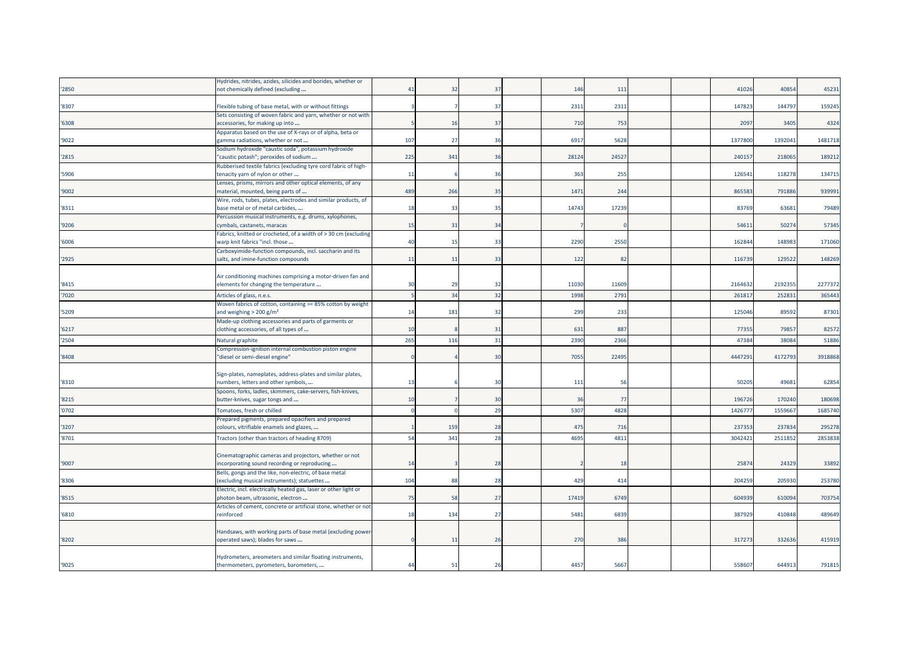|       | Hydrides, nitrides, azides, silicides and borides, whether or                                          |     |       |                |       |      |  |         |         |         |
|-------|--------------------------------------------------------------------------------------------------------|-----|-------|----------------|-------|------|--|---------|---------|---------|
| '2850 | not chemically defined (excluding                                                                      | 41  | -32   | 37             | 146   | 111  |  | 41026   | 40854   | 45231   |
|       |                                                                                                        |     |       |                |       |      |  |         |         |         |
| '8307 | Flexible tubing of base metal, with or without fittings                                                |     |       | 37             | 2311  | 2311 |  | 147823  | 144797  | 159245  |
|       | Sets consisting of woven fabric and yarn, whether or not with                                          |     |       |                |       |      |  |         |         |         |
| '6308 | accessories, for making up into                                                                        |     | 16    | 37             | 710   | 753  |  | 2097    | 3405    | 4324    |
|       | Apparatus based on the use of X-rays or of alpha, beta or                                              | 107 | 27    | 36             | 6917  | 5628 |  | 1377800 | 139204  | 1481718 |
| '9022 | gamma radiations, whether or not<br>Sodium hydroxide "caustic soda", potassium hydroxide               |     |       |                |       |      |  |         |         |         |
| '2815 | "caustic potash"; peroxides of sodium                                                                  | 225 | 341   | 36             | 28124 | 2452 |  | 240157  | 218065  | 189212  |
|       | Rubberised textile fabrics (excluding tyre cord fabric of high-                                        |     |       |                |       |      |  |         |         |         |
| '5906 | tenacity yarn of nylon or other                                                                        | 11  |       | 36             | 363   | 255  |  | 12654   | 118278  | 134715  |
|       | Lenses, prisms, mirrors and other optical elements, of any                                             |     |       |                |       |      |  |         |         |         |
| '9002 | material, mounted, being parts of                                                                      | 489 | 266   | 35             | 147   | 244  |  | 86558   | 791886  | 939991  |
|       | Wire, rods, tubes, plates, electrodes and similar products, of                                         |     |       |                |       |      |  |         |         |         |
| '8311 | base metal or of metal carbides,                                                                       | 18  | 33    | 35             | 14743 | 1723 |  | 8376    | 6368    | 79489   |
|       | Percussion musical instruments, e.g. drums, xylophones,                                                |     |       |                |       |      |  |         |         |         |
| '9206 | cymbals, castanets, maracas                                                                            | 15  | 31    | 34             |       |      |  | 5461    | 50274   | 57345   |
|       | Fabrics, knitted or crocheted, of a width of > 30 cm (excluding                                        |     |       |                |       |      |  |         |         |         |
| '6006 | warp knit fabrics "incl. those                                                                         | 40  | $-15$ | 33             | 2290  | 2550 |  | 16284   | 14898   | 171060  |
| '2925 | Carboxyimide-function compounds, incl. saccharin and its                                               | 11  | 11    | 33             | 122   | 82   |  | 11673   | 129522  | 148269  |
|       | salts, and imine-function compounds                                                                    |     |       |                |       |      |  |         |         |         |
|       | Air conditioning machines comprising a motor-driven fan and                                            |     |       |                |       |      |  |         |         |         |
| '8415 | elements for changing the temperature                                                                  | 30  | 29    | 32             | 11030 | 1160 |  | 2164632 | 2192355 | 2277372 |
| '7020 | Articles of glass, n.e.s.                                                                              |     | 34    | 32             | 1998  | 2791 |  | 26181   | 25283   | 365443  |
|       | Woven fabrics of cotton, containing >= 85% cotton by weight                                            |     |       |                |       |      |  |         |         |         |
| '5209 | and weighing $> 200$ g/m <sup>2</sup>                                                                  | 14  | 181   | 32             | 299   | 233  |  | 125046  | 89592   | 87301   |
|       | Made-up clothing accessories and parts of garments or                                                  |     |       |                |       |      |  |         |         |         |
| '6217 | clothing accessories, of all types of                                                                  | 10  |       | 31             | 631   | 887  |  | 77355   | 79857   | 82572   |
| '2504 | Natural graphite                                                                                       | 265 | 116   | 31             | 2390  | 2366 |  | 4738    | 3808    | 51886   |
|       | Compression-ignition internal combustion piston engine                                                 |     |       |                |       |      |  |         |         |         |
| '8408 | "diesel or semi-diesel engine"                                                                         |     |       | 3 <sub>C</sub> | 7055  | 2249 |  | 444729  | 417279  | 3918868 |
|       |                                                                                                        |     |       |                |       |      |  |         |         |         |
|       | Sign-plates, nameplates, address-plates and similar plates,                                            |     |       |                |       |      |  |         |         |         |
| '8310 | numbers, letters and other symbols,                                                                    | 13  |       | 3 <sup>c</sup> | 111   | 50   |  | 5020    | 49681   | 62854   |
|       | Spoons, forks, ladles, skimmers, cake-servers, fish-knives,                                            |     |       |                |       | 77   |  |         |         |         |
| '8215 | butter-knives, sugar tongs and                                                                         | 10  |       | 30             | 36    |      |  | 19672   | 170240  | 180698  |
| '0702 | Tomatoes, fresh or chilled                                                                             |     |       | 29             | 5307  | 4828 |  | 142677  | 155966  | 1685740 |
|       | Prepared pigments, prepared opacifiers and prepared                                                    |     |       |                |       |      |  |         |         |         |
| '3207 | colours, vitrifiable enamels and glazes,                                                               |     | 159   | 28             | 475   | 716  |  | 237353  | 237834  | 295278  |
| '8701 | Tractors (other than tractors of heading 8709)                                                         | 54  | 341   | 28             | 4695  | 4811 |  | 304242  | 2511852 | 2853838 |
|       |                                                                                                        |     |       |                |       |      |  |         |         |         |
| '9007 | Cinematographic cameras and projectors, whether or not                                                 | 14  |       | 28             |       | 18   |  | 2587    | 24329   | 33892   |
|       | incorporating sound recording or reproducing<br>Bells, gongs and the like, non-electric, of base metal |     |       |                |       |      |  |         |         |         |
| '8306 | (excluding musical instruments); statuettes                                                            | 104 | 88    | 28             | 429   | 414  |  | 20425   | 205930  | 253780  |
|       | Electric, incl. electrically heated gas, laser or other light or                                       |     |       |                |       |      |  |         |         |         |
| '8515 | photon beam, ultrasonic, electron                                                                      | 75  | 58    | 27             | 17419 | 6749 |  | 60493   | 610094  | 703754  |
|       | Articles of cement, concrete or artificial stone, whether or not                                       |     |       |                |       |      |  |         |         |         |
| '6810 | reinforced                                                                                             | 18  | 134   | 27             | 5481  | 683  |  | 387929  | 410848  | 489649  |
|       |                                                                                                        |     |       |                |       |      |  |         |         |         |
|       | Handsaws, with working parts of base metal (excluding power                                            |     |       |                |       |      |  |         |         |         |
| '8202 | operated saws); blades for saws                                                                        |     | 11    | 26             | 270   | 386  |  | 317273  | 332636  | 415919  |
|       |                                                                                                        |     |       |                |       |      |  |         |         |         |
| '9025 | Hydrometers, areometers and similar floating instruments,<br>thermometers, pyrometers, barometers,     | 44  | 51    | 26             | 4457  | 5667 |  | 558607  | 644913  | 791815  |
|       |                                                                                                        |     |       |                |       |      |  |         |         |         |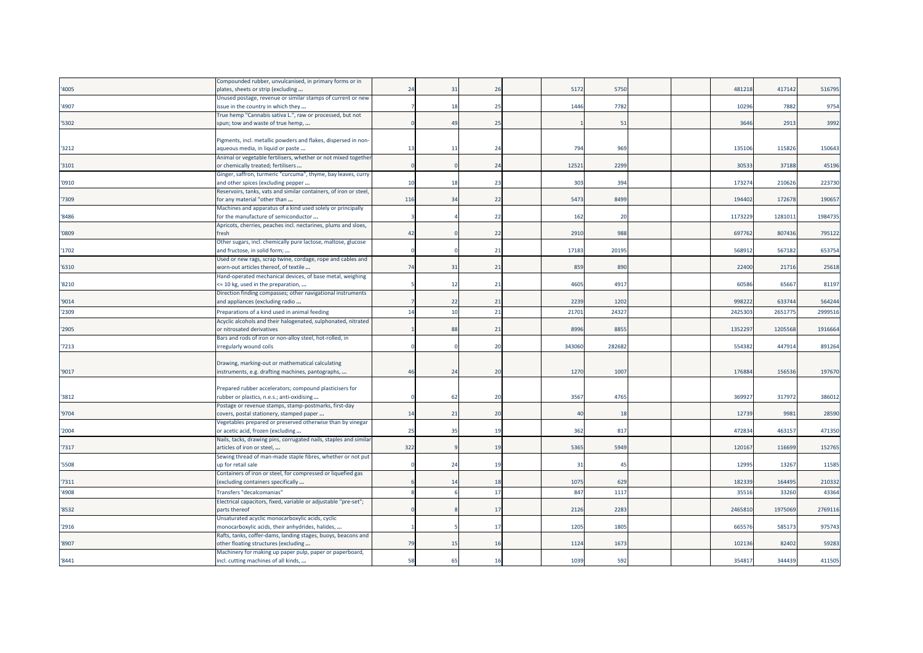|       | Compounded rubber, unvulcanised, in primary forms or in                                                |     |     |                |        |        |  |        |         |         |
|-------|--------------------------------------------------------------------------------------------------------|-----|-----|----------------|--------|--------|--|--------|---------|---------|
| '4005 | plates, sheets or strip (excluding<br>Unused postage, revenue or similar stamps of current or new      | 24  | 31  | 26             | 5172   | 5750   |  | 481218 | 417142  | 516795  |
| '4907 | issue in the country in which they                                                                     |     | 18  | 25             | 1446   | 7782   |  | 10296  | 7882    | 9754    |
|       | True hemp "Cannabis sativa L.", raw or processed, but not                                              |     |     |                |        |        |  |        |         |         |
| '5302 | spun; tow and waste of true hemp,                                                                      |     | 49  | 25             |        | 51     |  | 3646   | 2913    | 3992    |
|       |                                                                                                        |     |     |                |        |        |  |        |         |         |
|       | Pigments, incl. metallic powders and flakes, dispersed in non-                                         |     |     |                |        |        |  |        |         |         |
| '3212 | aqueous media, in liquid or paste                                                                      | 13  | -11 | 24             | 794    | 969    |  | 13510  | 11582   | 150643  |
|       | Animal or vegetable fertilisers, whether or not mixed together                                         |     |     | 24             | 12521  | 2299   |  | 30533  | 37188   | 45196   |
| '3101 | or chemically treated; fertilisers<br>Ginger, saffron, turmeric "curcuma", thyme, bay leaves, curry    |     |     |                |        |        |  |        |         |         |
| '0910 | and other spices (excluding pepper                                                                     | 10  | 18  | 23             | 303    | 394    |  | 173274 | 210626  | 223730  |
|       | Reservoirs, tanks, vats and similar containers, of iron or steel,                                      |     |     |                |        |        |  |        |         |         |
| '7309 | for any material "other than                                                                           | 116 | 34  | 22             | 5473   | 8499   |  | 194402 | 172678  | 190657  |
|       | Machines and apparatus of a kind used solely or principally                                            |     |     |                |        |        |  |        |         |         |
| '8486 | for the manufacture of semiconductor                                                                   |     |     | 22             | 162    | 20     |  | 117322 | 128101  | 1984735 |
|       | Apricots, cherries, peaches incl. nectarines, plums and sloes,                                         |     |     |                |        |        |  |        |         |         |
| '0809 | fresh                                                                                                  | 42  |     | 22             | 2910   | 988    |  | 69776  | 807436  | 795122  |
|       | Other sugars, incl. chemically pure lactose, maltose, glucose                                          |     |     |                |        |        |  |        |         |         |
| '1702 | and fructose, in solid form;<br>Used or new rags, scrap twine, cordage, rope and cables and            |     |     | 21             | 17183  | 20195  |  | 56891  | 567182  | 653754  |
| '6310 | worn-out articles thereof, of textile                                                                  | 74  | 31  | 21             | 859    | 890    |  | 22400  | 21716   | 25618   |
|       | Hand-operated mechanical devices, of base metal, weighing                                              |     |     |                |        |        |  |        |         |         |
| '8210 | <= 10 kg, used in the preparation,                                                                     |     | 12  | 21             | 4605   | 4917   |  | 60586  | 65667   | 81197   |
|       | Direction finding compasses; other navigational instruments                                            |     |     |                |        |        |  |        |         |         |
| '9014 | and appliances (excluding radio                                                                        |     | 22  | 21             | 2239   | 1202   |  | 99822  | 63374   | 564244  |
| '2309 | Preparations of a kind used in animal feeding                                                          | 14  | 10  | 21             | 21701  | 2432   |  | 242530 | 265177  | 2999516 |
|       | Acyclic alcohols and their halogenated, sulphonated, nitrated                                          |     |     |                |        |        |  |        |         |         |
| '2905 | or nitrosated derivatives                                                                              |     | 88  | 21             | 8996   | 885    |  | 135229 | 120556  | 1916664 |
|       | Bars and rods of iron or non-alloy steel, hot-rolled, in                                               |     |     |                |        |        |  |        |         |         |
| '7213 | irregularly wound coils                                                                                |     |     | 20             | 343060 | 282682 |  | 554382 | 447914  | 891264  |
|       | Drawing, marking-out or mathematical calculating                                                       |     |     |                |        |        |  |        |         |         |
| '9017 | instruments, e.g. drafting machines, pantographs,                                                      | 46  | 24  | 20             | 1270   | 1007   |  | 176884 | 156536  | 197670  |
|       |                                                                                                        |     |     |                |        |        |  |        |         |         |
|       | Prepared rubber accelerators; compound plasticisers for                                                |     |     |                |        |        |  |        |         |         |
| '3812 | rubber or plastics, n.e.s.; anti-oxidising                                                             |     | 62  | 20             | 3567   | 4765   |  | 36992  | 317972  | 386012  |
|       | Postage or revenue stamps, stamp-postmarks, first-day                                                  |     |     |                |        |        |  |        |         |         |
| '9704 | covers, postal stationery, stamped paper                                                               | 14  | 21  | 20             | 40     | 18     |  | 12739  | 9981    | 28590   |
|       | Vegetables prepared or preserved otherwise than by vinegar                                             |     |     |                |        |        |  |        |         |         |
| '2004 | or acetic acid, frozen (excluding<br>Nails, tacks, drawing pins, corrugated nails, staples and similar | 25  | 35  | 19             | 362    | 817    |  | 47283  | 46315   | 471350  |
| '7317 | articles of iron or steel,                                                                             | 322 |     | 1 <sup>c</sup> | 5365   | 5949   |  | 120167 | 116699  | 152765  |
|       | Sewing thread of man-made staple fibres, whether or not put                                            |     |     |                |        |        |  |        |         |         |
| '5508 | up for retail sale                                                                                     |     | 24  | 19             | 31     | -45    |  | 12995  | 13267   | 11585   |
|       | Containers of iron or steel, for compressed or liquefied gas                                           |     |     |                |        |        |  |        |         |         |
| '7311 | (excluding containers specifically                                                                     |     | 14  |                | 1075   | 629    |  | 18233  | 164495  | 210332  |
| '4908 | Transfers "decalcomanias"                                                                              |     |     | 17             | 847    | 1117   |  | 3551   | 33260   | 43364   |
|       | Electrical capacitors, fixed, variable or adjustable "pre-set";                                        |     |     |                |        |        |  |        |         |         |
| '8532 | parts thereof                                                                                          |     |     | 17             | 2126   | 2283   |  | 246581 | 1975069 | 2769116 |
|       | Unsaturated acyclic monocarboxylic acids, cyclic                                                       |     |     |                |        |        |  |        |         |         |
| '2916 | monocarboxylic acids, their anhydrides, halides,                                                       |     |     | 17             | 1205   | 1805   |  | 66557  | 585173  | 975743  |
| '8907 | Rafts, tanks, coffer-dams, landing stages, buoys, beacons and<br>other floating structures (excluding  | 79  | 15  | 16             | 1124   | 1673   |  | 10213  | 82402   | 59283   |
|       | Machinery for making up paper pulp, paper or paperboard,                                               |     |     |                |        |        |  |        |         |         |
| '8441 | incl. cutting machines of all kinds,                                                                   | 58  | 65  | 16             | 1039   | 592    |  | 354817 | 344439  | 411505  |
|       |                                                                                                        |     |     |                |        |        |  |        |         |         |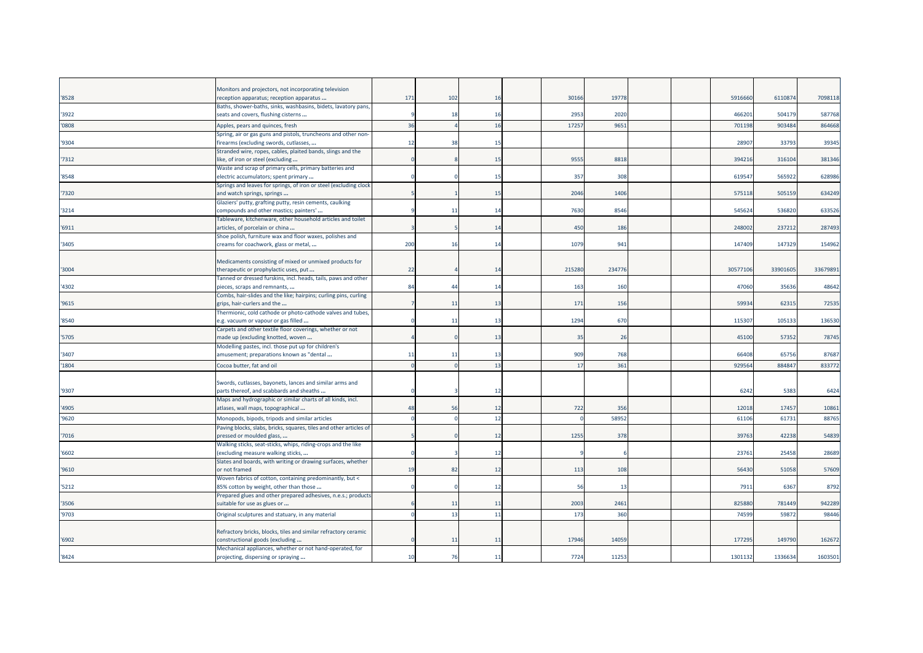|       | Monitors and projectors, not incorporating television                                                     | 171 | 102          | 16 | 30166  | 1977  |  | 5916660  | 611087   | 7098118 |
|-------|-----------------------------------------------------------------------------------------------------------|-----|--------------|----|--------|-------|--|----------|----------|---------|
| '8528 | reception apparatus; reception apparatus<br>Baths, shower-baths, sinks, washbasins, bidets, lavatory pans |     |              |    |        |       |  |          |          |         |
| '3922 | seats and covers, flushing cisterns                                                                       |     | -1           | 16 | 2953   | 2020  |  | 46620    | 504179   | 587768  |
| '0808 | Apples, pears and quinces, fresh                                                                          | 36  |              | 16 | 17257  | 965   |  | 701198   | 903484   | 864668  |
|       | Spring, air or gas guns and pistols, truncheons and other non-                                            |     |              |    |        |       |  |          |          |         |
| '9304 | firearms (excluding swords, cutlasses,                                                                    | 12  | 38           | 15 |        |       |  | 2890     | 33793    | 39345   |
| '7312 | Stranded wire, ropes, cables, plaited bands, slings and the<br>like, of iron or steel (excluding          |     |              | 15 | 9555   | 8818  |  | 394216   | 316104   | 381346  |
|       | Waste and scrap of primary cells, primary batteries and                                                   |     |              |    |        |       |  |          |          |         |
| '8548 | electric accumulators; spent primary                                                                      |     |              | 15 | 357    | 308   |  | 61954    | 56592    | 628986  |
|       | Springs and leaves for springs, of iron or steel (excluding clock                                         |     |              |    |        |       |  |          |          |         |
| '7320 | and watch springs, springs                                                                                |     |              | 15 | 2046   | 1406  |  | 575118   | 505159   | 634249  |
| '3214 | Glaziers' putty, grafting putty, resin cements, caulking<br>compounds and other mastics; painters'        |     | $\mathbf{1}$ | 14 | 7630   | 8546  |  | 54562    | 536820   | 633526  |
|       | Tableware, kitchenware, other household articles and toilet                                               |     |              |    |        |       |  |          |          |         |
| '6911 | articles, of porcelain or china                                                                           |     |              | 14 | 450    | 186   |  | 248002   | 237212   | 287493  |
|       | Shoe polish, furniture wax and floor waxes, polishes and                                                  |     |              |    |        |       |  |          |          |         |
| '3405 | creams for coachwork, glass or metal,                                                                     | 200 | 16           | 14 | 1079   | 941   |  | 147409   | 147329   | 154962  |
|       |                                                                                                           |     |              |    |        |       |  |          |          |         |
|       | Medicaments consisting of mixed or unmixed products for                                                   |     |              |    |        |       |  |          |          |         |
| '3004 | therapeutic or prophylactic uses, put<br>Fanned or dressed furskins, incl. heads, tails, paws and other   | 22  |              | 14 | 215280 | 23477 |  | 30577106 | 33901605 | 3367989 |
| '4302 | pieces, scraps and remnants,                                                                              | 84  | 44           | 14 | 163    | 160   |  | 47060    | 35636    | 48642   |
|       | Combs, hair-slides and the like; hairpins; curling pins, curling                                          |     |              |    |        |       |  |          |          |         |
| '9615 | grips, hair-curlers and the                                                                               |     | 11           | 13 | 171    | 156   |  | 5993     | 6231     | 72535   |
|       | Thermionic, cold cathode or photo-cathode valves and tubes,                                               |     |              |    |        |       |  |          |          |         |
| '8540 | e.g. vacuum or vapour or gas filled                                                                       |     | 11           | 13 | 1294   | 670   |  | 11530    | 105133   | 136530  |
|       | Carpets and other textile floor coverings, whether or not                                                 |     |              |    |        |       |  |          |          |         |
| '5705 | made up (excluding knotted, woven                                                                         |     |              | 13 | 35     | 26    |  | 45100    | 57352    | 78745   |
| '3407 | Modelling pastes, incl. those put up for children's<br>amusement; preparations known as "dental           | 11  | 11           | 13 | 909    | 768   |  | 6640     | 65756    | 87687   |
| '1804 | Cocoa butter, fat and oil                                                                                 |     |              | 13 | 17     | 361   |  | 92956    | 884847   | 833772  |
|       |                                                                                                           |     |              |    |        |       |  |          |          |         |
|       | Swords, cutlasses, bayonets, lances and similar arms and                                                  |     |              |    |        |       |  |          |          |         |
| '9307 | parts thereof, and scabbards and sheaths                                                                  |     |              | 12 |        |       |  | 6242     | 5383     | 6424    |
|       | Maps and hydrographic or similar charts of all kinds, incl.                                               |     |              |    |        |       |  |          |          |         |
| '4905 | atlases, wall maps, topographical                                                                         | 48  | 56           | 12 | 722    | 356   |  | 1201     | 17457    | 10861   |
| '9620 | Monopods, bipods, tripods and similar articles                                                            |     |              | 12 |        | 5895  |  | 6110     | 6173     | 88765   |
|       | Paving blocks, slabs, bricks, squares, tiles and other articles of                                        |     |              |    |        |       |  |          |          |         |
| '7016 | pressed or moulded glass,                                                                                 |     |              | 12 | 1255   | 378   |  | 3976     | 42238    | 54839   |
| '6602 | Walking sticks, seat-sticks, whips, riding-crops and the like<br>(excluding measure walking sticks,       |     |              | 12 |        |       |  | 2376     | 25458    | 28689   |
|       | Slates and boards, with writing or drawing surfaces, whether                                              |     |              |    |        |       |  |          |          |         |
| '9610 | or not framed                                                                                             | 19  | 82           | 12 | 113    | 108   |  | 56430    | 51058    | 57609   |
|       | Woven fabrics of cotton, containing predominantly, but <                                                  |     |              |    |        |       |  |          |          |         |
| '5212 | 85% cotton by weight, other than those                                                                    |     |              | 12 | 56     | 13    |  | 7911     | 6367     | 8792    |
|       | Prepared glues and other prepared adhesives, n.e.s.; products                                             |     |              |    |        |       |  | 82588    |          |         |
| '3506 | suitable for use as glues or                                                                              |     | 11           | 11 | 2003   | 2461  |  |          | 781449   | 942289  |
| '9703 | Original sculptures and statuary, in any material                                                         |     | 13           | 11 | 173    | 360   |  | 7459     | 5987     | 98446   |
|       | Refractory bricks, blocks, tiles and similar refractory ceramic                                           |     |              |    |        |       |  |          |          |         |
| '6902 | constructional goods (excluding                                                                           |     | 11           | 11 | 17946  | 1405  |  | 17729    | 149790   | 162672  |
|       | Mechanical appliances, whether or not hand-operated, for                                                  |     |              |    |        |       |  |          |          |         |
| '8424 | projecting, dispersing or spraying                                                                        | 10  | 76           | 11 | 7724   | 11253 |  | 1301132  | 1336634  | 1603501 |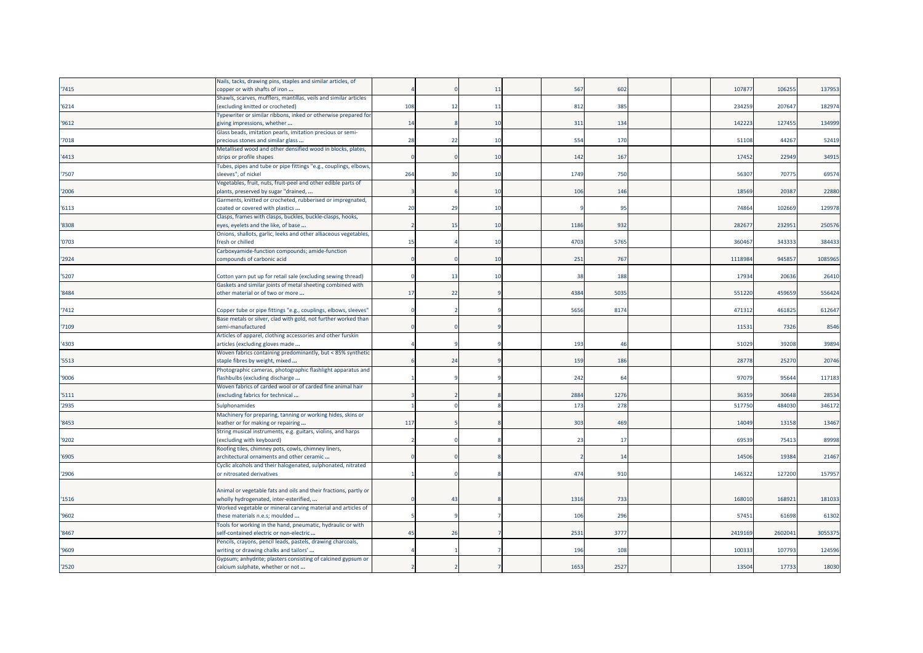|       | Nails, tacks, drawing pins, staples and similar articles, of                                     |     |                |    |                 |      |  |         |         |         |
|-------|--------------------------------------------------------------------------------------------------|-----|----------------|----|-----------------|------|--|---------|---------|---------|
| '7415 | copper or with shafts of iron                                                                    |     |                | 11 | 567             | 602  |  | 10787   | 106255  | 137953  |
|       | Shawls, scarves, mufflers, mantillas, veils and similar articles                                 |     |                |    |                 |      |  |         |         |         |
| '6214 | excluding knitted or crocheted)                                                                  | 108 | -12            | 11 | 812             | 385  |  | 234259  | 207647  | 182974  |
|       | Typewriter or similar ribbons, inked or otherwise prepared for                                   |     |                |    |                 |      |  |         |         |         |
| '9612 | giving impressions, whether                                                                      | 14  |                | 10 | 311             | 134  |  | 142223  | 127455  | 134999  |
|       | Glass beads, imitation pearls, imitation precious or semi-                                       |     |                |    |                 |      |  |         |         |         |
| '7018 | precious stones and similar glass                                                                | 28  | 22             | 10 | 554             | 170  |  | 51108   | 44267   | 52419   |
|       | Metallised wood and other densified wood in blocks, plates,                                      |     |                |    |                 |      |  |         |         |         |
| '4413 | strips or profile shapes                                                                         |     |                | 10 | 142             | 167  |  | 17452   | 22949   | 34915   |
|       | Tubes, pipes and tube or pipe fittings "e.g., couplings, elbows,                                 |     |                |    |                 |      |  |         |         |         |
| '7507 | sleeves", of nickel                                                                              | 264 | 30             | 10 | 1749            | 750  |  | 56307   | 70775   | 69574   |
|       | /egetables, fruit, nuts, fruit-peel and other edible parts of                                    |     |                |    |                 |      |  |         |         |         |
| '2006 | plants, preserved by sugar "drained,                                                             |     |                | 10 | 106             | 146  |  | 18569   | 20387   | 22880   |
|       | Garments, knitted or crocheted, rubberised or impregnated,                                       |     |                |    |                 |      |  |         |         |         |
| '6113 | coated or covered with plastics                                                                  | 20  | -29            | 10 |                 | 95   |  | 74864   | 102669  | 129978  |
|       | Clasps, frames with clasps, buckles, buckle-clasps, hooks,                                       |     |                |    |                 |      |  |         |         |         |
| '8308 | eyes, eyelets and the like, of base                                                              |     | 15             | 10 | 1186            | 932  |  | 28267   | 232951  | 250576  |
|       | Onions, shallots, garlic, leeks and other alliaceous vegetables,                                 |     |                |    |                 |      |  |         |         |         |
| '0703 | resh or chilled                                                                                  | 15  |                | 10 | 4703            | 5765 |  | 36046   | 343333  | 384433  |
|       | Carboxyamide-function compounds; amide-function                                                  |     |                |    |                 |      |  |         |         |         |
| '2924 | compounds of carbonic acid                                                                       |     |                | 10 | 251             | 767  |  | 1118984 | 945857  | 1085965 |
|       |                                                                                                  |     |                |    |                 |      |  |         |         |         |
| '5207 | Cotton yarn put up for retail sale (excluding sewing thread)                                     |     | -13            | 10 | 38              | 188  |  | 17934   | 20636   | 26410   |
|       | Gaskets and similar joints of metal sheeting combined with                                       |     |                |    |                 |      |  |         |         |         |
| '8484 | other material or of two or more                                                                 | 17  | 22             |    | 4384            | 5035 |  | 551220  | 459659  | 556424  |
|       |                                                                                                  |     |                |    |                 |      |  |         |         |         |
| 7412  | Copper tube or pipe fittings "e.g., couplings, elbows, sleeves'                                  |     |                |    | 5656            | 8174 |  | 471312  | 461825  | 612647  |
|       | Base metals or silver, clad with gold, not further worked than                                   |     |                |    |                 |      |  |         |         |         |
| '7109 | semi-manufactured<br>Articles of apparel, clothing accessories and other furskin                 |     |                |    |                 |      |  | 1153    | 7326    | 8546    |
| '4303 | articles (excluding gloves made                                                                  |     |                |    | 193             | 46   |  | 51029   | 39208   | 39894   |
|       | Woven fabrics containing predominantly, but < 85% synthetic                                      |     |                |    |                 |      |  |         |         |         |
| '5513 | staple fibres by weight, mixed                                                                   |     | 2 <sup>2</sup> |    | 159             | 186  |  | 28778   | 25270   | 20746   |
|       | Photographic cameras, photographic flashlight apparatus and                                      |     |                |    |                 |      |  |         |         |         |
| '9006 | flashbulbs (excluding discharge                                                                  |     |                |    | 242             | 64   |  | 97079   | 95644   | 117183  |
|       | Woven fabrics of carded wool or of carded fine animal hair                                       |     |                |    |                 |      |  |         |         |         |
| '5111 | excluding fabrics for technical                                                                  |     |                |    | 2884            | 1276 |  | 36359   | 30648   | 28534   |
|       |                                                                                                  |     |                |    |                 |      |  |         |         |         |
| '2935 | Sulphonamides                                                                                    |     |                |    | 173             | 278  |  | 51775   | 484030  | 346172  |
| '8453 | Machinery for preparing, tanning or working hides, skins or<br>eather or for making or repairing | 117 |                |    | 30 <sub>5</sub> | 469  |  | 14049   | 13158   | 13467   |
|       | String musical instruments, e.g. guitars, violins, and harps                                     |     |                |    |                 |      |  |         |         |         |
| '9202 | (excluding with keyboard)                                                                        |     |                |    | $2^{\circ}$     | 17   |  | 69539   | 75413   | 89998   |
|       | Roofing tiles, chimney pots, cowls, chimney liners,                                              |     |                |    |                 |      |  |         |         |         |
| '6905 | architectural ornaments and other ceramic                                                        |     |                |    |                 | 14   |  | 14506   | 19384   | 21467   |
|       | Cyclic alcohols and their halogenated, sulphonated, nitrated                                     |     |                |    |                 |      |  |         |         |         |
| '2906 | or nitrosated derivatives                                                                        |     |                |    | 474             | 910  |  | 14632   | 127200  | 157957  |
|       |                                                                                                  |     |                |    |                 |      |  |         |         |         |
|       | Animal or vegetable fats and oils and their fractions, partly or                                 |     |                |    |                 |      |  |         |         |         |
| '1516 | wholly hydrogenated, inter-esterified,                                                           |     | 43             |    | 1316            | 733  |  | 168010  | 168921  | 181033  |
|       | Worked vegetable or mineral carving material and articles of                                     |     |                |    |                 |      |  |         |         |         |
| '9602 | these materials n.e.s; moulded                                                                   |     |                |    | 106             | 296  |  | 57451   | 61698   | 61302   |
|       | Tools for working in the hand, pneumatic, hydraulic or with                                      |     |                |    |                 |      |  |         |         |         |
| '8467 | self-contained electric or non-electric                                                          | 45  | 26             |    | 2531            | 3777 |  | 2419169 | 2602041 | 3055375 |
|       | Pencils, crayons, pencil leads, pastels, drawing charcoals,                                      |     |                |    |                 |      |  |         |         |         |
| '9609 | writing or drawing chalks and tailors'                                                           |     |                |    | 196             | 108  |  | 10033   | 107793  | 124596  |
|       | Gypsum; anhydrite; plasters consisting of calcined gypsum or                                     |     |                |    |                 |      |  |         |         |         |
| '2520 | calcium sulphate, whether or not                                                                 |     |                |    | 1653            | 2527 |  | 13504   | 17733   | 18030   |
|       |                                                                                                  |     |                |    |                 |      |  |         |         |         |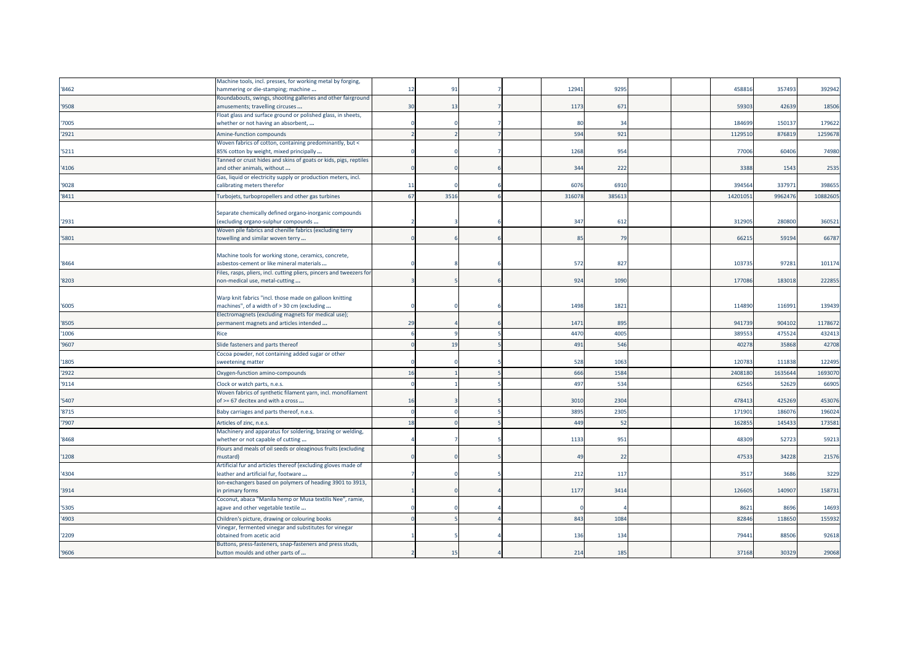|       | Machine tools, incl. presses, for working metal by forging,                                            |            |      |  |       |       |  |         |        |          |
|-------|--------------------------------------------------------------------------------------------------------|------------|------|--|-------|-------|--|---------|--------|----------|
| '8462 | nammering or die-stamping; machine                                                                     | 12         | 91   |  | 12941 | 9295  |  | 45881   | 357493 | 392942   |
|       | Roundabouts, swings, shooting galleries and other fairground                                           |            |      |  |       |       |  |         |        |          |
| '9508 | amusements; travelling circuses<br>Float glass and surface ground or polished glass, in sheets,        | 30         | 13   |  | 1173  | 67    |  | 59303   | 42639  | 18506    |
| '7005 | whether or not having an absorbent,                                                                    |            |      |  | 80    | 34    |  | 184699  | 150137 | 179622   |
| '2921 | Amine-function compounds                                                                               |            |      |  | 594   | 921   |  | 112951  | 87681  | 1259678  |
|       | Woven fabrics of cotton, containing predominantly, but <                                               |            |      |  |       |       |  |         |        |          |
| '5211 | 85% cotton by weight, mixed principally                                                                |            |      |  | 1268  | 954   |  | 77006   | 60406  | 74980    |
|       | Tanned or crust hides and skins of goats or kids, pigs, reptiles                                       |            |      |  |       |       |  |         |        |          |
| '4106 | and other animals, without                                                                             |            |      |  | 344   | 222   |  | 3388    | 1543   | 2535     |
|       | Gas, liquid or electricity supply or production meters, incl.                                          |            |      |  | 6076  |       |  | 39456   | 33797  | 398655   |
| '9028 | calibrating meters therefor                                                                            | 11         |      |  |       | 6910  |  |         |        |          |
| '8411 | Turbojets, turbopropellers and other gas turbines                                                      | 67         | 3516 |  | 31607 | 38561 |  | 1420105 | 996247 | 10882605 |
|       | Separate chemically defined organo-inorganic compounds                                                 |            |      |  |       |       |  |         |        |          |
| '2931 | excluding organo-sulphur compounds                                                                     |            |      |  | 347   | 612   |  | 31290   | 280800 | 360521   |
|       | Woven pile fabrics and chenille fabrics (excluding terry                                               |            |      |  |       |       |  |         |        |          |
| '5801 | towelling and similar woven terry                                                                      |            |      |  | 85    | 79    |  | 66215   | 59194  | 66787    |
|       |                                                                                                        |            |      |  |       |       |  |         |        |          |
|       | Machine tools for working stone, ceramics, concrete,                                                   |            |      |  |       |       |  |         |        |          |
| '8464 | asbestos-cement or like mineral materials                                                              |            |      |  | 572   | 827   |  | 10373   | 97281  | 101174   |
| '8203 | Files, rasps, pliers, incl. cutting pliers, pincers and tweezers for<br>non-medical use, metal-cutting |            |      |  | 924   | 1090  |  | 177086  | 183018 | 222855   |
|       |                                                                                                        |            |      |  |       |       |  |         |        |          |
|       | Warp knit fabrics "incl. those made on galloon knitting                                                |            |      |  |       |       |  |         |        |          |
| '6005 | machines", of a width of > 30 cm (excluding                                                            |            |      |  | 1498  | 1821  |  | 114890  | 116991 | 139439   |
|       | Electromagnets (excluding magnets for medical use);                                                    |            |      |  |       |       |  |         |        |          |
| '8505 | permanent magnets and articles intended                                                                | 29         |      |  | 1471  | 895   |  | 941739  | 904102 | 1178672  |
| '1006 | Rice                                                                                                   |            |      |  | 4470  | 4005  |  | 38955   | 47552  | 432413   |
| '9607 | Slide fasteners and parts thereof                                                                      |            | 19   |  | 491   | 546   |  | 4027    | 3586   | 42708    |
|       | Cocoa powder, not containing added sugar or other                                                      |            |      |  |       |       |  |         |        |          |
| '1805 | sweetening matter                                                                                      |            |      |  | 528   | 1063  |  | 12078   | 111838 | 122495   |
| '2922 | Oxygen-function amino-compounds                                                                        | 16         |      |  | 666   | 1584  |  | 240818  | 163564 | 1693070  |
| '9114 | Clock or watch parts, n.e.s.                                                                           | $\sqrt{ }$ |      |  | 497   | 534   |  | 6256    | 52629  | 66905    |
|       | Woven fabrics of synthetic filament yarn, incl. monofilament                                           |            |      |  |       |       |  |         |        |          |
| '5407 | of >= 67 decitex and with a cross                                                                      | 16         |      |  | 3010  | 2304  |  | 47841   | 425269 | 453076   |
| '8715 | Baby carriages and parts thereof, n.e.s.                                                               |            |      |  | 3895  | 2305  |  | 17190   | 18607  | 196024   |
| '7907 | Articles of zinc, n.e.s.                                                                               | 18         |      |  | 449   | 52    |  | 16285   | 14543  | 173581   |
|       | Machinery and apparatus for soldering, brazing or welding,                                             |            |      |  |       |       |  |         |        |          |
| '8468 | whether or not capable of cutting                                                                      |            |      |  | 1133  | 951   |  | 48309   | 52723  | 59213    |
| '1208 | Flours and meals of oil seeds or oleaginous fruits (excluding<br>mustard)                              |            |      |  | 49    | 22    |  | 47533   | 34228  | 21576    |
|       | Artificial fur and articles thereof (excluding gloves made of                                          |            |      |  |       |       |  |         |        |          |
| '4304 | leather and artificial fur, footware                                                                   |            |      |  | 212   | 117   |  | 3517    | 3686   | 3229     |
|       | Ion-exchangers based on polymers of heading 3901 to 3913,                                              |            |      |  |       |       |  |         |        |          |
| '3914 | in primary forms                                                                                       |            |      |  | 1177  | 3414  |  | 12660   | 140907 | 158731   |
|       | Coconut, abaca "Manila hemp or Musa textilis Nee", ramie,                                              |            |      |  |       |       |  |         |        |          |
| '5305 | agave and other vegetable textile                                                                      |            |      |  |       |       |  | 862     | 8696   | 14693    |
| '4903 | Children's picture, drawing or colouring books                                                         |            |      |  | 843   | 1084  |  | 8284    | 11865  | 155932   |
|       | Vinegar, fermented vinegar and substitutes for vinegar                                                 |            |      |  |       |       |  |         |        |          |
| '2209 | obtained from acetic acid<br>Buttons, press-fasteners, snap-fasteners and press studs,                 |            |      |  | 136   | 134   |  | 79441   | 88506  | 92618    |
| '9606 | button moulds and other parts of                                                                       |            | 15   |  | 214   | 185   |  | 37168   | 30329  | 29068    |
|       |                                                                                                        |            |      |  |       |       |  |         |        |          |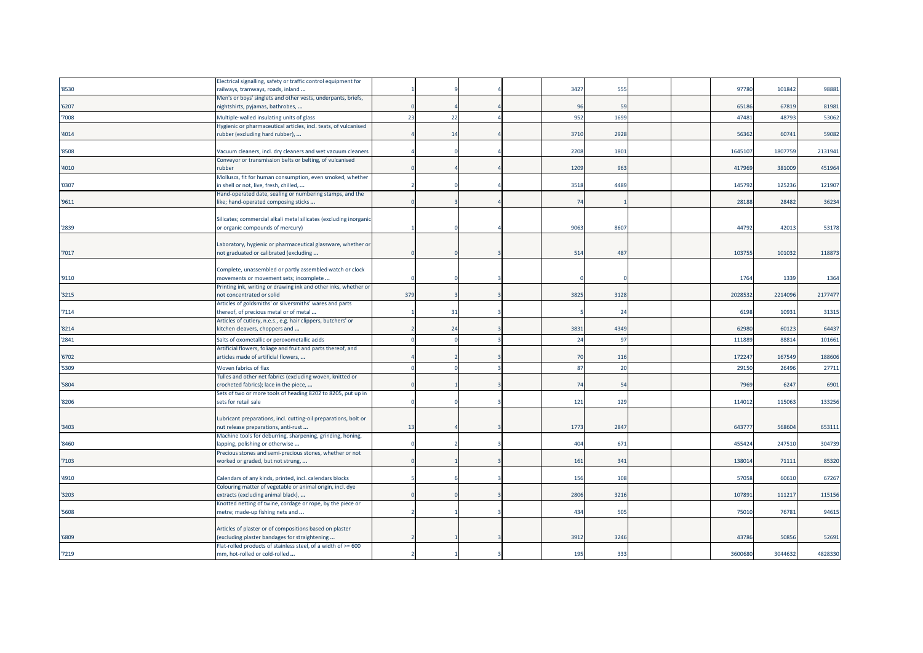|       | Electrical signalling, safety or traffic control equipment for                                      |     |                |  |      |      |  |         |         |         |
|-------|-----------------------------------------------------------------------------------------------------|-----|----------------|--|------|------|--|---------|---------|---------|
| '8530 | railways, tramways, roads, inland                                                                   |     |                |  | 3427 | 555  |  | 97780   | 101842  | 98881   |
|       | Men's or boys' singlets and other vests, underpants, briefs,                                        |     |                |  |      |      |  |         |         |         |
| '6207 | nightshirts, pyjamas, bathrobes,                                                                    |     |                |  | 96   | 59   |  | 65186   | 67819   | 81981   |
| 7008  | Multiple-walled insulating units of glass                                                           | 23  | 22             |  | 952  | 1699 |  | 47481   | 48793   | 53062   |
|       | Hygienic or pharmaceutical articles, incl. teats, of vulcanised                                     |     |                |  |      |      |  |         |         |         |
| 4014  | rubber (excluding hard rubber),                                                                     |     | 14             |  | 3710 | 2928 |  | 56362   | 60741   | 59082   |
|       |                                                                                                     |     |                |  |      |      |  |         |         |         |
| '8508 | Vacuum cleaners, incl. dry cleaners and wet vacuum cleaners                                         |     |                |  | 2208 | 1801 |  | 164510  | 1807759 | 2131941 |
|       | Conveyor or transmission belts or belting, of vulcanised                                            |     |                |  |      |      |  |         |         |         |
| 4010  | rubber                                                                                              |     |                |  | 1209 | 963  |  | 417969  | 381009  | 451964  |
|       | Molluscs, fit for human consumption, even smoked, whether                                           |     |                |  |      |      |  |         |         |         |
| '0307 | in shell or not, live, fresh, chilled,                                                              |     |                |  | 3518 | 4489 |  | 145792  | 125236  | 121907  |
|       | Hand-operated date, sealing or numbering stamps, and the                                            |     |                |  |      |      |  |         |         |         |
| '9611 | like; hand-operated composing sticks                                                                |     |                |  | 74   |      |  | 28188   | 28482   | 36234   |
|       |                                                                                                     |     |                |  |      |      |  |         |         |         |
|       | Silicates; commercial alkali metal silicates (excluding inorganic                                   |     |                |  |      |      |  |         |         |         |
| 2839  | or organic compounds of mercury)                                                                    |     |                |  | 9063 | 8607 |  | 44792   | 4201    | 53178   |
|       |                                                                                                     |     |                |  |      |      |  |         |         |         |
|       | Laboratory, hygienic or pharmaceutical glassware, whether or                                        |     |                |  |      |      |  |         |         |         |
| '7017 | not graduated or calibrated (excluding                                                              |     |                |  | 514  | 487  |  | 103755  | 101032  | 118873  |
|       | Complete, unassembled or partly assembled watch or clock                                            |     |                |  |      |      |  |         |         |         |
| '9110 | movements or movement sets; incomplete                                                              |     |                |  |      |      |  | 1764    | 1339    | 1364    |
|       | Printing ink, writing or drawing ink and other inks, whether or                                     |     |                |  |      |      |  |         |         |         |
| '3215 | not concentrated or solid                                                                           | 379 |                |  | 3825 | 3128 |  | 202853  | 2214096 | 2177477 |
|       | Articles of goldsmiths' or silversmiths' wares and parts                                            |     |                |  |      |      |  |         |         |         |
| 7114  | thereof, of precious metal or of metal                                                              |     | 31             |  |      | 24   |  | 6198    | 10931   | 31315   |
|       | Articles of cutlery, n.e.s., e.g. hair clippers, butchers' or                                       |     |                |  |      |      |  |         |         |         |
| '8214 | kitchen cleavers, choppers and                                                                      |     | 2 <sup>2</sup> |  | 3831 | 4349 |  | 62980   | 60123   | 64437   |
| '2841 | Salts of oxometallic or peroxometallic acids                                                        |     |                |  | 24   | 97   |  | 11188   | 8881    | 101661  |
|       | Artificial flowers, foliage and fruit and parts thereof, and                                        |     |                |  |      |      |  |         |         |         |
| 6702  | articles made of artificial flowers,                                                                |     |                |  | 70   | 116  |  | 172247  | 167549  | 188606  |
| '5309 | Woven fabrics of flax                                                                               |     |                |  | 87   | 20   |  | 29150   | 26496   | 27711   |
|       |                                                                                                     |     |                |  |      |      |  |         |         |         |
| 5804  | Tulles and other net fabrics (excluding woven, knitted or<br>crocheted fabrics); lace in the piece, |     |                |  | 74   | 54   |  | 7969    | 6247    | 6901    |
|       | Sets of two or more tools of heading 8202 to 8205, put up in                                        |     |                |  |      |      |  |         |         |         |
| '8206 | sets for retail sale                                                                                |     |                |  | 121  | 129  |  | 114012  | 115063  | 133256  |
|       |                                                                                                     |     |                |  |      |      |  |         |         |         |
|       | Lubricant preparations, incl. cutting-oil preparations, bolt or                                     |     |                |  |      |      |  |         |         |         |
| 3403  | nut release preparations, anti-rust                                                                 | 13  |                |  | 1773 | 2847 |  | 64377   | 568604  | 653111  |
|       | Machine tools for deburring, sharpening, grinding, honing,                                          |     |                |  |      |      |  |         |         |         |
| '8460 | lapping, polishing or otherwise                                                                     |     |                |  | 404  | 671  |  | 455424  | 247510  | 304739  |
|       | Precious stones and semi-precious stones, whether or not                                            |     |                |  |      |      |  |         |         |         |
| 7103  | worked or graded, but not strung,                                                                   |     |                |  | 161  | 341  |  | 138014  | 71111   | 85320   |
|       |                                                                                                     |     |                |  |      |      |  |         |         |         |
| '4910 | Calendars of any kinds, printed, incl. calendars blocks                                             |     |                |  | 156  | 108  |  | 57058   | 60610   | 67267   |
|       | Colouring matter of vegetable or animal origin, incl. dye                                           |     |                |  |      |      |  |         |         |         |
| '3203 | extracts (excluding animal black),                                                                  |     |                |  | 2806 | 3216 |  | 107891  | 111217  | 115156  |
|       | Knotted netting of twine, cordage or rope, by the piece or                                          |     |                |  |      |      |  |         |         |         |
| '5608 | metre; made-up fishing nets and                                                                     |     |                |  | 434  | 505  |  | 75010   | 76781   | 94615   |
|       |                                                                                                     |     |                |  |      |      |  |         |         |         |
|       | Articles of plaster or of compositions based on plaster                                             |     |                |  |      |      |  | 43786   | 50856   |         |
| '6809 | (excluding plaster bandages for straightening                                                       |     |                |  | 3912 | 3246 |  |         |         | 52691   |
| '7219 | Flat-rolled products of stainless steel, of a width of >= 600<br>mm, hot-rolled or cold-rolled      |     |                |  | 195  | 333  |  | 3600680 | 3044632 | 4828330 |
|       |                                                                                                     |     |                |  |      |      |  |         |         |         |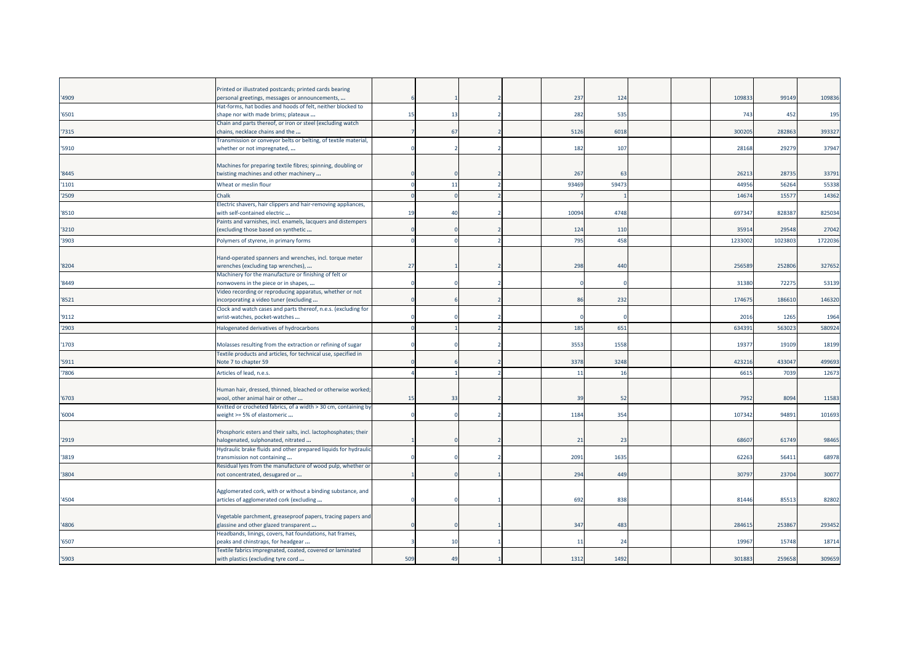|       | Printed or illustrated postcards; printed cards bearing                                               |     |                |                          |                |      |  |        |        |         |
|-------|-------------------------------------------------------------------------------------------------------|-----|----------------|--------------------------|----------------|------|--|--------|--------|---------|
| '4909 | personal greetings, messages or announcements,                                                        |     |                |                          | 237            | 124  |  | 10983  | 99149  | 109836  |
| '6501 | Hat-forms, hat bodies and hoods of felt, neither blocked to<br>shape nor with made brims; plateaux    | 15  | 13             |                          | 282            | 535  |  | 743    | 452    | 195     |
|       | Chain and parts thereof, or iron or steel (excluding watch                                            |     |                |                          |                |      |  |        |        |         |
| 7315  | chains, necklace chains and the                                                                       |     | 67             |                          | 5126           | 6018 |  | 30020  | 282863 | 393327  |
|       | Transmission or conveyor belts or belting, of textile material,                                       |     |                |                          |                |      |  |        |        |         |
| '5910 | whether or not impregnated,                                                                           |     |                |                          | 182            | 107  |  | 28168  | 29279  | 37947   |
|       |                                                                                                       |     |                |                          |                |      |  |        |        |         |
| '8445 | Machines for preparing textile fibres; spinning, doubling or<br>twisting machines and other machinery |     |                |                          | 267            | 63   |  | 2621   | 28735  | 33791   |
|       |                                                                                                       |     |                |                          |                |      |  |        |        |         |
| '1101 | Wheat or meslin flour                                                                                 |     | 11             | $\overline{\phantom{a}}$ | 93469          | 5947 |  | 4495   | 56264  | 55338   |
| '2509 | Chalk                                                                                                 |     |                |                          |                |      |  | 1467   | 1557   | 14362   |
|       | Electric shavers, hair clippers and hair-removing appliances,                                         |     |                |                          |                |      |  |        |        |         |
| '8510 | with self-contained electric                                                                          | 19  | $\overline{4}$ |                          | 10094          | 4748 |  | 69734  | 828387 | 825034  |
| '3210 | Paints and varnishes, incl. enamels, lacquers and distempers                                          |     |                |                          | 124            | 110  |  | 35914  | 29548  | 27042   |
|       | (excluding those based on synthetic                                                                   |     |                |                          |                |      |  |        |        |         |
| '3903 | Polymers of styrene, in primary forms                                                                 |     |                |                          | 795            | 458  |  | 123300 | 102380 | 1722036 |
|       |                                                                                                       |     |                |                          |                |      |  |        |        |         |
| '8204 | Hand-operated spanners and wrenches, incl. torque meter                                               | 27  |                |                          | 298            | 440  |  | 25658  | 252806 | 327652  |
|       | wrenches (excluding tap wrenches),<br>Machinery for the manufacture or finishing of felt or           |     |                |                          |                |      |  |        |        |         |
| '8449 | nonwovens in the piece or in shapes,                                                                  |     |                |                          |                |      |  | 31380  | 72275  | 53139   |
|       | Video recording or reproducing apparatus, whether or not                                              |     |                |                          |                |      |  |        |        |         |
| '8521 | incorporating a video tuner (excluding                                                                |     |                |                          | 86             | 232  |  | 17467  | 186610 | 146320  |
|       | Clock and watch cases and parts thereof, n.e.s. (excluding for                                        |     |                |                          |                |      |  |        |        |         |
| '9112 | wrist-watches, pocket-watches                                                                         |     |                |                          |                |      |  | 2016   | 1265   | 1964    |
| '2903 | Halogenated derivatives of hydrocarbons                                                               |     |                |                          | 185            | 651  |  | 63439  | 56302  | 580924  |
|       |                                                                                                       |     |                |                          |                |      |  |        |        |         |
| '1703 | Molasses resulting from the extraction or refining of sugar                                           |     |                |                          | 3553           | 1558 |  | 1937   | 19109  | 18199   |
|       | Textile products and articles, for technical use, specified in                                        |     |                |                          |                |      |  |        |        |         |
| '5911 | Note 7 to chapter 59                                                                                  |     |                |                          | 3378           | 3248 |  | 42321  | 433047 | 499693  |
| 7806  | Articles of lead, n.e.s.                                                                              |     |                |                          | $\overline{1}$ | 16   |  | 661    | 7039   | 12673   |
|       |                                                                                                       |     |                |                          |                |      |  |        |        |         |
|       | Human hair, dressed, thinned, bleached or otherwise worked                                            |     |                |                          |                |      |  |        |        |         |
| '6703 | wool, other animal hair or other<br>Knitted or crocheted fabrics, of a width > 30 cm, containing by   | 15  | 33             |                          | 39             | 52   |  | 795    | 8094   | 11583   |
| '6004 | weight >= 5% of elastomeric                                                                           |     |                |                          | 1184           | 354  |  | 10734  | 94891  | 101693  |
|       |                                                                                                       |     |                |                          |                |      |  |        |        |         |
|       | Phosphoric esters and their salts, incl. lactophosphates; their                                       |     |                |                          |                |      |  |        |        |         |
| '2919 | halogenated, sulphonated, nitrated                                                                    |     |                |                          | 21             | 23   |  | 6860   | 61749  | 98465   |
|       | Hydraulic brake fluids and other prepared liquids for hydrauli                                        |     |                |                          |                |      |  |        |        |         |
| 3819  | transmission not containing                                                                           |     |                |                          | 2091           | 1635 |  | 6226   | 5641   | 68978   |
|       | Residual lyes from the manufacture of wood pulp, whether or                                           |     |                |                          |                |      |  |        |        |         |
| '3804 | not concentrated, desugared or                                                                        |     |                |                          | 294            | 449  |  | 3079   | 23704  | 30077   |
|       |                                                                                                       |     |                |                          |                |      |  |        |        |         |
|       | Agglomerated cork, with or without a binding substance, and                                           |     |                |                          |                |      |  |        |        |         |
| '4504 | articles of agglomerated cork (excluding                                                              |     |                |                          | 692            | 838  |  | 81446  | 85513  | 82802   |
|       | Vegetable parchment, greaseproof papers, tracing papers and                                           |     |                |                          |                |      |  |        |        |         |
| '4806 | glassine and other glazed transparent                                                                 |     |                |                          | 347            | 483  |  | 28461  | 253867 | 293452  |
|       | Headbands, linings, covers, hat foundations, hat frames,                                              |     |                |                          |                |      |  |        |        |         |
| '6507 | peaks and chinstraps, for headgear                                                                    |     | 10             |                          | 1              | 24   |  | 1996   | 15748  | 18714   |
|       | Textile fabrics impregnated, coated, covered or laminated                                             |     |                |                          |                |      |  |        |        |         |
| '5903 | with plastics (excluding tyre cord                                                                    | 509 | 49             |                          | 1312           | 1492 |  | 30188  | 259658 | 309659  |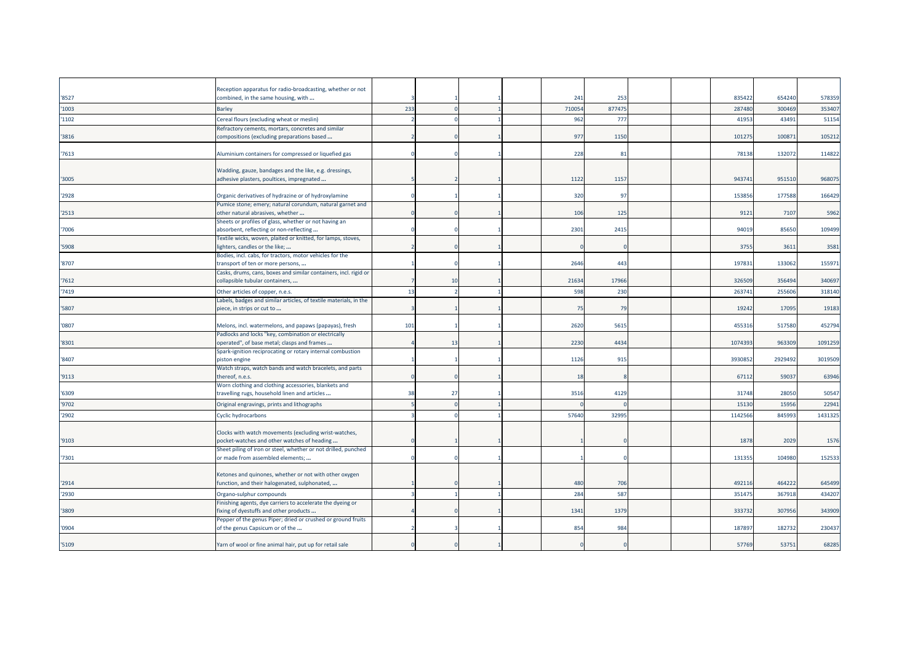|       | Reception apparatus for radio-broadcasting, whether or not                                            |     |    |  |               |               |  | 835422  | 654240  |         |
|-------|-------------------------------------------------------------------------------------------------------|-----|----|--|---------------|---------------|--|---------|---------|---------|
| '8527 | combined, in the same housing, with                                                                   | 233 |    |  | 241<br>710054 | 253<br>877475 |  | 287480  | 300469  | 578359  |
| '1003 | <b>Barley</b>                                                                                         |     |    |  |               |               |  |         |         | 353407  |
| '1102 | Cereal flours (excluding wheat or meslin)                                                             |     |    |  | 962           | 777           |  | 4195    | 43491   | 51154   |
| 3816  | Refractory cements, mortars, concretes and similar<br>compositions (excluding preparations based      |     |    |  | 977           | 1150          |  | 101275  | 10087   | 105212  |
|       |                                                                                                       |     |    |  |               |               |  |         |         |         |
| '7613 | Aluminium containers for compressed or liquefied gas                                                  |     |    |  | 228           | 81            |  | 78138   | 132072  | 114822  |
|       |                                                                                                       |     |    |  |               |               |  |         |         |         |
|       | Wadding, gauze, bandages and the like, e.g. dressings,                                                |     |    |  |               |               |  |         |         |         |
| '3005 | adhesive plasters, poultices, impregnated                                                             |     |    |  | 1122          | 1157          |  | 943741  | 951510  | 968075  |
|       |                                                                                                       |     |    |  |               |               |  |         |         |         |
| '2928 | Organic derivatives of hydrazine or of hydroxylamine                                                  |     |    |  | 320           | 97            |  | 153856  | 177588  | 166429  |
| '2513 | Pumice stone; emery; natural corundum, natural garnet and<br>other natural abrasives, whether         |     |    |  | 106           | 125           |  | 9121    | 7107    | 5962    |
|       | Sheets or profiles of glass, whether or not having an                                                 |     |    |  |               |               |  |         |         |         |
| 7006  | absorbent, reflecting or non-reflecting                                                               |     |    |  | 2301          | 2415          |  | 94019   | 85650   | 109499  |
|       | Textile wicks, woven, plaited or knitted, for lamps, stoves,                                          |     |    |  |               |               |  |         |         |         |
| 5908  | lighters, candles or the like;                                                                        |     |    |  |               |               |  | 3755    | 3611    | 3581    |
|       | Bodies, incl. cabs, for tractors, motor vehicles for the                                              |     |    |  |               |               |  |         |         |         |
| '8707 | transport of ten or more persons,                                                                     |     |    |  | 2646          | 443           |  | 197831  | 133062  | 155971  |
|       | Casks, drums, cans, boxes and similar containers, incl. rigid or                                      |     |    |  |               |               |  |         |         |         |
| '7612 | collapsible tubular containers,                                                                       |     | 10 |  | 21634         | 17966         |  | 326509  | 356494  | 340697  |
| 7419  | Other articles of copper, n.e.s.                                                                      | 13  |    |  | 598           | 230           |  | 26374   | 25560   | 318140  |
|       | Labels, badges and similar articles, of textile materials, in the                                     |     |    |  |               |               |  |         |         |         |
| 5807  | piece, in strips or cut to                                                                            |     |    |  | 75            | - 79          |  | 19242   | 17095   | 19183   |
| '0807 | Melons, incl. watermelons, and papaws (papayas), fresh                                                | 101 |    |  | 2620          | 561           |  | 455316  | 517580  | 452794  |
|       | Padlocks and locks "key, combination or electrically                                                  |     |    |  |               |               |  |         |         |         |
| '8301 | operated", of base metal; clasps and frames                                                           |     | 13 |  | 2230          | 4434          |  | 1074393 | 963309  | 1091259 |
|       | Spark-ignition reciprocating or rotary internal combustion                                            |     |    |  |               |               |  |         |         |         |
| '8407 | piston engine                                                                                         |     |    |  | 1126          | 915           |  | 3930852 | 2929492 | 3019509 |
|       | Watch straps, watch bands and watch bracelets, and parts                                              |     |    |  |               |               |  |         |         |         |
| '9113 | thereof, n.e.s.                                                                                       |     |    |  | 18            |               |  | 67112   | 59037   | 63946   |
| '6309 | Worn clothing and clothing accessories, blankets and<br>travelling rugs, household linen and articles | 38  | 27 |  | 3516          | 4129          |  | 31748   | 28050   | 50547   |
| '9702 |                                                                                                       |     |    |  |               |               |  | 1513    | 1595    | 22941   |
|       | Original engravings, prints and lithographs                                                           |     |    |  |               |               |  |         |         |         |
| '2902 | Cyclic hydrocarbons                                                                                   |     |    |  | 57640         | 32995         |  | 1142566 | 84599   | 1431325 |
|       | Clocks with watch movements (excluding wrist-watches,                                                 |     |    |  |               |               |  |         |         |         |
| '9103 | pocket-watches and other watches of heading                                                           |     |    |  |               |               |  | 1878    | 2029    | 1576    |
|       | Sheet piling of iron or steel, whether or not drilled, punched                                        |     |    |  |               |               |  |         |         |         |
| '7301 | or made from assembled elements;                                                                      |     |    |  |               |               |  | 131355  | 104980  | 152533  |
|       |                                                                                                       |     |    |  |               |               |  |         |         |         |
|       | Ketones and quinones, whether or not with other oxygen                                                |     |    |  |               |               |  |         |         |         |
| '2914 | function, and their halogenated, sulphonated,                                                         |     |    |  | 480           | 706           |  | 492116  | 464222  | 645499  |
| '2930 | Organo-sulphur compounds                                                                              |     |    |  | 284           | 587           |  | 351475  | 367918  | 434207  |
|       | Finishing agents, dye carriers to accelerate the dyeing or                                            |     |    |  |               |               |  |         |         |         |
| '3809 | fixing of dyestuffs and other products                                                                |     |    |  | 1341          | 1379          |  | 333732  | 307956  | 343909  |
| '0904 | Pepper of the genus Piper; dried or crushed or ground fruits<br>of the genus Capsicum or of the       |     |    |  | 854           | 984           |  | 18789   | 182732  | 230437  |
|       |                                                                                                       |     |    |  |               |               |  |         |         |         |
| '5109 | Yarn of wool or fine animal hair, put up for retail sale                                              |     |    |  |               |               |  | 57769   | 53751   | 68285   |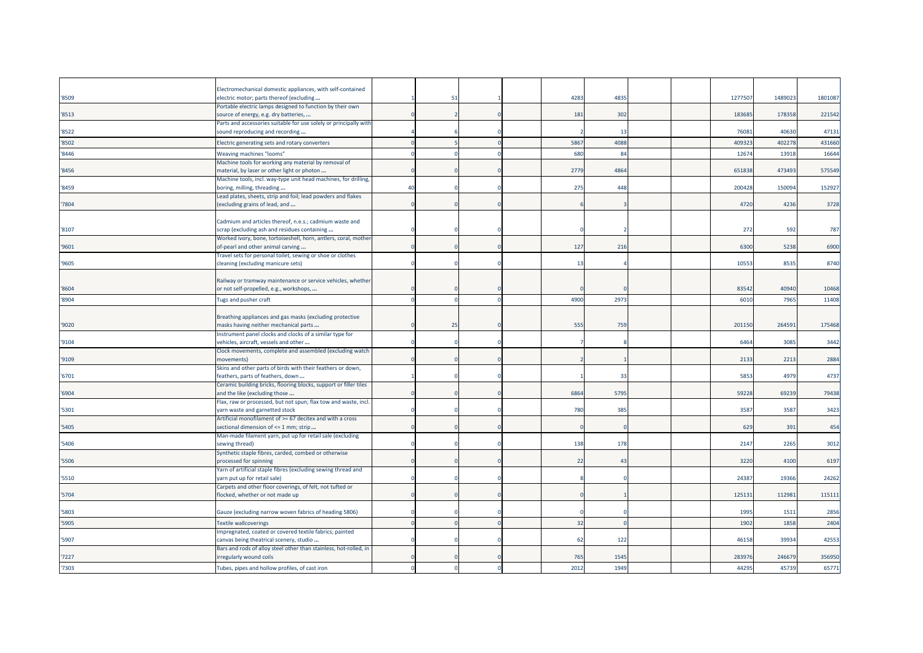| '8509 | Electromechanical domestic appliances, with self-contained<br>electric motor; parts thereof (excluding |    | 51 |  | 4283           | 4835 |  | 127750 | 148902 | 180108 |
|-------|--------------------------------------------------------------------------------------------------------|----|----|--|----------------|------|--|--------|--------|--------|
|       | Portable electric lamps designed to function by their own                                              |    |    |  |                |      |  |        |        |        |
| '8513 | source of energy, e.g. dry batteries,                                                                  |    |    |  | 181            | 302  |  | 18368  | 178358 | 221542 |
|       | Parts and accessories suitable for use solely or principally with                                      |    |    |  |                |      |  |        |        |        |
| '8522 | sound reproducing and recording                                                                        |    |    |  |                | 13   |  | 7608   | 40630  | 47131  |
| '8502 | Electric generating sets and rotary converters                                                         |    |    |  | 586            | 4088 |  | 40932  | 402278 | 431660 |
| 8446  | Weaving machines "looms"                                                                               |    |    |  | 680            | 84   |  | 1267   | 13918  | 16644  |
| 8456  | Machine tools for working any material by removal of<br>material, by laser or other light or photon    |    |    |  | 2779           | 4864 |  | 65183  | 473493 | 575549 |
|       | Machine tools, incl. way-type unit head machines, for drilling,                                        |    |    |  |                |      |  |        |        |        |
| '8459 | boring, milling, threading                                                                             | 40 |    |  | 275            | 448  |  | 20042  | 150094 | 15292  |
|       | Lead plates, sheets, strip and foil; lead powders and flakes                                           |    |    |  |                |      |  |        |        |        |
| 7804  | (excluding grains of lead, and                                                                         |    |    |  |                |      |  | 4720   | 4236   | 3728   |
|       | Cadmium and articles thereof, n.e.s.; cadmium waste and                                                |    |    |  |                |      |  |        |        |        |
| '8107 | scrap (excluding ash and residues containing                                                           |    |    |  |                |      |  | 272    | 592    | 787    |
|       | Worked ivory, bone, tortoiseshell, horn, antlers, coral, mother                                        |    |    |  |                |      |  |        |        |        |
| '9601 | of-pearl and other animal carving                                                                      |    |    |  | 127            | 216  |  | 6300   | 5238   | 6900   |
|       | Travel sets for personal toilet, sewing or shoe or clothes                                             |    |    |  |                |      |  |        |        |        |
| '9605 | cleaning (excluding manicure sets)                                                                     |    |    |  | $\overline{1}$ |      |  | 1055   | 8535   | 8740   |
|       | Railway or tramway maintenance or service vehicles, whether                                            |    |    |  |                |      |  |        |        |        |
| '8604 | or not self-propelled, e.g., workshops,                                                                |    |    |  |                |      |  | 8354   | 40940  | 10468  |
| '8904 | Tugs and pusher craft                                                                                  |    |    |  | 4900           | 2973 |  | 601    | 796    | 11408  |
|       |                                                                                                        |    |    |  |                |      |  |        |        |        |
|       | Breathing appliances and gas masks (excluding protective                                               |    |    |  |                |      |  |        |        |        |
| '9020 | masks having neither mechanical parts                                                                  |    | 25 |  | 555            | 759  |  | 20115  | 26459  | 175468 |
|       | Instrument panel clocks and clocks of a similar type for                                               |    |    |  |                |      |  |        |        |        |
| '9104 | vehicles, aircraft, vessels and other<br>Clock movements, complete and assembled (excluding watch      |    |    |  |                |      |  | 6464   | 3085   | 3442   |
| '9109 | movements)                                                                                             |    |    |  |                |      |  | 213    | 2213   | 2884   |
|       | Skins and other parts of birds with their feathers or down,                                            |    |    |  |                |      |  |        |        |        |
| '6701 | feathers, parts of feathers, down                                                                      |    |    |  |                | 33   |  | 5853   | 4979   | 4737   |
|       | Ceramic building bricks, flooring blocks, support or filler tiles                                      |    |    |  |                |      |  |        |        |        |
| '6904 | and the like (excluding those<br>Flax, raw or processed, but not spun; flax tow and waste, incl.       |    |    |  | 6864           | 5795 |  | 59228  | 69239  | 79438  |
| '5301 | yarn waste and garnetted stock                                                                         |    |    |  | 780            | 385  |  | 358    | 3587   | 3423   |
|       | Artificial monofilament of >= 67 decitex and with a cross                                              |    |    |  |                |      |  |        |        |        |
| 5405  | sectional dimension of <= 1 mm; strip                                                                  |    |    |  |                |      |  | 629    | 391    | 454    |
|       | Man-made filament yarn, put up for retail sale (excluding                                              |    |    |  |                |      |  |        |        |        |
| 5406  | sewing thread)<br>Synthetic staple fibres, carded, combed or otherwise                                 |    |    |  | 138            | 178  |  | 2147   | 2265   | 3012   |
| '5506 | processed for spinning                                                                                 |    |    |  | 2 <sup>2</sup> | 43   |  | 3220   | 4100   | 6197   |
|       | Yarn of artificial staple fibres (excluding sewing thread and                                          |    |    |  |                |      |  |        |        |        |
| '5510 | yarn put up for retail sale)                                                                           |    |    |  |                |      |  | 2438   | 19366  | 24262  |
|       | Carpets and other floor coverings, of felt, not tufted or                                              |    |    |  |                |      |  |        |        |        |
| 5704  | flocked, whether or not made up                                                                        |    |    |  |                |      |  | 12513  | 112981 | 115111 |
| 5803  | Gauze (excluding narrow woven fabrics of heading 5806)                                                 |    |    |  |                |      |  | 199    | 1511   | 2856   |
| '5905 | <b>Textile wallcoverings</b>                                                                           |    |    |  | 32             |      |  | 1902   | 1858   | 2404   |
|       | Impregnated, coated or covered textile fabrics; painted                                                |    |    |  |                |      |  |        |        |        |
| '5907 | canvas being theatrical scenery, studio                                                                |    |    |  | -62            | 122  |  | 46158  | 39934  | 42553  |
|       | Bars and rods of alloy steel other than stainless, hot-rolled, in                                      |    |    |  |                |      |  |        |        |        |
| '7227 | irregularly wound coils                                                                                |    |    |  | 765            | 1545 |  | 28397  | 246679 | 356950 |
| '7303 | Tubes, pipes and hollow profiles, of cast iron                                                         |    |    |  | 2012           | 1949 |  | 4429   | 45739  | 65771  |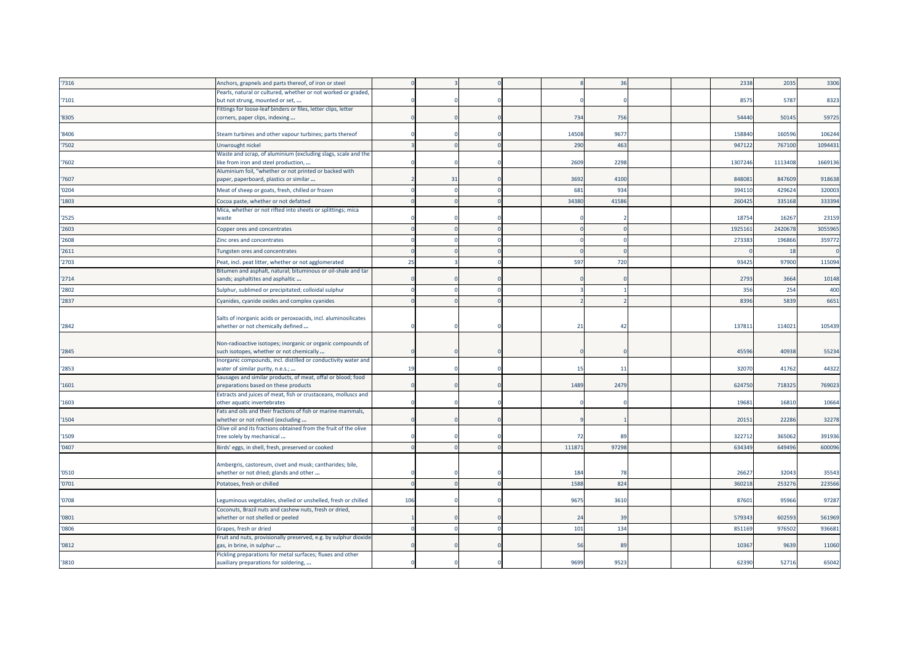| '7316 | Anchors, grapnels and parts thereof, of iron or steel                                                                   |     |    |  |              | 36    |  | 2338    | 2035    | 3306    |
|-------|-------------------------------------------------------------------------------------------------------------------------|-----|----|--|--------------|-------|--|---------|---------|---------|
|       | Pearls, natural or cultured, whether or not worked or graded,                                                           |     |    |  |              |       |  | 8575    | 5787    |         |
| '7101 | but not strung, mounted or set,<br>Fittings for loose-leaf binders or files, letter clips, letter                       |     |    |  |              |       |  |         |         | 8323    |
| '8305 | corners, paper clips, indexing                                                                                          |     |    |  | 734          | 756   |  | 54440   | 50145   | 59725   |
| '8406 | Steam turbines and other vapour turbines; parts thereof                                                                 |     |    |  | 14508        | 9677  |  | 158840  | 160596  | 106244  |
| '7502 | Unwrought nickel                                                                                                        |     |    |  | 290          | 463   |  | 947122  | 767100  | 1094431 |
|       | Waste and scrap, of aluminium (excluding slags, scale and the                                                           |     |    |  |              |       |  |         |         |         |
| '7602 | ike from iron and steel production,<br>Aluminium foil, "whether or not printed or backed with                           |     |    |  | 2609         | 2298  |  | 1307246 | 1113408 | 1669136 |
| '7607 | paper, paperboard, plastics or similar                                                                                  |     | 31 |  | 3692         | 4100  |  | 848081  | 847609  | 918638  |
| '0204 | Meat of sheep or goats, fresh, chilled or frozen                                                                        |     |    |  | 68           | 934   |  | 394110  | 429624  | 320003  |
| '1803 | Cocoa paste, whether or not defatted                                                                                    |     |    |  | 34380        | 41586 |  | 260425  | 335168  | 333394  |
| '2525 | Mica, whether or not rifted into sheets or splittings; mica<br>waste                                                    |     |    |  |              |       |  | 18754   | 16267   | 23159   |
| '2603 | Copper ores and concentrates                                                                                            |     |    |  |              |       |  | 192516  | 242067  | 3055965 |
| '2608 | Zinc ores and concentrates                                                                                              |     |    |  |              |       |  | 27338   | 196866  | 359772  |
| '2611 | Tungsten ores and concentrates                                                                                          |     |    |  |              |       |  |         | 18      |         |
| '2703 | Peat, incl. peat litter, whether or not agglomerated                                                                    | 25  |    |  | 597          | 720   |  | 93425   | 97900   | 115094  |
| '2714 | Bitumen and asphalt, natural; bituminous or oil-shale and tar<br>sands; asphaltites and asphaltic                       |     |    |  |              |       |  | 2793    | 3664    | 10148   |
| '2802 | Sulphur, sublimed or precipitated; colloidal sulphur                                                                    |     |    |  |              |       |  | 356     | 254     | 400     |
| '2837 | Cyanides, cyanide oxides and complex cyanides                                                                           |     |    |  |              |       |  | 8396    | 5839    | 6651    |
| '2842 | Salts of inorganic acids or peroxoacids, incl. aluminosilicates<br>whether or not chemically defined                    |     |    |  | 21           | 42    |  | 13781   | 114021  | 105439  |
| '2845 | Non-radioactive isotopes; inorganic or organic compounds of<br>such isotopes, whether or not chemically                 |     |    |  |              |       |  | 45596   | 40938   | 55234   |
| '2853 | Inorganic compounds, incl. distilled or conductivity water and<br>water of similar purity, n.e.s.;                      | 19  |    |  | $\mathbf{1}$ | 11    |  | 32070   | 41762   | 44322   |
| '1601 | Sausages and similar products, of meat, offal or blood; food<br>preparations based on these products                    |     |    |  | 1489         | 2479  |  | 624750  | 718325  | 769023  |
| '1603 | Extracts and juices of meat, fish or crustaceans, molluscs and<br>other aquatic invertebrates                           |     |    |  |              |       |  | 19681   | 16810   | 10664   |
| '1504 | Fats and oils and their fractions of fish or marine mammals,<br>whether or not refined (excluding                       |     |    |  |              |       |  | 2015    | 22286   | 32278   |
| '1509 | Olive oil and its fractions obtained from the fruit of the olive<br>tree solely by mechanical                           |     |    |  | - 72         | 89    |  | 322712  | 365062  | 391936  |
| '0407 | Birds' eggs, in shell, fresh, preserved or cooked                                                                       |     |    |  | 11187        | 97298 |  | 634349  | 649496  | 600096  |
|       | Ambergris, castoreum, civet and musk; cantharides; bile,                                                                |     |    |  |              |       |  |         |         |         |
| '0510 | whether or not dried; glands and other                                                                                  |     |    |  | 184          | 78    |  | 26627   | 32043   | 35543   |
| '0701 | Potatoes, fresh or chilled                                                                                              |     |    |  | 1588         | 824   |  | 360218  | 253276  | 223566  |
| '0708 | Leguminous vegetables, shelled or unshelled, fresh or chilled<br>Coconuts, Brazil nuts and cashew nuts, fresh or dried, | 106 |    |  | 9675         | 3610  |  | 8760    | 95966   | 97287   |
| '0801 | whether or not shelled or peeled                                                                                        |     |    |  | 24           | 39    |  | 579343  | 602593  | 561969  |
| '0806 | Grapes, fresh or dried                                                                                                  |     |    |  | 101          | 134   |  | 851169  | 976502  | 936681  |
| '0812 | Fruit and nuts, provisionally preserved, e.g. by sulphur dioxide<br>gas, in brine, in sulphur                           |     |    |  | -51          | 89    |  | 10367   | 9639    | 11060   |
| '3810 | Pickling preparations for metal surfaces; fluxes and other<br>auxiliary preparations for soldering,                     |     |    |  | 9699         | 9523  |  | 62390   | 52716   | 65042   |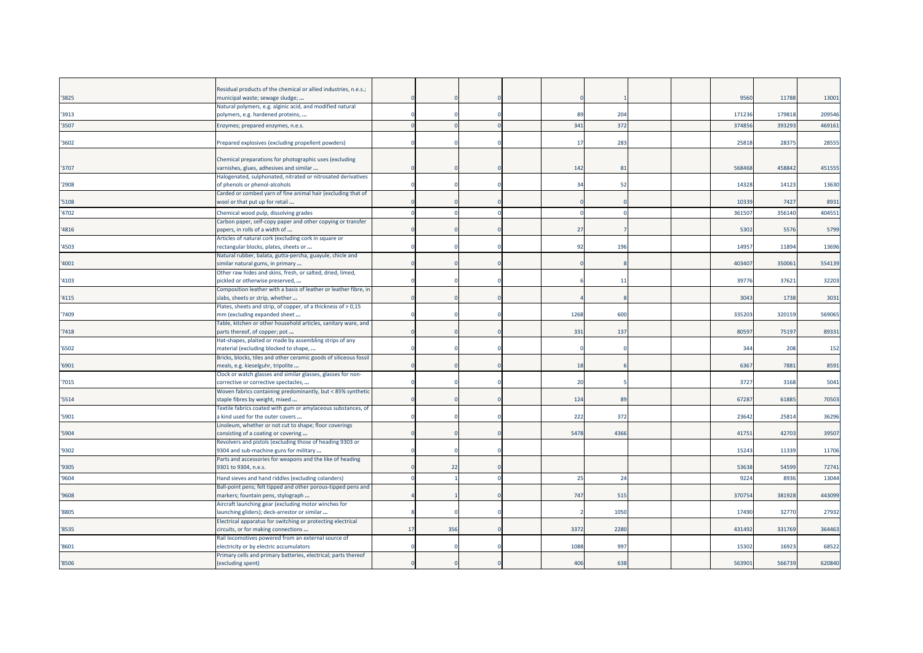| '3825 | Residual products of the chemical or allied industries, n.e.s.;<br>municipal waste; sewage sludge;  |    |     |  |                |      |  | 9560   | 11788  | 1300   |
|-------|-----------------------------------------------------------------------------------------------------|----|-----|--|----------------|------|--|--------|--------|--------|
|       | Natural polymers, e.g. alginic acid, and modified natural                                           |    |     |  |                |      |  |        |        |        |
| '3913 | polymers, e.g. hardened proteins,                                                                   |    |     |  | -89            | 204  |  | 17123  | 179818 | 209546 |
| '3507 | Enzymes; prepared enzymes, n.e.s.                                                                   |    |     |  | 341            | 37   |  | 37485  | 39329  | 469161 |
|       |                                                                                                     |    |     |  |                |      |  |        |        |        |
| 3602  | Prepared explosives (excluding propellent powders)                                                  |    |     |  | $\overline{1}$ | 283  |  | 2581   | 2837   | 28555  |
|       | Chemical preparations for photographic uses (excluding                                              |    |     |  |                |      |  |        |        |        |
| '3707 | varnishes, glues, adhesives and similar                                                             |    |     |  | 142            | 81   |  | 568468 | 458842 | 451555 |
|       | Halogenated, sulphonated, nitrated or nitrosated derivatives                                        |    |     |  |                |      |  |        |        |        |
| '2908 | of phenols or phenol-alcohols                                                                       |    |     |  | 34             | 52   |  | 1432   | 14123  | 13630  |
|       | Carded or combed yarn of fine animal hair (excluding that of                                        |    |     |  |                |      |  |        |        |        |
| 5108  | wool or that put up for retail                                                                      |    |     |  |                |      |  | 1033   | 7427   | 8931   |
| '4702 | Chemical wood pulp, dissolving grades                                                               |    |     |  |                |      |  | 36150  | 356140 | 404551 |
|       | Carbon paper, self-copy paper and other copying or transfer<br>papers, in rolls of a width of       |    |     |  |                |      |  |        |        |        |
| '4816 | Articles of natural cork (excluding cork in square or                                               |    |     |  | 27             |      |  | 5302   | 5576   | 5799   |
| '4503 | rectangular blocks, plates, sheets or                                                               |    |     |  | 92             | 196  |  | 1495   | 11894  | 13696  |
|       | Natural rubber, balata, gutta-percha, guayule, chicle and                                           |    |     |  |                |      |  |        |        |        |
| '4001 | similar natural gums, in primary                                                                    |    |     |  |                |      |  | 40340  | 35006  | 554139 |
|       | Other raw hides and skins, fresh, or salted, dried, limed,                                          |    |     |  |                |      |  |        |        |        |
| '4103 | pickled or otherwise preserved,                                                                     |    |     |  |                | 11   |  | 3977   | 3762   | 32203  |
| '4115 | Composition leather with a basis of leather or leather fibre, in<br>slabs, sheets or strip, whether |    |     |  |                |      |  | 304    | 1738   | 3031   |
|       | Plates, sheets and strip, of copper, of a thickness of > 0,15                                       |    |     |  |                |      |  |        |        |        |
| 7409  | mm (excluding expanded sheet                                                                        |    |     |  | 1268           | 600  |  | 33520  | 320159 | 569065 |
|       | Table, kitchen or other household articles, sanitary ware, and                                      |    |     |  |                |      |  |        |        |        |
| '7418 | parts thereof, of copper; pot                                                                       |    |     |  | 331            | 137  |  | 8059   | 75197  | 89331  |
|       | Hat-shapes, plaited or made by assembling strips of any                                             |    |     |  |                |      |  |        |        |        |
| '6502 | material (excluding blocked to shape,                                                               |    |     |  |                |      |  | 344    | 208    | 152    |
| '6901 | Bricks, blocks, tiles and other ceramic goods of siliceous fossi                                    |    |     |  | 18             |      |  | 6367   | 7881   | 8591   |
|       | meals, e.g. kieselguhr, tripolite<br>Clock or watch glasses and similar glasses, glasses for non-   |    |     |  |                |      |  |        |        |        |
| 7015  | corrective or corrective spectacles,                                                                |    |     |  | 20             |      |  | 372    | 3168   | 5041   |
|       | Woven fabrics containing predominantly, but < 85% synthetic                                         |    |     |  |                |      |  |        |        |        |
| '5514 | staple fibres by weight, mixed                                                                      |    |     |  | 124            | 89   |  | 6728   | 6188   | 70503  |
|       | Textile fabrics coated with gum or amylaceous substances, of                                        |    |     |  |                |      |  |        |        |        |
| '5901 | a kind used for the outer covers                                                                    |    |     |  | 222            | 372  |  | 2364   | 25814  | 36296  |
| '5904 | Linoleum, whether or not cut to shape; floor coverings<br>consisting of a coating or covering       |    |     |  | 5478           | 4366 |  | 4175   | 42703  | 39507  |
|       | Revolvers and pistols (excluding those of heading 9303 or                                           |    |     |  |                |      |  |        |        |        |
| '9302 | 9304 and sub-machine guns for military                                                              |    |     |  |                |      |  | 1524   | 11339  | 11706  |
|       | Parts and accessories for weapons and the like of heading                                           |    |     |  |                |      |  |        |        |        |
| '9305 | 9301 to 9304, n.e.s.                                                                                |    | 22  |  |                |      |  | 53638  | 54599  | 72741  |
| '9604 | Hand sieves and hand riddles (excluding colanders)                                                  |    |     |  | 25             | 24   |  | 922    | 8936   | 13044  |
|       | Ball-point pens; felt tipped and other porous-tipped pens and                                       |    |     |  |                |      |  |        |        |        |
| '9608 | markers; fountain pens, stylograph<br>Aircraft launching gear (excluding motor winches for          |    |     |  | 747            | 515  |  | 37075  | 381928 | 443099 |
| '8805 | launching gliders); deck-arrestor or similar                                                        |    |     |  |                | 105  |  | 1749   | 32770  | 27932  |
|       | Electrical apparatus for switching or protecting electrical                                         |    |     |  |                |      |  |        |        |        |
| '8535 | circuits, or for making connections                                                                 | 17 | 356 |  | 3372           | 2280 |  | 431492 | 331769 | 364463 |
|       | Rail locomotives powered from an external source of                                                 |    |     |  |                |      |  |        |        |        |
| '8601 | electricity or by electric accumulators                                                             |    |     |  | 1088           | 997  |  | 1530   | 16923  | 68522  |
|       | Primary cells and primary batteries, electrical; parts thereof                                      |    |     |  |                |      |  |        |        |        |
| '8506 | (excluding spent)                                                                                   |    |     |  | 406            | 638  |  | 56390  | 566739 | 620840 |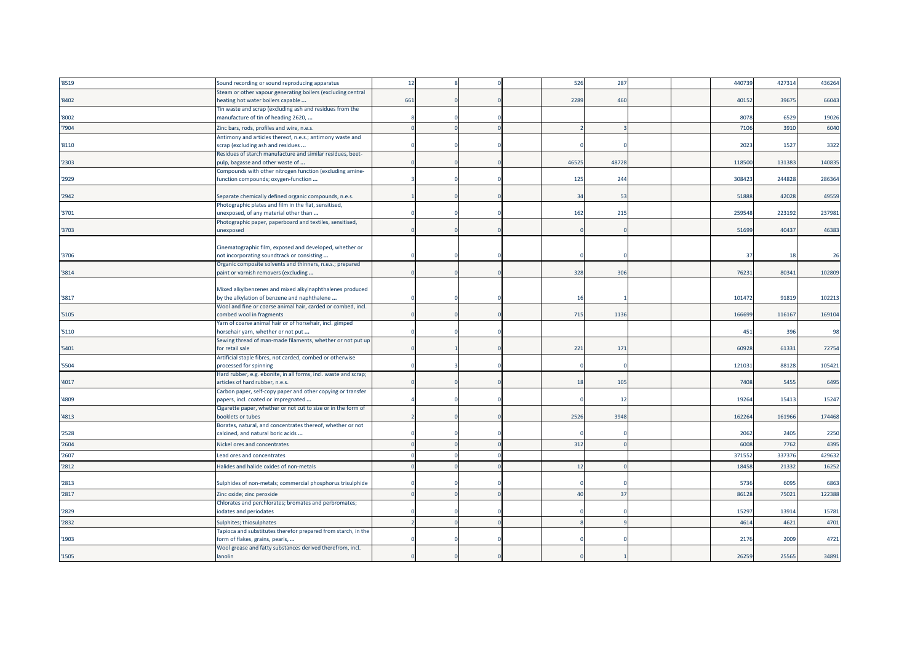| '8519 | Sound recording or sound reproducing apparatus                                                       | 12  |  | 526            | 287   |  | 440739 | 427314 | 436264 |
|-------|------------------------------------------------------------------------------------------------------|-----|--|----------------|-------|--|--------|--------|--------|
|       | Steam or other vapour generating boilers (excluding central                                          |     |  |                |       |  |        |        |        |
| '8402 | heating hot water boilers capable                                                                    | 661 |  | 2289           | 460   |  | 40152  | 39675  | 66043  |
| '8002 | Fin waste and scrap (excluding ash and residues from the<br>manufacture of tin of heading 2620,      |     |  |                |       |  | 8078   | 6529   | 19026  |
| '7904 | Zinc bars, rods, profiles and wire, n.e.s.                                                           |     |  |                |       |  | 7106   | 3910   | 6040   |
| '8110 | Antimony and articles thereof, n.e.s.; antimony waste and<br>scrap (excluding ash and residues       |     |  |                |       |  | 2023   | 1527   | 3322   |
|       | Residues of starch manufacture and similar residues, beet-                                           |     |  |                |       |  |        |        |        |
| '2303 | pulp, bagasse and other waste of                                                                     |     |  | 46525          | 48728 |  | 118500 | 131383 | 140835 |
| '2929 | Compounds with other nitrogen function (excluding amine-<br>function compounds; oxygen-function      |     |  | 125            | 244   |  | 308423 | 244828 | 286364 |
| '2942 | Separate chemically defined organic compounds, n.e.s.                                                |     |  | 34             | 53    |  | 51888  | 42028  | 49559  |
| '3701 | Photographic plates and film in the flat, sensitised,<br>unexposed, of any material other than       |     |  | 162            | 215   |  | 259548 | 223192 | 237981 |
|       | Photographic paper, paperboard and textiles, sensitised,                                             |     |  |                |       |  |        |        |        |
| '3703 | unexposed                                                                                            |     |  |                |       |  | 51699  | 40437  | 46383  |
|       | Cinematographic film, exposed and developed, whether or                                              |     |  |                |       |  |        |        |        |
| '3706 | not incorporating soundtrack or consisting                                                           |     |  |                |       |  | 37     | 18     | 26     |
| '3814 | Organic composite solvents and thinners, n.e.s.; prepared<br>paint or varnish removers (excluding    |     |  | 328            | 306   |  | 76231  | 80341  | 102809 |
|       |                                                                                                      |     |  |                |       |  |        |        |        |
|       | Mixed alkylbenzenes and mixed alkylnaphthalenes produced                                             |     |  |                |       |  |        |        |        |
| '3817 | by the alkylation of benzene and naphthalene                                                         |     |  | 16             |       |  | 101472 | 91819  | 102213 |
|       | Wool and fine or coarse animal hair, carded or combed, incl.                                         |     |  |                |       |  |        |        |        |
| '5105 | combed wool in fragments                                                                             |     |  | 715            | 1136  |  | 166699 | 116167 | 169104 |
| '5110 | Yarn of coarse animal hair or of horsehair, incl. gimped<br>horsehair yarn, whether or not put       |     |  |                |       |  | 451    | 396    | 98     |
|       | Sewing thread of man-made filaments, whether or not put up                                           |     |  |                |       |  |        |        |        |
| '5401 | for retail sale                                                                                      |     |  | 221            | 171   |  | 60928  | 61331  | 72754  |
|       | Artificial staple fibres, not carded, combed or otherwise                                            |     |  |                |       |  |        |        |        |
| '5504 | processed for spinning                                                                               |     |  |                |       |  | 121031 | 88128  | 105421 |
| '4017 | Hard rubber, e.g. ebonite, in all forms, incl. waste and scrap;<br>articles of hard rubber, n.e.s.   |     |  | 18             | 105   |  | 7408   | 5455   | 6495   |
|       | Carbon paper, self-copy paper and other copying or transfer                                          |     |  |                |       |  |        |        |        |
| '4809 | papers, incl. coated or impregnated<br>Cigarette paper, whether or not cut to size or in the form of |     |  |                | 12    |  | 19264  | 15413  | 15247  |
| '4813 | booklets or tubes                                                                                    |     |  | 2526           | 3948  |  | 16226  | 161966 | 174468 |
| '2528 | Borates, natural, and concentrates thereof, whether or not<br>calcined, and natural boric acids      |     |  |                |       |  | 2062   | 2405   | 2250   |
| '2604 | Nickel ores and concentrates                                                                         |     |  | 312            |       |  | 6008   | 7762   | 4395   |
|       |                                                                                                      |     |  |                |       |  |        |        |        |
| '2607 | Lead ores and concentrates                                                                           |     |  |                |       |  | 37155  | 337376 | 429632 |
| '2812 | Halides and halide oxides of non-metals                                                              |     |  | 12             |       |  | 18458  | 21332  | 16252  |
| '2813 | Sulphides of non-metals; commercial phosphorus trisulphide                                           |     |  |                |       |  | 5736   | 6095   | 6863   |
| '2817 | Zinc oxide; zinc peroxide                                                                            |     |  | $\overline{4}$ | 37    |  | 86128  | 75021  | 122388 |
| '2829 | Chlorates and perchlorates; bromates and perbromates;<br>iodates and periodates                      |     |  |                |       |  | 15297  | 13914  | 15781  |
| '2832 | Sulphites; thiosulphates                                                                             |     |  |                |       |  | 4614   | 4621   | 4701   |
|       | Tapioca and substitutes therefor prepared from starch, in the                                        |     |  |                |       |  |        |        |        |
| '1903 | form of flakes, grains, pearls,                                                                      |     |  |                |       |  | 2176   | 2009   | 4721   |
| '1505 | Wool grease and fatty substances derived therefrom, incl.<br>lanolin                                 |     |  |                |       |  | 26259  | 25565  | 34891  |
|       |                                                                                                      |     |  |                |       |  |        |        |        |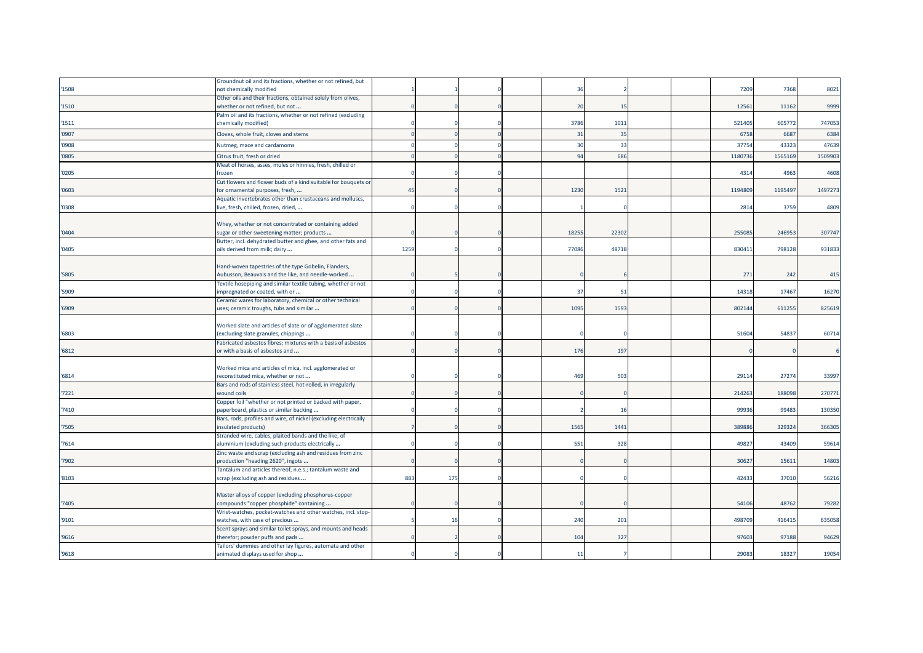|       | Groundnut oil and its fractions, whether or not refined, but                                             |      |     |  |                 |       |  |         |         |         |
|-------|----------------------------------------------------------------------------------------------------------|------|-----|--|-----------------|-------|--|---------|---------|---------|
| '1508 | not chemically modified                                                                                  |      |     |  | $-36$           |       |  | 7209    | 7368    | 8021    |
|       | Other oils and their fractions, obtained solely from olives,                                             |      |     |  |                 |       |  |         |         |         |
| '1510 | whether or not refined, but not                                                                          |      |     |  | 20              | 15    |  | 12561   | 11162   | 9999    |
|       | Palm oil and its fractions, whether or not refined (excluding                                            |      |     |  |                 |       |  |         |         |         |
| '1511 | chemically modified)                                                                                     |      |     |  | 3786            | 1011  |  | 521405  | 605772  | 747053  |
| '0907 | Cloves, whole fruit, cloves and stems                                                                    |      |     |  | 31              | 35    |  | 675     | 668     | 6384    |
| '0908 | Nutmeg, mace and cardamoms                                                                               |      |     |  | 30              | 33    |  | 3775    | 4332    | 47639   |
| '0805 | Citrus fruit, fresh or dried                                                                             |      |     |  | 94              | 686   |  | 118073  | 1565169 | 1509903 |
|       |                                                                                                          |      |     |  |                 |       |  |         |         |         |
| '0205 | Meat of horses, asses, mules or hinnies, fresh, chilled or<br>frozen                                     |      |     |  |                 |       |  | 4314    | 4963    | 4608    |
|       | Cut flowers and flower buds of a kind suitable for bouquets or                                           |      |     |  |                 |       |  |         |         |         |
| '0603 | for ornamental purposes, fresh,                                                                          | 45   |     |  | 1230            | 1521  |  | 1194809 | 1195497 | 1497273 |
|       | Aquatic invertebrates other than crustaceans and molluscs,                                               |      |     |  |                 |       |  |         |         |         |
| '0308 | live, fresh, chilled, frozen, dried,                                                                     |      |     |  |                 |       |  | 2814    | 3759    | 4809    |
|       |                                                                                                          |      |     |  |                 |       |  |         |         |         |
|       | Whey, whether or not concentrated or containing added                                                    |      |     |  |                 |       |  |         |         |         |
| '0404 | sugar or other sweetening matter; products                                                               |      |     |  | 18255           | 22302 |  | 25508   | 24695   | 307747  |
|       | Butter, incl. dehydrated butter and ghee, and other fats and                                             |      |     |  |                 |       |  |         |         |         |
| '0405 | oils derived from milk; dairy                                                                            | 1259 |     |  | 77086           | 48718 |  | 830411  | 798128  | 931833  |
|       |                                                                                                          |      |     |  |                 |       |  |         |         |         |
|       | Hand-woven tapestries of the type Gobelin, Flanders,                                                     |      |     |  |                 |       |  |         |         |         |
| 5805  | Aubusson, Beauvais and the like, and needle-worked                                                       |      |     |  |                 |       |  | 271     | 242     | 415     |
|       | Textile hosepiping and similar textile tubing, whether or not                                            |      |     |  |                 |       |  |         |         |         |
| '5909 | impregnated or coated, with or                                                                           |      |     |  | 37              | 51    |  | 14318   | 17467   | 16270   |
|       | Ceramic wares for laboratory, chemical or other technical                                                |      |     |  |                 |       |  |         |         |         |
| '6909 | uses; ceramic troughs, tubs and similar                                                                  |      |     |  | 1095            | 1593  |  | 802144  | 611255  | 825619  |
|       |                                                                                                          |      |     |  |                 |       |  |         |         |         |
|       | Worked slate and articles of slate or of agglomerated slate                                              |      |     |  |                 |       |  |         |         |         |
| '6803 | (excluding slate granules, chippings                                                                     |      |     |  |                 |       |  | 51604   | 54837   | 60714   |
|       | Fabricated asbestos fibres; mixtures with a basis of asbestos                                            |      |     |  |                 |       |  |         |         |         |
| '6812 | or with a basis of asbestos and                                                                          |      |     |  | 176             | 197   |  |         |         |         |
|       |                                                                                                          |      |     |  |                 |       |  |         |         |         |
|       | Worked mica and articles of mica, incl. agglomerated or                                                  |      |     |  |                 |       |  |         |         |         |
| '6814 | reconstituted mica, whether or not                                                                       |      |     |  | 469             | 503   |  | 29114   | 27274   | 33997   |
|       | Bars and rods of stainless steel, hot-rolled, in irregularly                                             |      |     |  |                 |       |  |         |         |         |
| 7221  | wound coils                                                                                              |      |     |  |                 |       |  | 214263  | 188098  | 270771  |
|       | Copper foil "whether or not printed or backed with paper,                                                |      |     |  |                 |       |  |         |         |         |
| 7410  | paperboard, plastics or similar backing                                                                  |      |     |  |                 | 16    |  | 99936   | 99483   | 130350  |
|       | Bars, rods, profiles and wire, of nickel (excluding electrically                                         |      |     |  | 1565            |       |  |         |         | 366305  |
| 7505  | insulated products)                                                                                      |      |     |  |                 | 1441  |  | 389886  | 329324  |         |
| 7614  | Stranded wire, cables, plaited bands and the like, of<br>aluminium (excluding such products electrically |      |     |  | 551             | 328   |  | 49827   | 43409   | 59614   |
|       | Zinc waste and scrap (excluding ash and residues from zinc                                               |      |     |  |                 |       |  |         |         |         |
| 7902  | production "heading 2620", ingots                                                                        |      |     |  |                 |       |  | 30627   | 15611   | 14803   |
|       | Tantalum and articles thereof, n.e.s.; tantalum waste and                                                |      |     |  |                 |       |  |         |         |         |
| '8103 | scrap (excluding ash and residues                                                                        | 883  | 175 |  |                 |       |  | 42433   | 37010   | 56216   |
|       |                                                                                                          |      |     |  |                 |       |  |         |         |         |
|       | Master alloys of copper (excluding phosphorus-copper                                                     |      |     |  |                 |       |  |         |         |         |
| 7405  | compounds "copper phosphide" containing                                                                  |      |     |  |                 |       |  | 54106   | 48762   | 79282   |
|       | Wrist-watches, pocket-watches and other watches, incl. stop-                                             |      |     |  |                 |       |  |         |         |         |
| '9101 | watches, with case of precious                                                                           |      | 16  |  | 240             | 201   |  | 498709  | 416415  | 635058  |
|       | Scent sprays and similar toilet sprays, and mounts and heads                                             |      |     |  |                 |       |  |         |         |         |
| '9616 | therefor; powder puffs and pads                                                                          |      |     |  | 104             | 327   |  | 97603   | 97188   | 94629   |
|       | Tailors' dummies and other lay figures, automata and other                                               |      |     |  |                 |       |  |         |         |         |
| '9618 | animated displays used for shop                                                                          |      |     |  | $\overline{11}$ |       |  | 29083   | 18327   | 19054   |
|       |                                                                                                          |      |     |  |                 |       |  |         |         |         |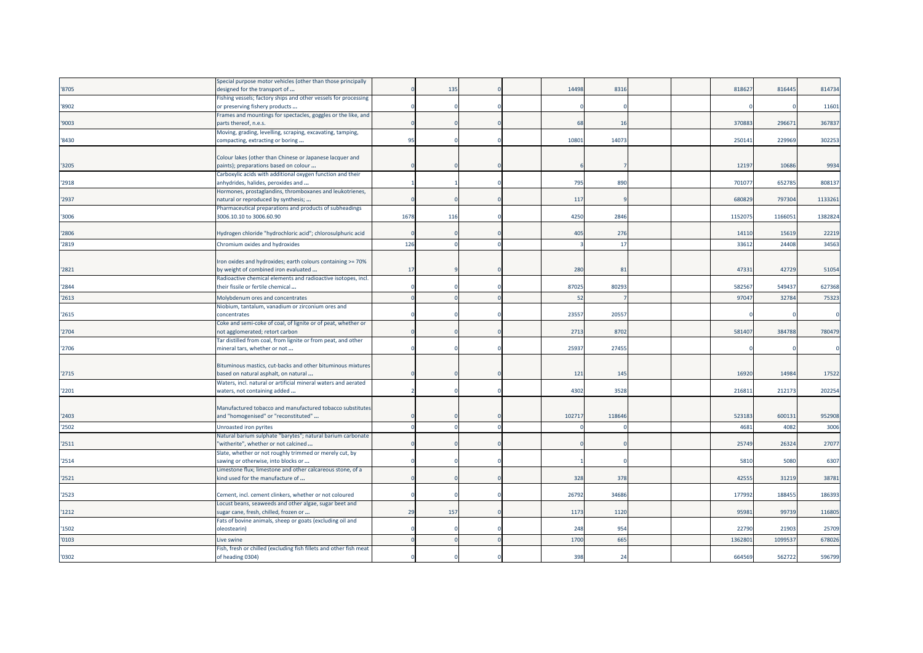|       | Special purpose motor vehicles (other than those principally       |      |     |  |       |        |  |        |         |         |
|-------|--------------------------------------------------------------------|------|-----|--|-------|--------|--|--------|---------|---------|
| '8705 | designed for the transport of                                      |      | 135 |  | 14498 | 8316   |  | 81862  | 816445  | 814734  |
|       | Fishing vessels; factory ships and other vessels for processing    |      |     |  |       |        |  |        |         |         |
| '8902 | or preserving fishery products                                     |      |     |  |       |        |  |        |         | 11601   |
|       | Frames and mountings for spectacles, goggles or the like, and      |      |     |  |       |        |  |        |         |         |
| '9003 | parts thereof, n.e.s.                                              |      |     |  | 68    | 16     |  | 370883 | 296671  | 367837  |
|       | Moving, grading, levelling, scraping, excavating, tamping,         |      |     |  |       |        |  |        |         |         |
| '8430 | compacting, extracting or boring                                   | 95   |     |  | 10801 | 14073  |  | 25014  | 229969  | 302253  |
|       |                                                                    |      |     |  |       |        |  |        |         |         |
|       | Colour lakes (other than Chinese or Japanese lacquer and           |      |     |  |       |        |  |        |         |         |
| '3205 | paints); preparations based on colour                              |      |     |  |       |        |  | 12197  | 10686   | 9934    |
|       | Carboxylic acids with additional oxygen function and their         |      |     |  |       |        |  |        |         |         |
| '2918 | anhydrides, halides, peroxides and                                 |      |     |  | 795   | 890    |  | 70107  | 652785  | 808137  |
|       | Hormones, prostaglandins, thromboxanes and leukotrienes,           |      |     |  |       |        |  |        |         |         |
| '2937 | natural or reproduced by synthesis;                                |      |     |  | 117   |        |  | 68082  | 797304  | 1133261 |
|       | Pharmaceutical preparations and products of subheadings            |      |     |  |       |        |  |        |         |         |
| '3006 | 3006.10.10 to 3006.60.90                                           | 1678 | 116 |  | 4250  | 2846   |  | 115207 | 1166051 | 1382824 |
|       |                                                                    |      |     |  |       |        |  |        |         |         |
| '2806 | Hydrogen chloride "hydrochloric acid"; chlorosulphuric acid        |      |     |  | 405   | 276    |  | 14110  | 15619   | 22219   |
| '2819 | Chromium oxides and hydroxides                                     | 126  |     |  |       | 17     |  | 3361   | 24408   | 34563   |
|       |                                                                    |      |     |  |       |        |  |        |         |         |
|       | Iron oxides and hydroxides; earth colours containing >= 70%        |      |     |  |       |        |  |        |         |         |
| '2821 | by weight of combined iron evaluated                               | 17   |     |  | 280   | 81     |  | 47331  | 42729   | 51054   |
|       | Radioactive chemical elements and radioactive isotopes, incl.      |      |     |  |       |        |  |        |         |         |
| '2844 | their fissile or fertile chemical                                  |      |     |  | 87025 | 8029   |  | 58256  | 549437  | 627368  |
| '2613 |                                                                    |      |     |  | 52    |        |  | 9704   | 32784   | 75323   |
|       | Molybdenum ores and concentrates                                   |      |     |  |       |        |  |        |         |         |
|       | Niobium, tantalum, vanadium or zirconium ores and                  |      |     |  |       |        |  |        |         |         |
| '2615 | concentrates                                                       |      |     |  | 23557 | 20557  |  |        |         |         |
|       | Coke and semi-coke of coal, of lignite or of peat, whether or      |      |     |  |       |        |  |        |         |         |
| '2704 | not agglomerated; retort carbon                                    |      |     |  | 2713  | 8702   |  | 581407 | 384788  | 780479  |
|       | Far distilled from coal, from lignite or from peat, and other      |      |     |  |       |        |  |        |         |         |
| '2706 | mineral tars, whether or not                                       |      |     |  | 25937 | 27455  |  |        |         |         |
|       |                                                                    |      |     |  |       |        |  |        |         |         |
|       | Bituminous mastics, cut-backs and other bituminous mixtures        |      |     |  |       |        |  |        |         |         |
| '2715 | based on natural asphalt, on natural                               |      |     |  | 121   | 145    |  | 16920  | 14984   | 17522   |
|       | Waters, incl. natural or artificial mineral waters and aerated     |      |     |  |       |        |  |        |         |         |
| '2201 | waters, not containing added                                       |      |     |  | 4302  | 3528   |  | 21681  | 212173  | 202254  |
|       |                                                                    |      |     |  |       |        |  |        |         |         |
|       | Manufactured tobacco and manufactured tobacco substitutes          |      |     |  |       |        |  |        |         |         |
| '2403 | and "homogenised" or "reconstituted"                               |      |     |  | 10271 | 118646 |  | 523183 | 600131  | 952908  |
| '2502 | Unroasted iron pyrites                                             |      |     |  |       |        |  | 468    | 4082    | 3006    |
|       | Natural barium sulphate "barytes"; natural barium carbonate        |      |     |  |       |        |  |        |         |         |
| '2511 | 'witherite", whether or not calcined                               |      |     |  |       |        |  | 25749  | 26324   | 27077   |
|       | Slate, whether or not roughly trimmed or merely cut, by            |      |     |  |       |        |  |        |         |         |
| '2514 | sawing or otherwise, into blocks or                                |      |     |  |       |        |  | 5810   | 5080    | 6307    |
|       | Limestone flux; limestone and other calcareous stone, of a         |      |     |  |       |        |  |        |         |         |
| '2521 | kind used for the manufacture of                                   |      |     |  | 328   | 378    |  | 42555  | 31219   | 38781   |
|       |                                                                    |      |     |  |       |        |  |        |         |         |
| '2523 | Cement, incl. cement clinkers, whether or not coloured             |      |     |  | 26792 | 34686  |  | 177992 | 18845   | 186393  |
|       | Locust beans, seaweeds and other algae, sugar beet and             |      |     |  |       |        |  |        |         |         |
| '1212 | sugar cane, fresh, chilled, frozen or                              | 29   | 157 |  | 1173  | 1120   |  | 95981  | 99739   | 116805  |
|       | Fats of bovine animals, sheep or goats (excluding oil and          |      |     |  |       |        |  |        |         |         |
| '1502 | oleostearin)                                                       |      |     |  | 248   | 954    |  | 22790  | 21903   | 25709   |
| '0103 | Live swine                                                         |      |     |  | 1700  | 665    |  | 136280 | 109953  | 678026  |
|       | Fish, fresh or chilled (excluding fish fillets and other fish meat |      |     |  |       |        |  |        |         |         |
| '0302 | of heading 0304)                                                   |      |     |  | 398   | 24     |  | 664569 | 562722  | 596799  |
|       |                                                                    |      |     |  |       |        |  |        |         |         |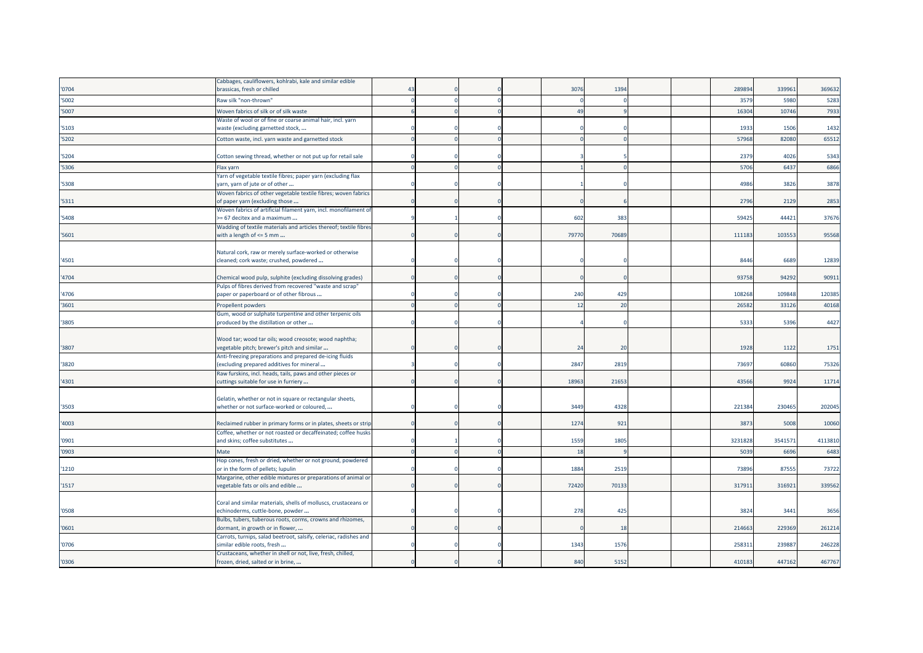|       | Cabbages, cauliflowers, kohlrabi, kale and similar edible                                                              |          |  |       |      |  |        |        |         |
|-------|------------------------------------------------------------------------------------------------------------------------|----------|--|-------|------|--|--------|--------|---------|
| '0704 | brassicas, fresh or chilled                                                                                            | $\Delta$ |  | 3076  | 1394 |  | 28989  | 339963 | 369632  |
| '5002 | Raw silk "non-thrown"                                                                                                  |          |  |       |      |  | 3579   | 5980   | 5283    |
| '5007 | Woven fabrics of silk or of silk waste                                                                                 |          |  | 49    |      |  | 1630   | 10746  | 7933    |
|       | Waste of wool or of fine or coarse animal hair, incl. yarn                                                             |          |  |       |      |  |        |        |         |
| '5103 | waste (excluding garnetted stock,                                                                                      |          |  |       |      |  | 1933   | 1506   | 1432    |
| '5202 | Cotton waste, incl. yarn waste and garnetted stock                                                                     |          |  |       |      |  | 57968  | 82080  | 65512   |
| '5204 | Cotton sewing thread, whether or not put up for retail sale                                                            |          |  |       |      |  | 2379   | 4026   | 5343    |
| '5306 | Flax yarn                                                                                                              |          |  |       |      |  | 5706   | 6437   | 6866    |
| '5308 | Yarn of vegetable textile fibres; paper yarn (excluding flax<br>yarn, yarn of jute or of other                         |          |  |       |      |  | 4986   | 3826   | 3878    |
| '5311 | Woven fabrics of other vegetable textile fibres; woven fabrics<br>of paper yarn (excluding those                       |          |  |       |      |  | 2796   | 2129   | 2853    |
|       | Woven fabrics of artificial filament yarn, incl. monofilament of                                                       |          |  |       |      |  |        |        |         |
| '5408 | >= 67 decitex and a maximum                                                                                            |          |  | 602   | 383  |  | 59425  | 44421  | 37676   |
| '5601 | Wadding of textile materials and articles thereof; textile fibres<br>with a length of <= 5 mm                          |          |  | 79770 | 7068 |  | 111183 | 103553 | 95568   |
|       |                                                                                                                        |          |  |       |      |  |        |        |         |
| '4501 | Natural cork, raw or merely surface-worked or otherwise<br>cleaned; cork waste; crushed, powdered                      |          |  |       |      |  | 8446   | 6689   | 12839   |
|       |                                                                                                                        |          |  |       |      |  |        |        |         |
| '4704 | Chemical wood pulp, sulphite (excluding dissolving grades)<br>Pulps of fibres derived from recovered "waste and scrap" |          |  |       |      |  | 93758  | 94292  | 90911   |
| '4706 | paper or paperboard or of other fibrous                                                                                |          |  | 240   | 429  |  | 108268 | 109848 | 120385  |
| '3601 | Propellent powders                                                                                                     |          |  | 12    | 20   |  | 26582  | 33126  | 40168   |
|       | Gum, wood or sulphate turpentine and other terpenic oils                                                               |          |  |       |      |  |        |        |         |
| '3805 | produced by the distillation or other                                                                                  |          |  |       |      |  | 5333   | 5396   | 4427    |
|       | Wood tar; wood tar oils; wood creosote; wood naphtha;                                                                  |          |  |       |      |  |        |        |         |
| '3807 | vegetable pitch; brewer's pitch and similar                                                                            |          |  | 24    | 20   |  | 1928   | 1122   | 1751    |
|       | Anti-freezing preparations and prepared de-icing fluids                                                                |          |  |       |      |  |        |        |         |
| '3820 | (excluding prepared additives for mineral                                                                              |          |  | 2847  | 2819 |  | 73697  | 60860  | 75326   |
| '4301 | Raw furskins, incl. heads, tails, paws and other pieces or<br>cuttings suitable for use in furriery                    |          |  | 18963 | 2165 |  | 43566  | 9924   | 11714   |
|       |                                                                                                                        |          |  |       |      |  |        |        |         |
|       | Gelatin, whether or not in square or rectangular sheets,                                                               |          |  |       |      |  |        |        |         |
| '3503 | whether or not surface-worked or coloured,                                                                             |          |  | 3449  | 4328 |  | 221384 | 230465 | 202045  |
| '4003 | Reclaimed rubber in primary forms or in plates, sheets or strip                                                        |          |  | 1274  | 921  |  | 3873   | 5008   | 10060   |
| '0901 | Coffee, whether or not roasted or decaffeinated; coffee husks<br>and skins; coffee substitutes                         |          |  | 1559  | 1805 |  | 323182 | 354157 | 4113810 |
| '0903 | Mate                                                                                                                   |          |  | 18    |      |  | 5039   | 6696   | 6483    |
|       | Hop cones, fresh or dried, whether or not ground, powdered                                                             |          |  |       |      |  |        |        |         |
| '1210 | or in the form of pellets; lupulin                                                                                     |          |  | 1884  | 2519 |  | 7389   | 87555  | 73722   |
|       | Margarine, other edible mixtures or preparations of animal or                                                          |          |  |       |      |  |        |        |         |
| '1517 | vegetable fats or oils and edible                                                                                      |          |  | 72420 | 7013 |  | 31791  | 316921 | 339562  |
|       | Coral and similar materials, shells of molluscs, crustaceans or                                                        |          |  |       |      |  |        |        |         |
| '0508 | echinoderms, cuttle-bone, powder                                                                                       |          |  | 278   | 425  |  | 3824   | 3441   | 3656    |
|       | Bulbs, tubers, tuberous roots, corms, crowns and rhizomes,                                                             |          |  |       |      |  |        |        |         |
| '0601 | dormant, in growth or in flower,                                                                                       |          |  |       | 18   |  | 214663 | 229369 | 261214  |
|       | Carrots, turnips, salad beetroot, salsify, celeriac, radishes and                                                      |          |  |       |      |  |        |        |         |
| '0706 | similar edible roots, fresh<br>Crustaceans, whether in shell or not, live, fresh, chilled,                             |          |  | 1343  | 1576 |  | 25831  | 239887 | 246228  |
| '0306 | frozen, dried, salted or in brine,                                                                                     |          |  | 840   | 5152 |  | 410183 | 447162 | 467767  |
|       |                                                                                                                        |          |  |       |      |  |        |        |         |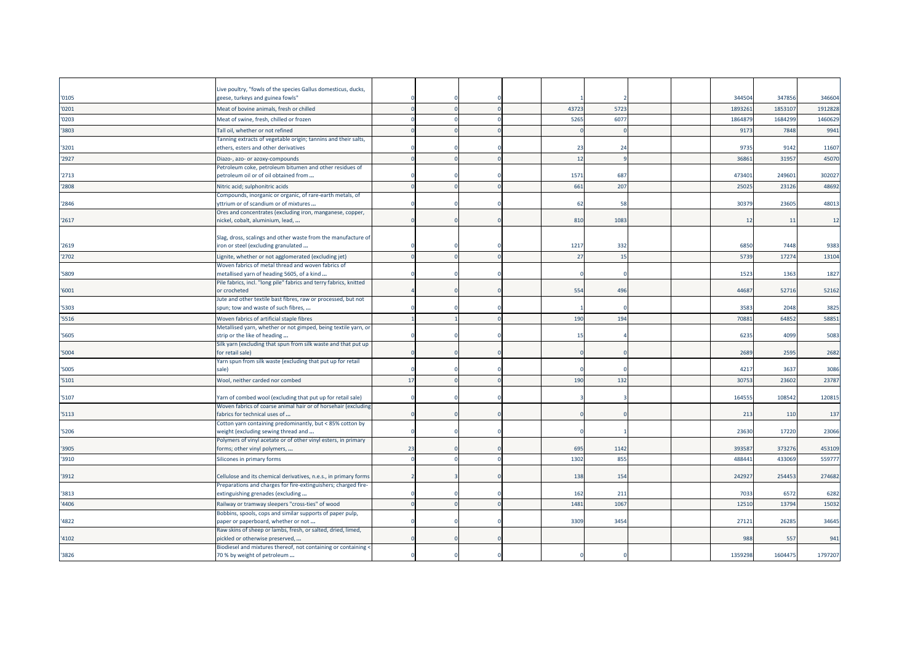| '0105 | Live poultry, "fowls of the species Gallus domesticus, ducks,<br>geese, turkeys and guinea fowls"          |    |  |       |                |  | 34450   | 347856  | 346604  |
|-------|------------------------------------------------------------------------------------------------------------|----|--|-------|----------------|--|---------|---------|---------|
|       |                                                                                                            |    |  | 43723 | 5723           |  | 189326  | 185310  | 1912828 |
| '0201 | Meat of bovine animals, fresh or chilled                                                                   |    |  |       |                |  |         |         |         |
| '0203 | Meat of swine, fresh, chilled or frozen                                                                    |    |  | 5265  | 6077           |  | 186487  | 168429  | 1460629 |
| '3803 | Tall oil, whether or not refined                                                                           |    |  |       |                |  | 9173    | 7848    | 9941    |
| '3201 | Tanning extracts of vegetable origin; tannins and their salts,<br>ethers, esters and other derivatives     |    |  | 23    | 2 <sup>i</sup> |  | 9735    | 9142    | 11607   |
|       |                                                                                                            |    |  | 12    |                |  | 3686    | 3195    |         |
| '2927 | Diazo-, azo- or azoxy-compounds<br>Petroleum coke, petroleum bitumen and other residues of                 |    |  |       |                |  |         |         | 45070   |
| '2713 | petroleum oil or of oil obtained from                                                                      |    |  | 1571  | 687            |  | 473401  | 249601  | 302027  |
| '2808 | Nitric acid; sulphonitric acids                                                                            |    |  | 661   | 207            |  | 2502    | 23126   | 48692   |
|       | Compounds, inorganic or organic, of rare-earth metals, of                                                  |    |  |       |                |  |         |         |         |
| '2846 | yttrium or of scandium or of mixtures                                                                      |    |  | 62    | 58             |  | 3037    | 23605   | 48013   |
|       | Ores and concentrates (excluding iron, manganese, copper,                                                  |    |  |       |                |  |         |         |         |
| '2617 | nickel, cobalt, aluminium, lead,                                                                           |    |  | 810   | 108            |  | 12      | 11      | 12      |
|       |                                                                                                            |    |  |       |                |  |         |         |         |
| '2619 | Slag, dross, scalings and other waste from the manufacture of<br>iron or steel (excluding granulated       |    |  | 1217  | 332            |  | 6850    | 7448    | 9383    |
|       |                                                                                                            |    |  |       |                |  |         |         |         |
| '2702 | Lignite, whether or not agglomerated (excluding jet)<br>Woven fabrics of metal thread and woven fabrics of |    |  | 27    | 15             |  | 5739    | 17274   | 13104   |
| '5809 | metallised yarn of heading 5605, of a kind                                                                 |    |  |       |                |  | 1523    | 1363    | 1827    |
|       | Pile fabrics, incl. "long pile" fabrics and terry fabrics, knitted                                         |    |  |       |                |  |         |         |         |
| '6001 | or crocheted                                                                                               |    |  | 554   | 496            |  | 4468    | 52716   | 52162   |
|       | Jute and other textile bast fibres, raw or processed, but not                                              |    |  |       |                |  |         |         |         |
| '5303 | spun; tow and waste of such fibres,                                                                        |    |  |       |                |  | 3583    | 2048    | 3825    |
| '5516 | Woven fabrics of artificial staple fibres                                                                  |    |  | 190   | 194            |  | 7088    | 64852   | 58851   |
|       | Metallised yarn, whether or not gimped, being textile yarn, or                                             |    |  |       |                |  |         |         |         |
| '5605 | strip or the like of heading                                                                               |    |  |       |                |  | 6235    | 4099    | 5083    |
| '5004 | Silk yarn (excluding that spun from silk waste and that put up<br>for retail sale)                         |    |  |       |                |  | 2689    | 2595    | 2682    |
|       | Yarn spun from silk waste (excluding that put up for retail                                                |    |  |       |                |  |         |         |         |
| '5005 | sale)                                                                                                      |    |  |       |                |  | 4217    | 3637    | 3086    |
| '5101 | Wool, neither carded nor combed                                                                            | 17 |  | 190   | 132            |  | 3075    | 23602   | 23787   |
|       |                                                                                                            |    |  |       |                |  |         |         |         |
| '5107 | Yarn of combed wool (excluding that put up for retail sale)                                                |    |  |       |                |  | 16455   | 108542  | 120815  |
|       | Woven fabrics of coarse animal hair or of horsehair (excluding                                             |    |  |       |                |  |         |         |         |
| '5113 | fabrics for technical uses of                                                                              |    |  |       |                |  | 213     | 110     | 137     |
| '5206 | Cotton yarn containing predominantly, but < 85% cotton by<br>weight (excluding sewing thread and           |    |  |       |                |  | 23630   | 17220   | 23066   |
|       | Polymers of vinyl acetate or of other vinyl esters, in primary                                             |    |  |       |                |  |         |         |         |
| '3905 | forms; other vinyl polymers,                                                                               | 23 |  | 695   | 1142           |  | 39358   | 373276  | 453109  |
| '3910 | Silicones in primary forms                                                                                 |    |  | 1302  | 855            |  | 48844   | 43306   | 55977   |
|       |                                                                                                            |    |  |       |                |  |         |         |         |
| '3912 | Cellulose and its chemical derivatives, n.e.s., in primary forms                                           |    |  | 138   | 154            |  | 24292   | 254453  | 274682  |
|       | Preparations and charges for fire-extinguishers; charged fire-                                             |    |  |       |                |  |         |         |         |
| '3813 | extinguishing grenades (excluding                                                                          |    |  | 162   | 211            |  | 7033    | 6572    | 6282    |
| '4406 | Railway or tramway sleepers "cross-ties" of wood                                                           |    |  | 1481  | 106            |  | 12510   | 13794   | 15032   |
| '4822 | Bobbins, spools, cops and similar supports of paper pulp,<br>paper or paperboard, whether or not           |    |  | 3309  | 345            |  | 27121   | 26285   | 34645   |
|       | Raw skins of sheep or lambs, fresh, or salted, dried, limed,                                               |    |  |       |                |  |         |         |         |
| '4102 | pickled or otherwise preserved,                                                                            |    |  |       |                |  | 988     | 557     | 941     |
|       | Biodiesel and mixtures thereof, not containing or containing <                                             |    |  |       |                |  |         |         |         |
| '3826 | 70 % by weight of petroleum                                                                                |    |  |       |                |  | 1359298 | 1604475 | 1797207 |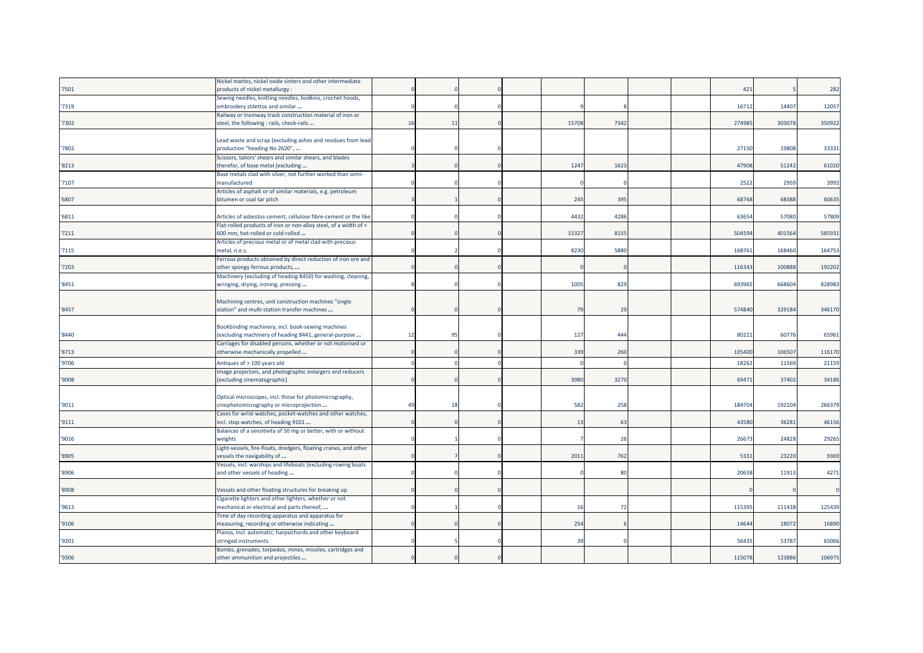|       | Nickel mattes, nickel oxide sinters and other intermediate                                           |          |    |  |       |      |  |        |        |        |
|-------|------------------------------------------------------------------------------------------------------|----------|----|--|-------|------|--|--------|--------|--------|
| 7501  | products of nickel metallurgy :                                                                      |          |    |  |       |      |  | 421    |        | 282    |
|       | Sewing needles, knitting needles, bodkins, crochet hoods,                                            |          |    |  |       |      |  |        |        |        |
| 7319  | embroidery stilettos and similar                                                                     |          |    |  |       |      |  | 16712  | 14407  | 12057  |
|       | Railway or tramway track construction material of iron or                                            |          |    |  |       |      |  |        |        |        |
| '7302 | steel, the following : rails, check-rails                                                            | 16       | 11 |  | 15708 | 7342 |  | 274985 | 303078 | 350922 |
|       |                                                                                                      |          |    |  |       |      |  |        |        |        |
|       | Lead waste and scrap (excluding ashes and residues from lead                                         |          |    |  |       |      |  |        |        |        |
| 7802  | production "heading No 2620",                                                                        |          |    |  |       |      |  | 27150  | 19808  | 33331  |
|       | Scissors, tailors' shears and similar shears, and blades                                             |          |    |  |       |      |  |        |        |        |
| '8213 | therefor, of base metal (excluding                                                                   |          |    |  | 1247  | 1623 |  | 47908  | 51242  | 61020  |
|       | Base metals clad with silver, not further worked than semi-                                          |          |    |  |       |      |  |        |        |        |
| '7107 | manufactured                                                                                         |          |    |  |       |      |  | 2522   | 2959   | 3992   |
|       | Articles of asphalt or of similar materials, e.g. petroleum                                          |          |    |  |       |      |  |        |        |        |
| '6807 | bitumen or coal tar pitch                                                                            |          |    |  | 245   | 395  |  | 68768  | 68388  | 60635  |
|       |                                                                                                      |          |    |  |       |      |  |        |        |        |
| '6811 | Articles of asbestos-cement, cellulose fibre-cement or the like                                      |          |    |  | 4432  | 4286 |  | 6365   | 57080  | 57809  |
|       | Flat-rolled products of iron or non-alloy steel, of a width of <                                     |          |    |  |       |      |  |        |        |        |
| '7211 | 600 mm, hot-rolled or cold-rolled                                                                    |          |    |  | 1532  | 8155 |  | 504594 | 401564 | 585931 |
|       | Articles of precious metal or of metal clad with precious                                            |          |    |  |       |      |  |        |        |        |
| '7115 | metal, n.e.s.                                                                                        |          |    |  | 8230  | 5880 |  | 16876  | 168460 | 164753 |
|       | Ferrous products obtained by direct reduction of iron ore and                                        |          |    |  |       |      |  |        |        |        |
| 7203  | other spongy ferrous products,                                                                       |          |    |  |       |      |  | 116343 | 100888 | 192202 |
|       | Machinery (excluding of heading 8450) for washing, cleaning,                                         |          |    |  |       |      |  |        |        |        |
| 8451  | wringing, drying, ironing, pressing                                                                  |          |    |  | 1005  | 829  |  | 693965 | 668604 | 828983 |
|       |                                                                                                      |          |    |  |       |      |  |        |        |        |
|       | Machining centres, unit construction machines "single                                                |          |    |  |       |      |  |        |        |        |
| '8457 | station" and multi-station transfer machines                                                         |          |    |  | 79    | 29   |  | 574840 | 329184 | 346170 |
|       |                                                                                                      |          |    |  |       |      |  |        |        |        |
|       | Bookbinding machinery, incl. book-sewing machines                                                    |          |    |  |       |      |  |        |        |        |
| '8440 | (excluding machinery of heading 8441, general-purpose                                                | 12       | 95 |  | 127   | 444  |  | 80221  | 60776  | 65961  |
|       | Carriages for disabled persons, whether or not motorised or                                          |          |    |  | 339   | 260  |  | 105400 | 106507 |        |
| '8713 | otherwise mechanically propelled                                                                     |          |    |  |       |      |  |        |        | 116170 |
| '9706 | Antiques of > 100 years old                                                                          |          |    |  |       |      |  | 1826   | 11569  | 21159  |
|       | Image projectors, and photographic enlargers and reducers                                            |          |    |  |       |      |  |        |        |        |
| '9008 | (excluding cinematographic)                                                                          |          |    |  | 3980  | 3270 |  | 69471  | 37402  | 34186  |
|       |                                                                                                      |          |    |  |       |      |  |        |        |        |
|       | Optical microscopes, incl. those for photomicrography,                                               |          |    |  |       |      |  |        |        |        |
| '9011 | cinephotomicrography or microprojection                                                              | $\Delta$ | 18 |  | 582   | 258  |  | 184704 | 192104 | 266379 |
|       | Cases for wrist-watches, pocket-watches and other watches,                                           |          |    |  |       |      |  |        |        |        |
| '9111 | incl. stop-watches, of heading 9101                                                                  |          |    |  | 13    | 63   |  | 43580  | 36281  | 46156  |
|       | Balances of a sensitivity of 50 mg or better, with or without                                        |          |    |  |       |      |  |        |        |        |
| '9016 | weights                                                                                              |          |    |  |       | 26   |  | 26673  | 24828  | 29265  |
|       | Light-vessels, fire-floats, dredgers, floating cranes, and other                                     |          |    |  |       |      |  |        |        |        |
| '8905 | vessels the navigability of                                                                          |          |    |  | 201   | 762  |  | 533    | 23220  | 9369   |
| '8906 | Vessels, incl. warships and lifeboats (excluding rowing boats                                        |          |    |  |       | 80   |  | 20658  | 11913  | 4271   |
|       | and other vessels of heading                                                                         |          |    |  |       |      |  |        |        |        |
| '8908 | Vessels and other floating structures for breaking up                                                |          |    |  |       |      |  |        |        |        |
|       |                                                                                                      |          |    |  |       |      |  |        |        |        |
| '9613 | Cigarette lighters and other lighters, whether or not<br>mechanical or electrical and parts thereof, |          |    |  | 16    | 72   |  | 115395 | 111438 | 125439 |
|       |                                                                                                      |          |    |  |       |      |  |        |        |        |
| '9106 | Time of day recording apparatus and apparatus for<br>measuring, recording or otherwise indicating    |          |    |  | 254   |      |  | 14644  | 18072  | 16890  |
|       | Pianos, incl. automatic; harpsichords and other keyboard                                             |          |    |  |       |      |  |        |        |        |
| '9201 | stringed instruments                                                                                 |          |    |  | 39    |      |  | 5643   | 53787  | 65066  |
|       | Bombs, grenades, torpedos, mines, missiles, cartridges and                                           |          |    |  |       |      |  |        |        |        |
| '9306 | other ammunition and projectiles                                                                     |          |    |  |       |      |  | 115078 | 123886 | 106975 |
|       |                                                                                                      |          |    |  |       |      |  |        |        |        |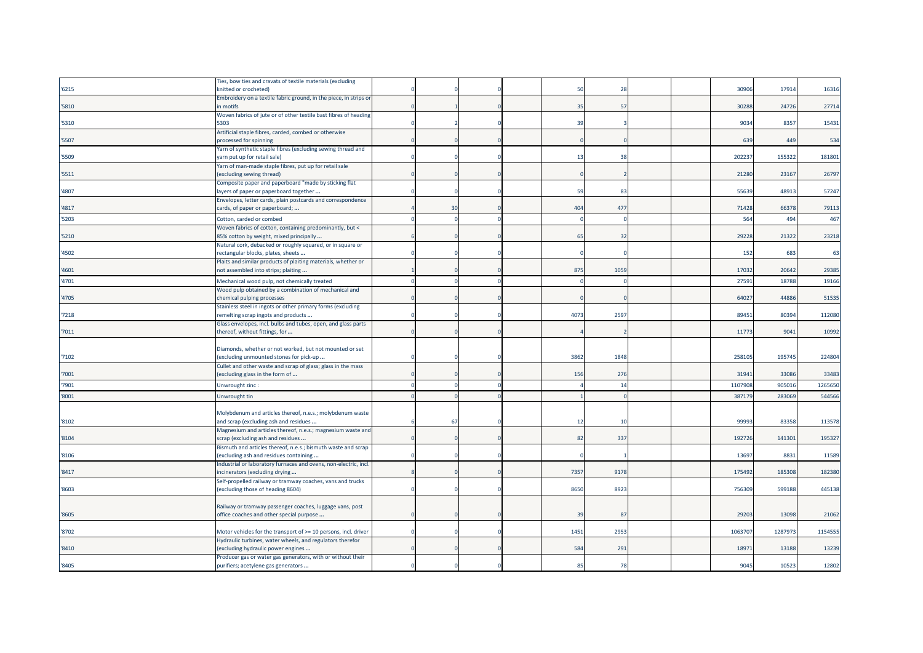|       | Fies, bow ties and cravats of textile materials (excluding        |                |  |              |            |  |                 |         |         |
|-------|-------------------------------------------------------------------|----------------|--|--------------|------------|--|-----------------|---------|---------|
| '6215 | knitted or crocheted)                                             |                |  | 51           | 28         |  | 30906           | 17914   | 16316   |
|       | Embroidery on a textile fabric ground, in the piece, in strips or |                |  |              |            |  |                 |         |         |
| '5810 | in motifs                                                         |                |  | 35           | 57         |  | 30288           | 24726   | 27714   |
|       | Woven fabrics of jute or of other textile bast fibres of heading  |                |  |              |            |  |                 |         |         |
| '5310 | 5303                                                              |                |  | 39           |            |  | 9034            | 8357    | 15431   |
|       | Artificial staple fibres, carded, combed or otherwise             |                |  |              |            |  |                 |         |         |
| '5507 | processed for spinning                                            |                |  |              |            |  | 63 <sup>9</sup> | 449     | 534     |
|       | Yarn of synthetic staple fibres (excluding sewing thread and      |                |  |              |            |  |                 |         |         |
| '5509 | varn put up for retail sale)                                      |                |  | $-13$        | 38         |  | 20223           | 155322  | 181801  |
|       | Yarn of man-made staple fibres, put up for retail sale            |                |  |              |            |  |                 |         |         |
| '5511 | (excluding sewing thread)                                         |                |  |              |            |  | 21280           | 23167   | 26797   |
|       | Composite paper and paperboard "made by sticking flat             |                |  |              |            |  |                 |         |         |
| '4807 | layers of paper or paperboard together                            |                |  | 59           | 83         |  | 55639           | 48913   | 57247   |
|       | Envelopes, letter cards, plain postcards and correspondence       |                |  |              |            |  |                 |         |         |
| '4817 | cards, of paper or paperboard;                                    | $\overline{3}$ |  | 404          | 477        |  | 71428           | 66378   | 79113   |
|       |                                                                   |                |  |              |            |  |                 |         |         |
| '5203 | Cotton, carded or combed                                          |                |  |              |            |  | 564             | 494     | 467     |
|       | Woven fabrics of cotton, containing predominantly, but <          |                |  |              |            |  |                 |         |         |
| '5210 | 85% cotton by weight, mixed principally                           |                |  | 65           | 32         |  | 29228           | 21322   | 23218   |
|       | Natural cork, debacked or roughly squared, or in square or        |                |  |              |            |  |                 |         |         |
| '4502 | rectangular blocks, plates, sheets                                |                |  |              |            |  | 152             | 683     | 63      |
|       | Plaits and similar products of plaiting materials, whether or     |                |  |              |            |  |                 |         |         |
| '4601 | not assembled into strips; plaiting                               |                |  | 875          | 1059       |  | 17032           | 20642   | 29385   |
| '4701 | Mechanical wood pulp, not chemically treated                      |                |  |              |            |  | 27591           | 18788   | 19166   |
|       | Wood pulp obtained by a combination of mechanical and             |                |  |              |            |  |                 |         |         |
| '4705 | chemical pulping processes                                        |                |  |              |            |  | 64027           | 44886   | 51535   |
|       | Stainless steel in ingots or other primary forms (excluding       |                |  |              |            |  |                 |         |         |
| '7218 | remelting scrap ingots and products                               |                |  | 4073         | 2597       |  | 8945            | 80394   | 112080  |
|       | Glass envelopes, incl. bulbs and tubes, open, and glass parts     |                |  |              |            |  |                 |         |         |
| '7011 | thereof, without fittings, for                                    |                |  |              |            |  | 11773           | 9041    | 10992   |
|       |                                                                   |                |  |              |            |  |                 |         |         |
|       | Diamonds, whether or not worked, but not mounted or set           |                |  |              |            |  |                 |         |         |
| '7102 | (excluding unmounted stones for pick-up                           |                |  | 3862         | 1848       |  | 25810           | 195745  | 224804  |
|       | Cullet and other waste and scrap of glass; glass in the mass      |                |  |              |            |  |                 |         |         |
| '7001 | (excluding glass in the form of                                   |                |  | 156          | 276        |  | 31941           | 33086   | 33483   |
|       |                                                                   |                |  |              |            |  |                 |         |         |
| '7901 | Unwrought zinc:                                                   |                |  |              | 14         |  | 110790          | 90501   | 1265650 |
| '8001 | Unwrought tin                                                     |                |  |              | $\sqrt{ }$ |  | 387179          | 283069  | 544566  |
|       |                                                                   |                |  |              |            |  |                 |         |         |
|       | Molybdenum and articles thereof, n.e.s.; molybdenum waste         |                |  |              |            |  |                 |         |         |
| '8102 | and scrap (excluding ash and residues                             | 67             |  | 12           | 10         |  | 9999            | 83358   | 113578  |
|       | Magnesium and articles thereof, n.e.s.; magnesium waste and       |                |  |              |            |  |                 |         |         |
| '8104 | scrap (excluding ash and residues                                 |                |  | 82           | 337        |  | 192726          | 141301  | 195327  |
|       | Bismuth and articles thereof, n.e.s.; bismuth waste and scrap     |                |  |              |            |  |                 |         |         |
| '8106 | (excluding ash and residues containing                            |                |  |              |            |  | 13697           | 8831    | 11589   |
|       | Industrial or laboratory furnaces and ovens, non-electric, incl.  |                |  |              |            |  |                 |         |         |
| '8417 | ncinerators (excluding drying                                     |                |  | 7357         | 9178       |  | 17549           | 185308  | 182380  |
|       | Self-propelled railway or tramway coaches, vans and trucks        |                |  |              |            |  |                 |         |         |
| '8603 | (excluding those of heading 8604)                                 |                |  | 8650         | 8923       |  | 756309          | 599188  | 445138  |
|       |                                                                   |                |  |              |            |  |                 |         |         |
|       | Railway or tramway passenger coaches, luggage vans, post          |                |  |              |            |  |                 |         |         |
| '8605 | office coaches and other special purpose                          |                |  | 39           | 87         |  | 29203           | 13098   | 21062   |
|       |                                                                   |                |  |              |            |  |                 |         |         |
| '8702 | Motor vehicles for the transport of >= 10 persons, incl. driver   |                |  | 1451         | 2953       |  | 1063707         | 1287973 | 1154555 |
|       | Hydraulic turbines, water wheels, and regulators therefor         |                |  |              |            |  |                 |         |         |
| '8410 | excluding hydraulic power engines                                 |                |  | 584          | 291        |  | 1897            | 13188   | 13239   |
|       | Producer gas or water gas generators, with or without their       |                |  |              |            |  |                 |         |         |
| '8405 | purifiers; acetylene gas generators                               |                |  | $\mathbf{R}$ | 78         |  | 9045            | 10523   | 12802   |
|       |                                                                   |                |  |              |            |  |                 |         |         |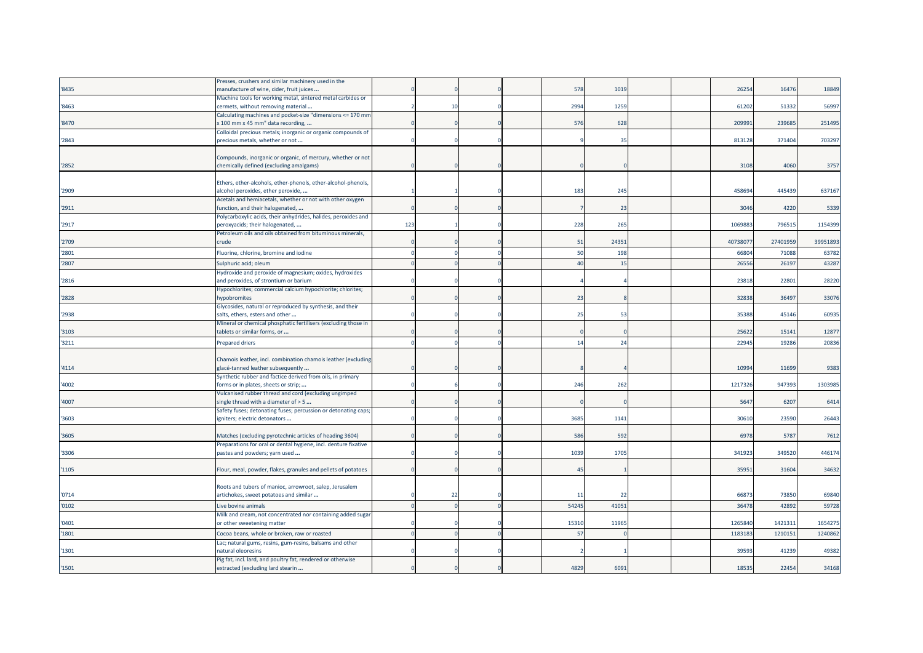|       | Presses, crushers and similar machinery used in the                                                                         |     |    |  |                |       |  |         |          |          |
|-------|-----------------------------------------------------------------------------------------------------------------------------|-----|----|--|----------------|-------|--|---------|----------|----------|
| '8435 | manufacture of wine, cider, fruit juices                                                                                    |     |    |  | 578            | 1019  |  | 26254   | 16476    | 18849    |
|       | Machine tools for working metal, sintered metal carbides or                                                                 |     |    |  |                |       |  |         |          |          |
| '8463 | cermets, without removing material                                                                                          |     | 10 |  | 2994           | 1259  |  | 61202   | 51332    | 56997    |
|       | Calculating machines and pocket-size "dimensions <= 170 mm                                                                  |     |    |  |                |       |  |         |          |          |
| '8470 | < 100 mm x 45 mm" data recording,                                                                                           |     |    |  | 576            | 628   |  | 20999   | 239685   | 251495   |
| '2843 | Colloidal precious metals; inorganic or organic compounds of<br>precious metals, whether or not                             |     |    |  |                | 35    |  | 813128  | 371404   | 703297   |
|       |                                                                                                                             |     |    |  |                |       |  |         |          |          |
|       | Compounds, inorganic or organic, of mercury, whether or not                                                                 |     |    |  |                |       |  |         |          |          |
| '2852 | chemically defined (excluding amalgams)                                                                                     |     |    |  |                |       |  | 3108    | 4060     | 3757     |
|       |                                                                                                                             |     |    |  |                |       |  |         |          |          |
|       | Ethers, ether-alcohols, ether-phenols, ether-alcohol-phenols,                                                               |     |    |  |                |       |  |         |          |          |
| '2909 | alcohol peroxides, ether peroxide,                                                                                          |     |    |  | 183            | 245   |  | 458694  | 445439   | 637167   |
| '2911 | Acetals and hemiacetals, whether or not with other oxygen                                                                   |     |    |  |                | 23    |  | 3046    | 4220     | 5339     |
|       | function, and their halogenated,<br>Polycarboxylic acids, their anhydrides, halides, peroxides and                          |     |    |  |                |       |  |         |          |          |
| '2917 | peroxyacids; their halogenated,                                                                                             | 123 |    |  | 228            | 265   |  | 106988  | 796515   | 1154399  |
|       | Petroleum oils and oils obtained from bituminous minerals,                                                                  |     |    |  |                |       |  |         |          |          |
| '2709 | crude                                                                                                                       |     |    |  | -5             | 2435  |  | 4073807 | 27401959 | 39951893 |
| '2801 | Fluorine, chlorine, bromine and iodine                                                                                      |     |    |  | 50             | 198   |  | 66804   | 71088    | 63782    |
| '2807 | Sulphuric acid; oleum                                                                                                       |     |    |  | 40             | 15    |  | 2655    | 26197    | 43287    |
|       | Hydroxide and peroxide of magnesium; oxides, hydroxides                                                                     |     |    |  |                |       |  |         |          |          |
| '2816 | and peroxides, of strontium or barium                                                                                       |     |    |  |                |       |  | 23818   | 22801    | 28220    |
|       | Hypochlorites; commercial calcium hypochlorite; chlorites;                                                                  |     |    |  |                |       |  |         |          |          |
| '2828 | hypobromites                                                                                                                |     |    |  | 23             |       |  | 32838   | 36497    | 33076    |
|       | Glycosides, natural or reproduced by synthesis, and their                                                                   |     |    |  |                |       |  |         |          |          |
| '2938 | salts, ethers, esters and other                                                                                             |     |    |  | 2 <sup>i</sup> | 53    |  | 35388   | 45146    | 60935    |
|       | Mineral or chemical phosphatic fertilisers (excluding those in                                                              |     |    |  |                |       |  |         |          |          |
| '3103 | tablets or similar forms, or                                                                                                |     |    |  |                |       |  | 25622   | 15141    | 12877    |
| '3211 | Prepared driers                                                                                                             |     |    |  | 14             | 24    |  | 22945   | 19286    | 20836    |
|       |                                                                                                                             |     |    |  |                |       |  |         |          |          |
| '4114 | Chamois leather, incl. combination chamois leather (excluding<br>glacé-tanned leather subsequently                          |     |    |  |                |       |  | 1099    | 11699    | 9383     |
|       | Synthetic rubber and factice derived from oils, in primary                                                                  |     |    |  |                |       |  |         |          |          |
| '4002 | forms or in plates, sheets or strip;                                                                                        |     |    |  | 246            | 262   |  | 1217326 | 947393   | 1303985  |
|       | Vulcanised rubber thread and cord (excluding ungimped                                                                       |     |    |  |                |       |  |         |          |          |
| '4007 | single thread with a diameter of > 5                                                                                        |     |    |  |                |       |  | 5647    | 6207     | 6414     |
|       | Safety fuses; detonating fuses; percussion or detonating caps;                                                              |     |    |  |                |       |  |         |          |          |
| '3603 | igniters; electric detonators                                                                                               |     |    |  | 3685           | 1141  |  | 30610   | 23590    | 26443    |
| '3605 |                                                                                                                             |     |    |  | 586            | 592   |  | 6978    | 5787     | 7612     |
|       | Matches (excluding pyrotechnic articles of heading 3604)<br>Preparations for oral or dental hygiene, incl. denture fixative |     |    |  |                |       |  |         |          |          |
| '3306 | pastes and powders; yarn used                                                                                               |     |    |  | 1039           | 1705  |  | 341923  | 349520   | 446174   |
|       |                                                                                                                             |     |    |  |                |       |  |         |          |          |
| '1105 | Flour, meal, powder, flakes, granules and pellets of potatoes                                                               |     |    |  | 45             |       |  | 35951   | 31604    | 34632    |
|       |                                                                                                                             |     |    |  |                |       |  |         |          |          |
|       | Roots and tubers of manioc, arrowroot, salep, Jerusalem                                                                     |     |    |  |                |       |  |         |          |          |
| '0714 | artichokes, sweet potatoes and similar                                                                                      |     | 22 |  | -11            | -22   |  | 6687    | 73850    | 69840    |
| '0102 | Live bovine animals                                                                                                         |     |    |  | 54245          | 4105  |  | 36478   | 42892    | 59728    |
|       | Milk and cream, not concentrated nor containing added sugar                                                                 |     |    |  |                |       |  |         |          |          |
| '0401 | or other sweetening matter                                                                                                  |     |    |  | 15310          | 11965 |  | 1265840 | 1421311  | 1654275  |
| '1801 | Cocoa beans, whole or broken, raw or roasted                                                                                |     |    |  | $\overline{5}$ |       |  | 118318  | 121015   | 1240862  |
|       | Lac; natural gums, resins, gum-resins, balsams and other                                                                    |     |    |  |                |       |  |         |          |          |
| '1301 | natural oleoresins                                                                                                          |     |    |  |                |       |  | 3959    | 41239    | 49382    |
| '1501 | Pig fat, incl. lard, and poultry fat, rendered or otherwise<br>extracted (excluding lard stearin                            |     |    |  | 4829           | 6091  |  | 18535   | 22454    | 34168    |
|       |                                                                                                                             |     |    |  |                |       |  |         |          |          |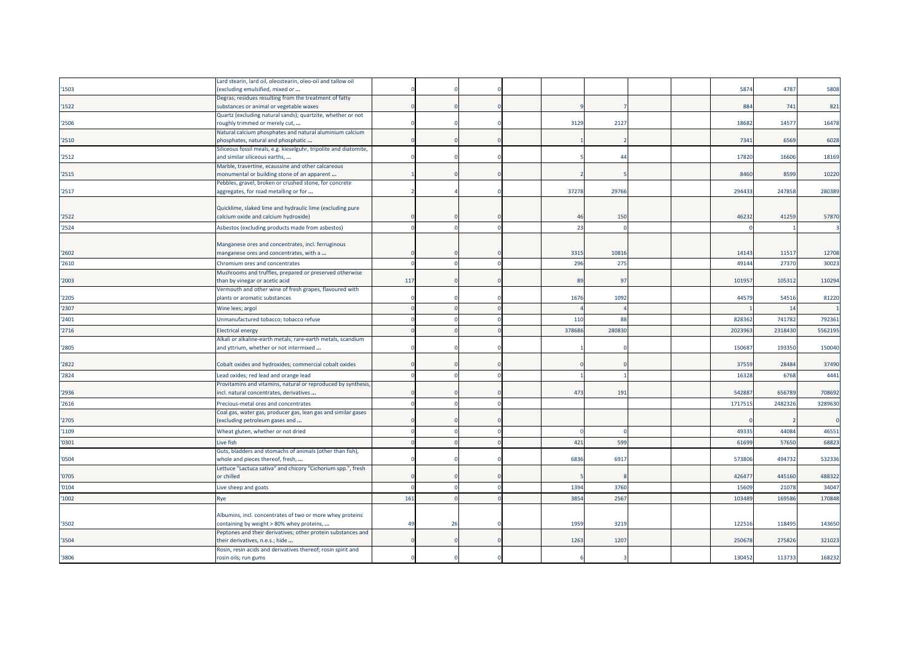|       | Lard stearin, lard oil, oleostearin, oleo-oil and tallow oil                                       |     |    |  |        |        |  |         |         |         |
|-------|----------------------------------------------------------------------------------------------------|-----|----|--|--------|--------|--|---------|---------|---------|
| '1503 | excluding emulsified, mixed or                                                                     |     |    |  |        |        |  | 587     | 4787    | 5808    |
|       | Degras; residues resulting from the treatment of fatty                                             |     |    |  |        |        |  |         |         |         |
| 1522  | substances or animal or vegetable waxes                                                            |     |    |  |        |        |  | 884     | 741     | 821     |
|       | Quartz (excluding natural sands); quartzite, whether or not                                        |     |    |  |        |        |  |         |         |         |
| '2506 | roughly trimmed or merely cut,                                                                     |     |    |  | 3129   | 2127   |  | 18682   | 14577   | 16478   |
|       | Natural calcium phosphates and natural aluminium calcium                                           |     |    |  |        |        |  |         |         |         |
| '2510 | phosphates, natural and phosphatic                                                                 |     |    |  |        |        |  | 7341    | 6569    | 6028    |
| '2512 | Siliceous fossil meals, e.g. kieselguhr, tripolite and diatomite,<br>and similar siliceous earths, |     |    |  |        | Δ.     |  | 1782    | 16606   | 18169   |
|       | Marble, travertine, ecaussine and other calcareous                                                 |     |    |  |        |        |  |         |         |         |
| '2515 | monumental or building stone of an apparent                                                        |     |    |  |        |        |  | 8460    | 8599    | 10220   |
|       | Pebbles, gravel, broken or crushed stone, for concrete                                             |     |    |  |        |        |  |         |         |         |
| '2517 | aggregates, for road metalling or for                                                              |     |    |  | 37278  | 29766  |  | 29443   | 247858  | 280389  |
|       |                                                                                                    |     |    |  |        |        |  |         |         |         |
|       | Quicklime, slaked lime and hydraulic lime (excluding pure                                          |     |    |  |        |        |  |         |         |         |
| '2522 | calcium oxide and calcium hydroxide)                                                               |     |    |  | 46     | 150    |  | 46232   | 41259   | 57870   |
| '2524 | Asbestos (excluding products made from asbestos)                                                   |     |    |  | 23     |        |  |         |         |         |
|       |                                                                                                    |     |    |  |        |        |  |         |         |         |
|       | Manganese ores and concentrates, incl. ferruginous                                                 |     |    |  |        |        |  |         |         |         |
| '2602 | manganese ores and concentrates, with a                                                            |     |    |  | 3315   | 10816  |  | 14143   | 11517   | 12708   |
| '2610 | Chromium ores and concentrates                                                                     |     |    |  | 296    | 275    |  | 4914    | 27370   | 30023   |
|       | Mushrooms and truffles, prepared or preserved otherwise                                            |     |    |  |        |        |  |         |         |         |
| '2003 | than by vinegar or acetic acid                                                                     | 117 |    |  | 89     | 97     |  | 10195   | 10531   | 110294  |
|       | Vermouth and other wine of fresh grapes, flavoured with                                            |     |    |  |        |        |  |         |         |         |
| '2205 | plants or aromatic substances                                                                      |     |    |  | 1676   | 1092   |  | 44579   | 54516   | 81220   |
| '2307 | Wine lees; argol                                                                                   |     |    |  |        |        |  |         | 14      |         |
| '2401 | Unmanufactured tobacco; tobacco refuse                                                             |     |    |  | 110    | 88     |  | 82836   | 741782  | 792361  |
| '2716 | Electrical energy                                                                                  |     |    |  | 378686 | 280830 |  | 2023963 | 2318430 | 5562195 |
|       | Alkali or alkaline-earth metals; rare-earth metals, scandium                                       |     |    |  |        |        |  |         |         |         |
| '2805 | and yttrium, whether or not intermixed                                                             |     |    |  |        |        |  | 15068   | 193350  | 150040  |
|       |                                                                                                    |     |    |  |        |        |  |         |         |         |
| '2822 | Cobalt oxides and hydroxides; commercial cobalt oxides                                             |     |    |  |        |        |  | 37559   | 28484   | 37490   |
| '2824 | Lead oxides; red lead and orange lead                                                              |     |    |  |        |        |  | 1632    | 6768    | 4441    |
|       | Provitamins and vitamins, natural or reproduced by synthesis,                                      |     |    |  |        |        |  |         |         |         |
| '2936 | incl. natural concentrates, derivatives                                                            |     |    |  | 473    | 191    |  | 54288   | 656789  | 708692  |
| '2616 | Precious-metal ores and concentrates                                                               |     |    |  |        |        |  | 171751  | 2482326 | 3289630 |
|       | Coal gas, water gas, producer gas, lean gas and similar gases                                      |     |    |  |        |        |  |         |         |         |
| '2705 | excluding petroleum gases and                                                                      |     |    |  |        |        |  |         |         |         |
| '1109 | Wheat gluten, whether or not dried                                                                 |     |    |  |        |        |  | 4933    | 44084   | 46551   |
| '0301 | Live fish                                                                                          |     |    |  | 421    | 599    |  | 61699   | 57650   | 68823   |
|       | Guts, bladders and stomachs of animals (other than fish),                                          |     |    |  |        |        |  |         |         |         |
| '0504 | whole and pieces thereof, fresh,                                                                   |     |    |  | 6836   | 6917   |  | 57380   | 494732  | 532336  |
|       | Lettuce "Lactuca sativa" and chicory "Cichorium spp.", fresh                                       |     |    |  |        |        |  |         |         |         |
| '0705 | or chilled                                                                                         |     |    |  |        |        |  | 42647   | 445160  | 488322  |
| '0104 | Live sheep and goats                                                                               |     |    |  | 1394   | 3760   |  | 1560    | 21078   | 34047   |
| '1002 |                                                                                                    | 161 |    |  | 3854   | 2567   |  | 103489  | 169586  | 170848  |
|       | Rye                                                                                                |     |    |  |        |        |  |         |         |         |
|       | Albumins, incl. concentrates of two or more whey proteins                                          |     |    |  |        |        |  |         |         |         |
| '3502 | containing by weight > 80% whey proteins,                                                          | 49  | 26 |  | 1959   | 3219   |  | 12251   | 118495  | 143650  |
|       | Peptones and their derivatives; other protein substances and                                       |     |    |  |        |        |  |         |         |         |
| '3504 | their derivatives, n.e.s.; hide                                                                    |     |    |  | 1263   | 1207   |  | 250678  | 275826  | 321023  |
|       | Rosin, resin acids and derivatives thereof; rosin spirit and                                       |     |    |  |        |        |  |         |         |         |
| '3806 | rosin oils; run gums                                                                               |     |    |  |        |        |  | 130452  | 113733  | 168232  |
|       |                                                                                                    |     |    |  |        |        |  |         |         |         |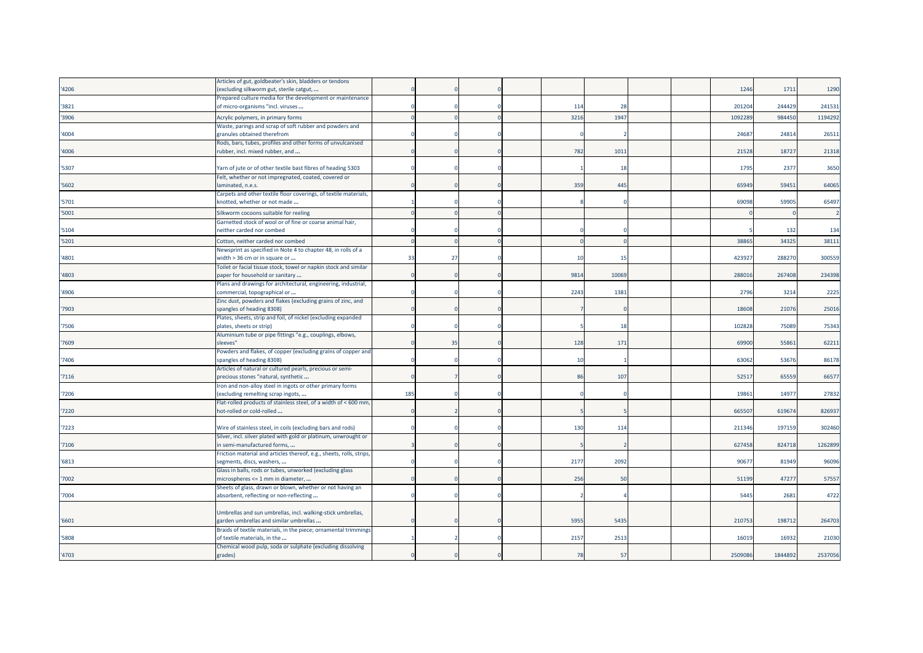|       | Articles of gut, goldbeater's skin, bladders or tendons                                         |     |    |  |                |       |  |         |         |         |
|-------|-------------------------------------------------------------------------------------------------|-----|----|--|----------------|-------|--|---------|---------|---------|
| '4206 | (excluding silkworm gut, sterile catgut,                                                        |     |    |  |                |       |  | 1246    | 1711    | 1290    |
|       | Prepared culture media for the development or maintenance                                       |     |    |  |                |       |  |         |         |         |
| '3821 | of micro-organisms "incl. viruses                                                               |     |    |  | 114            | 28    |  | 201204  | 244429  | 241531  |
| '3906 | Acrylic polymers, in primary forms                                                              |     |    |  | 3216           | 1947  |  | 109228  | 984450  | 1194292 |
|       | Waste, parings and scrap of soft rubber and powders and                                         |     |    |  |                |       |  |         |         |         |
| '4004 | granules obtained therefrom                                                                     |     |    |  |                |       |  | 24687   | 24814   | 26511   |
| '4006 | Rods, bars, tubes, profiles and other forms of unvulcanised<br>rubber, incl. mixed rubber, and  |     |    |  | 782            | 1011  |  | 21528   | 18727   | 21318   |
|       |                                                                                                 |     |    |  |                |       |  |         |         |         |
| '5307 | Yarn of jute or of other textile bast fibres of heading 5303                                    |     |    |  |                | 18    |  | 1795    | 2377    | 3650    |
|       | Felt, whether or not impregnated, coated, covered or                                            |     |    |  |                |       |  |         |         |         |
| '5602 | laminated, n.e.s.                                                                               |     |    |  | 359            | 445   |  | 65949   | 59451   | 64065   |
|       | Carpets and other textile floor coverings, of textile materials,                                |     |    |  |                |       |  |         |         |         |
| '5701 | «notted, whether or not made                                                                    |     |    |  |                |       |  | 69098   | 59905   | 65497   |
| '5001 | Silkworm cocoons suitable for reeling                                                           |     |    |  |                |       |  |         |         |         |
|       | Garnetted stock of wool or of fine or coarse animal hair,                                       |     |    |  |                |       |  |         |         |         |
| '5104 | neither carded nor combed                                                                       |     |    |  |                |       |  |         | 132     | 134     |
| '5201 | Cotton, neither carded nor combed                                                               |     |    |  |                |       |  | 3886    | 34325   | 38111   |
|       | Newsprint as specified in Note 4 to chapter 48, in rolls of a                                   |     |    |  |                |       |  |         |         |         |
| '4801 | width > 36 cm or in square or                                                                   | 33  | 27 |  | 10             | 15    |  | 42392   | 288270  | 300559  |
|       | Toilet or facial tissue stock, towel or napkin stock and similar                                |     |    |  |                |       |  |         |         |         |
| '4803 | paper for household or sanitary                                                                 |     |    |  | 9814           | 10069 |  | 288016  | 267408  | 234398  |
|       | Plans and drawings for architectural, engineering, industrial,                                  |     |    |  |                |       |  |         |         |         |
| '4906 | commercial, topographical or                                                                    |     |    |  | 2243           | 1381  |  | 2796    | 3214    | 2225    |
|       | Zinc dust, powders and flakes (excluding grains of zinc, and                                    |     |    |  |                |       |  |         |         |         |
| '7903 | spangles of heading 8308)                                                                       |     |    |  |                |       |  | 18608   | 21076   | 25016   |
| '7506 | Plates, sheets, strip and foil, of nickel (excluding expanded<br>plates, sheets or strip)       |     |    |  |                | 18    |  | 102828  | 75089   | 75343   |
|       | Aluminium tube or pipe fittings "e.g., couplings, elbows,                                       |     |    |  |                |       |  |         |         |         |
| '7609 | sleeves"                                                                                        |     | 35 |  | 128            | 171   |  | 69900   | 55861   | 62211   |
|       | Powders and flakes, of copper (excluding grains of copper and                                   |     |    |  |                |       |  |         |         |         |
| '7406 | spangles of heading 8308)                                                                       |     |    |  | $\overline{1}$ |       |  | 63062   | 53676   | 86178   |
|       | Articles of natural or cultured pearls, precious or semi-                                       |     |    |  |                |       |  |         |         |         |
| '7116 | precious stones "natural, synthetic                                                             |     |    |  | 86             | 107   |  | 5251    | 65559   | 66577   |
|       | Iron and non-alloy steel in ingots or other primary forms                                       |     |    |  |                |       |  |         |         |         |
| '7206 | excluding remelting scrap ingots,                                                               | 185 |    |  |                |       |  | 19861   | 14977   | 27832   |
|       | Flat-rolled products of stainless steel, of a width of < 600 mm,                                |     |    |  |                |       |  |         |         |         |
| '7220 | hot-rolled or cold-rolled                                                                       |     |    |  |                |       |  | 66550   | 619674  | 826937  |
| 7223  | Wire of stainless steel, in coils (excluding bars and rods)                                     |     |    |  | 130            | 114   |  | 211346  | 197159  | 302460  |
|       | Silver, incl. silver plated with gold or platinum, unwrought or                                 |     |    |  |                |       |  |         |         |         |
| '7106 | n semi-manufactured forms,                                                                      |     |    |  |                |       |  | 627458  | 824718  | 1262899 |
|       | Friction material and articles thereof, e.g., sheets, rolls, strips                             |     |    |  |                |       |  |         |         |         |
| '6813 | segments, discs, washers,                                                                       |     |    |  | 2177           | 2092  |  | 9067    | 81949   | 96096   |
|       | Glass in balls, rods or tubes, unworked (excluding glass                                        |     |    |  |                |       |  |         |         |         |
| '7002 | microspheres <= 1 mm in diameter,                                                               |     |    |  | 256            | 50    |  | 51199   | 47277   | 57557   |
|       | Sheets of glass, drawn or blown, whether or not having an                                       |     |    |  |                |       |  |         |         |         |
| '7004 | absorbent, reflecting or non-reflecting                                                         |     |    |  |                |       |  | 5445    | 2681    | 4722    |
|       |                                                                                                 |     |    |  |                |       |  |         |         |         |
|       | Umbrellas and sun umbrellas, incl. walking-stick umbrellas,                                     |     |    |  |                |       |  |         |         |         |
| '6601 | garden umbrellas and similar umbrellas                                                          |     |    |  | 5955           | 5435  |  | 210753  | 198712  | 264703  |
| '5808 | Braids of textile materials, in the piece; ornamental trimmings<br>of textile materials, in the |     |    |  | 2157           | 2513  |  | 16019   | 16932   | 21030   |
|       | Chemical wood pulp, soda or sulphate (excluding dissolving                                      |     |    |  |                |       |  |         |         |         |
| '4703 | grades)                                                                                         |     |    |  | 78             | 57    |  | 2509086 | 1844892 | 2537056 |
|       |                                                                                                 |     |    |  |                |       |  |         |         |         |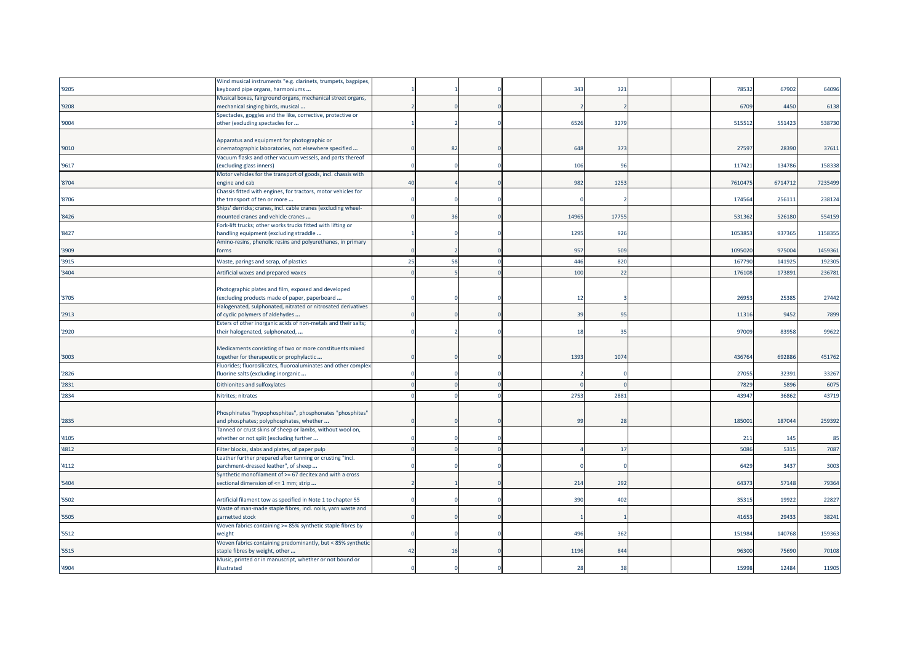|       | Wind musical instruments "e.g. clarinets, trumpets, bagpipes,  |    |    |  |       |       |  |         |         |         |
|-------|----------------------------------------------------------------|----|----|--|-------|-------|--|---------|---------|---------|
| '9205 | «eyboard pipe organs, harmoniums                               |    |    |  | 343   | 321   |  | 78532   | 67902   | 64096   |
|       | Musical boxes, fairground organs, mechanical street organs,    |    |    |  |       |       |  |         |         |         |
| '9208 | mechanical singing birds, musical                              |    |    |  |       |       |  | 6709    | 4450    | 6138    |
|       | Spectacles, goggles and the like, corrective, protective or    |    |    |  |       |       |  |         |         |         |
| '9004 | other (excluding spectacles for                                |    |    |  | 6526  | 3279  |  | 51551   | 551423  | 538730  |
|       |                                                                |    |    |  |       |       |  |         |         |         |
|       | Apparatus and equipment for photographic or                    |    |    |  |       |       |  |         |         |         |
| '9010 | cinematographic laboratories, not elsewhere specified          |    | 82 |  | 648   | 373   |  | 27597   | 28390   | 37611   |
|       | Vacuum flasks and other vacuum vessels, and parts thereof      |    |    |  |       |       |  |         |         |         |
| '9617 | excluding glass inners)                                        |    |    |  | 106   | 96    |  | 11742   | 134786  | 158338  |
|       | Motor vehicles for the transport of goods, incl. chassis with  |    |    |  |       |       |  |         |         |         |
| '8704 | ingine and cab                                                 | 40 |    |  | 982   | 1253  |  | 761047  | 6714712 | 7235499 |
|       | Chassis fitted with engines, for tractors, motor vehicles for  |    |    |  |       |       |  |         |         |         |
| '8706 | the transport of ten or more                                   |    |    |  |       |       |  | 17456   | 256111  | 238124  |
|       | Ships' derricks; cranes, incl. cable cranes (excluding wheel-  |    |    |  |       |       |  |         |         |         |
| '8426 | mounted cranes and vehicle cranes                              |    | 36 |  | 14965 | 17755 |  | 531362  | 526180  | 554159  |
|       | Fork-lift trucks; other works trucks fitted with lifting or    |    |    |  |       |       |  |         |         |         |
| '8427 | handling equipment (excluding straddle                         |    |    |  | 1295  | 926   |  | 1053853 | 937365  | 1158355 |
|       | Amino-resins, phenolic resins and polyurethanes, in primary    |    |    |  |       |       |  |         |         |         |
| '3909 | forms                                                          |    |    |  | 957   | 509   |  | 1095020 | 975004  | 1459361 |
| '3915 | Waste, parings and scrap, of plastics                          | 25 | 58 |  | 446   | 820   |  | 16779   | 14192   | 192305  |
| '3404 | Artificial waxes and prepared waxes                            |    |    |  | 100   | 22    |  | 17610   | 17389   | 236781  |
|       |                                                                |    |    |  |       |       |  |         |         |         |
|       | Photographic plates and film, exposed and developed            |    |    |  |       |       |  |         |         |         |
| '3705 | (excluding products made of paper, paperboard                  |    |    |  | 12    |       |  | 26953   | 25385   | 27442   |
|       |                                                                |    |    |  |       |       |  |         |         |         |
|       | Halogenated, sulphonated, nitrated or nitrosated derivatives   |    |    |  |       |       |  |         |         |         |
| '2913 | of cyclic polymers of aldehydes                                |    |    |  | 39    | 95    |  | 1131    | 9452    | 7899    |
|       | Esters of other inorganic acids of non-metals and their salts; |    |    |  | 18    | 35    |  | 97009   | 83958   |         |
| '2920 | their halogenated, sulphonated,                                |    |    |  |       |       |  |         |         | 99622   |
|       |                                                                |    |    |  |       |       |  |         |         |         |
|       | Medicaments consisting of two or more constituents mixed       |    |    |  |       |       |  |         |         |         |
| '3003 | together for therapeutic or prophylactic                       |    |    |  | 1393  | 1074  |  | 436764  | 692886  | 451762  |
|       | Fluorides; fluorosilicates, fluoroaluminates and other complex |    |    |  |       |       |  |         |         |         |
| '2826 | fluorine salts (excluding inorganic                            |    |    |  |       |       |  | 27055   | 32391   | 33267   |
| '2831 | Dithionites and sulfoxylates                                   |    |    |  |       |       |  | 7829    | 5896    | 6075    |
| '2834 | Nitrites; nitrates                                             |    |    |  | 2753  | 2881  |  | 4394    | 36862   | 43719   |
|       |                                                                |    |    |  |       |       |  |         |         |         |
|       | Phosphinates "hypophosphites", phosphonates "phosphites"       |    |    |  |       |       |  |         |         |         |
| '2835 | and phosphates; polyphosphates, whether                        |    |    |  | 99    | 28    |  | 18500   | 187044  | 259392  |
|       | Tanned or crust skins of sheep or lambs, without wool on,      |    |    |  |       |       |  |         |         |         |
| '4105 | whether or not split (excluding further                        |    |    |  |       |       |  | 211     | 145     | 85      |
| '4812 | Filter blocks, slabs and plates, of paper pulp                 |    |    |  |       | 17    |  | 5086    | 5315    | 7087    |
|       |                                                                |    |    |  |       |       |  |         |         |         |
|       | Leather further prepared after tanning or crusting "incl.      |    |    |  |       |       |  | 6429    |         |         |
| '4112 | parchment-dressed leather", of sheep                           |    |    |  |       |       |  |         | 3437    | 3003    |
|       | Synthetic monofilament of >= 67 decitex and with a cross       |    |    |  | 214   | 292   |  | 64373   | 57148   | 79364   |
| '5404 | sectional dimension of <= 1 mm; strip                          |    |    |  |       |       |  |         |         |         |
|       |                                                                |    |    |  |       |       |  |         |         |         |
| '5502 | Artificial filament tow as specified in Note 1 to chapter 55   |    |    |  | 390   | 402   |  | 3531    | 19922   | 22827   |
|       | Waste of man-made staple fibres, incl. noils, yarn waste and   |    |    |  |       |       |  |         |         |         |
| '5505 | garnetted stock                                                |    |    |  |       |       |  | 41653   | 29433   | 38241   |
|       | Woven fabrics containing >= 85% synthetic staple fibres by     |    |    |  |       |       |  |         |         |         |
| '5512 | weight                                                         |    |    |  | 496   | 362   |  | 151984  | 140768  | 159363  |
|       | Woven fabrics containing predominantly, but < 85% synthetic    |    |    |  |       |       |  |         |         |         |
| '5515 | staple fibres by weight, other                                 | 42 | 16 |  | 1196  | 844   |  | 96300   | 75690   | 70108   |
|       | Music, printed or in manuscript, whether or not bound or       |    |    |  |       |       |  |         |         |         |
| '4904 | illustrated                                                    |    |    |  | 28    | 38    |  | 15998   | 12484   | 11905   |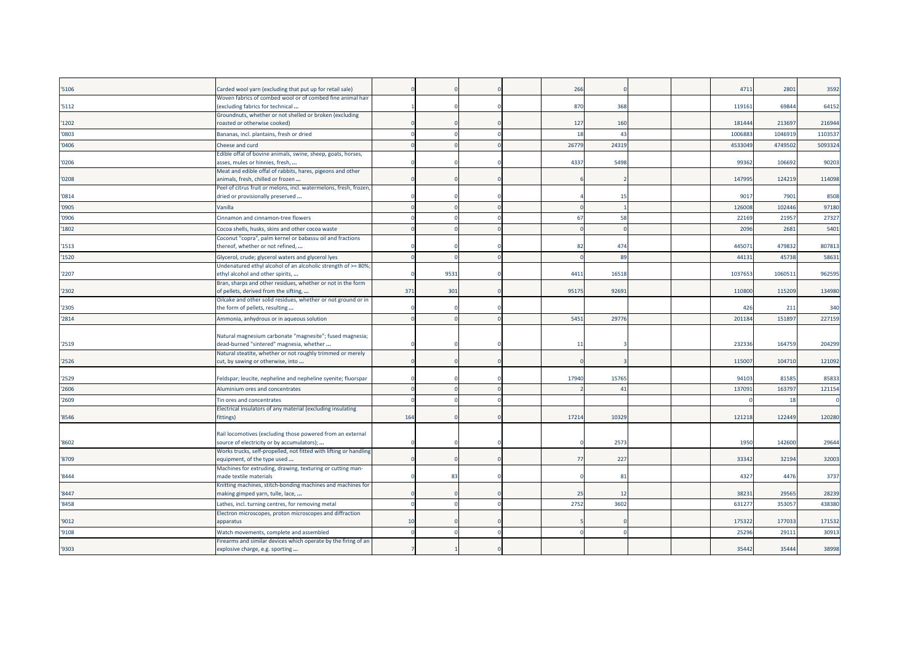| '5106 | Carded wool yarn (excluding that put up for retail sale)                                             |     |      |  | 266          |       |  | 4711   | 2801    | 3592    |
|-------|------------------------------------------------------------------------------------------------------|-----|------|--|--------------|-------|--|--------|---------|---------|
|       | Woven fabrics of combed wool or of combed fine animal hair                                           |     |      |  |              |       |  |        |         |         |
| '5112 | (excluding fabrics for technical<br>Groundnuts, whether or not shelled or broken (excluding          |     |      |  | 870          | 368   |  | 11916: | 69844   | 64152   |
| '1202 | roasted or otherwise cooked)                                                                         |     |      |  | 127          | 160   |  | 181444 | 213697  | 216944  |
| '0803 | Bananas, incl. plantains, fresh or dried                                                             |     |      |  | 18           | 43    |  | 100688 | 1046919 | 110353  |
| '0406 | Cheese and curd                                                                                      |     |      |  | 26779        | 2431  |  | 453304 | 474950  | 5093324 |
|       | Edible offal of bovine animals, swine, sheep, goats, horses,                                         |     |      |  |              |       |  |        |         |         |
| '0206 | asses, mules or hinnies, fresh,                                                                      |     |      |  | 4337         | 5498  |  | 9936   | 106692  | 90203   |
|       | Meat and edible offal of rabbits, hares, pigeons and other                                           |     |      |  |              |       |  |        |         |         |
| '0208 | animals, fresh, chilled or frozen                                                                    |     |      |  |              |       |  | 147995 | 124219  | 114098  |
|       | Peel of citrus fruit or melons, incl. watermelons, fresh, frozen,                                    |     |      |  |              | 15    |  |        |         |         |
| '0814 | dried or provisionally preserved                                                                     |     |      |  |              |       |  | 9017   | 7901    | 8508    |
| '0905 | Vanilla                                                                                              |     |      |  |              |       |  | 12600  | 102446  | 97180   |
| '0906 | Cinnamon and cinnamon-tree flowers                                                                   |     |      |  | 67           | 58    |  | 22169  | 2195    | 27327   |
| '1802 | Cocoa shells, husks, skins and other cocoa waste                                                     |     |      |  |              |       |  | 209    | 2681    | 5401    |
| '1513 | Coconut "copra", palm kernel or babassu oil and fractions<br>thereof, whether or not refined,        |     |      |  | 82           | 474   |  | 44507  | 479832  | 807813  |
|       |                                                                                                      |     |      |  |              |       |  |        |         |         |
| '1520 | Glycerol, crude; glycerol waters and glycerol lyes                                                   |     |      |  |              | 89    |  | 4413   | 45738   | 58631   |
| '2207 | Undenatured ethyl alcohol of an alcoholic strength of >= 80%;<br>ethyl alcohol and other spirits,    |     | 9531 |  | 4411         | 1651  |  | 103765 | 106051  | 962595  |
|       | Bran, sharps and other residues, whether or not in the form                                          |     |      |  |              |       |  |        |         |         |
| '2302 | of pellets, derived from the sifting,                                                                | 371 | 301  |  | 95175        | 92691 |  | 110800 | 115209  | 134980  |
|       | Oilcake and other solid residues, whether or not ground or in                                        |     |      |  |              |       |  |        |         |         |
| '2305 | the form of pellets, resulting                                                                       |     |      |  |              |       |  | 426    | 211     | 340     |
| '2814 | Ammonia, anhydrous or in aqueous solution                                                            |     |      |  | 5451         | 2977  |  | 201184 | 151897  | 227159  |
|       |                                                                                                      |     |      |  |              |       |  |        |         |         |
| '2519 | Natural magnesium carbonate "magnesite"; fused magnesia;<br>dead-burned "sintered" magnesia, whether |     |      |  | $\mathbf{1}$ |       |  | 23233  | 164759  | 204299  |
|       | Natural steatite, whether or not roughly trimmed or merely                                           |     |      |  |              |       |  |        |         |         |
| '2526 | cut, by sawing or otherwise, into                                                                    |     |      |  |              |       |  | 115007 | 104710  | 121092  |
|       |                                                                                                      |     |      |  |              |       |  |        |         |         |
| '2529 | Feldspar; leucite, nepheline and nepheline syenite; fluorspar                                        |     |      |  | 17940        | 1576  |  | 94103  | 81585   | 85833   |
| '2606 | Aluminium ores and concentrates                                                                      |     |      |  |              | 41    |  |        | 163797  | 121154  |
| '2609 | Tin ores and concentrates                                                                            |     |      |  |              |       |  | 13709  |         |         |
|       |                                                                                                      |     |      |  |              |       |  |        | 18      |         |
|       | Electrical insulators of any material (excluding insulating                                          |     |      |  |              |       |  |        |         |         |
| '8546 | fittings)                                                                                            | 164 |      |  | 17214        | 1032  |  | 12121  | 122449  | 120280  |
|       | Rail locomotives (excluding those powered from an external                                           |     |      |  |              |       |  |        |         |         |
| '8602 | source of electricity or by accumulators);                                                           |     |      |  |              | 257   |  | 1950   | 142600  | 29644   |
|       | Works trucks, self-propelled, not fitted with lifting or handling                                    |     |      |  |              |       |  |        |         |         |
| '8709 | equipment, of the type used                                                                          |     |      |  | -77          | 227   |  | 33342  | 32194   | 32003   |
|       | Machines for extruding, drawing, texturing or cutting man-                                           |     |      |  |              |       |  |        |         |         |
| '8444 | made textile materials                                                                               |     | -83  |  |              | 81    |  | 4327   | 4476    | 3737    |
| '8447 | Knitting machines, stitch-bonding machines and machines for<br>making gimped yarn, tulle, lace,      |     |      |  | 25           | 12    |  | 38231  | 29565   | 28239   |
| '8458 | Lathes, incl. turning centres, for removing metal                                                    |     |      |  | 2752         | 3602  |  | 63127  | 35305   | 438380  |
|       | Electron microscopes, proton microscopes and diffraction                                             |     |      |  |              |       |  |        |         |         |
| '9012 | apparatus                                                                                            | 10  |      |  |              |       |  | 175322 | 177033  | 171532  |
| '9108 | Watch movements, complete and assembled                                                              |     |      |  |              |       |  | 2529   | 2911:   | 30913   |
| '9303 | Firearms and similar devices which operate by the firing of an<br>explosive charge, e.g. sporting    |     |      |  |              |       |  | 35442  | 35444   | 38998   |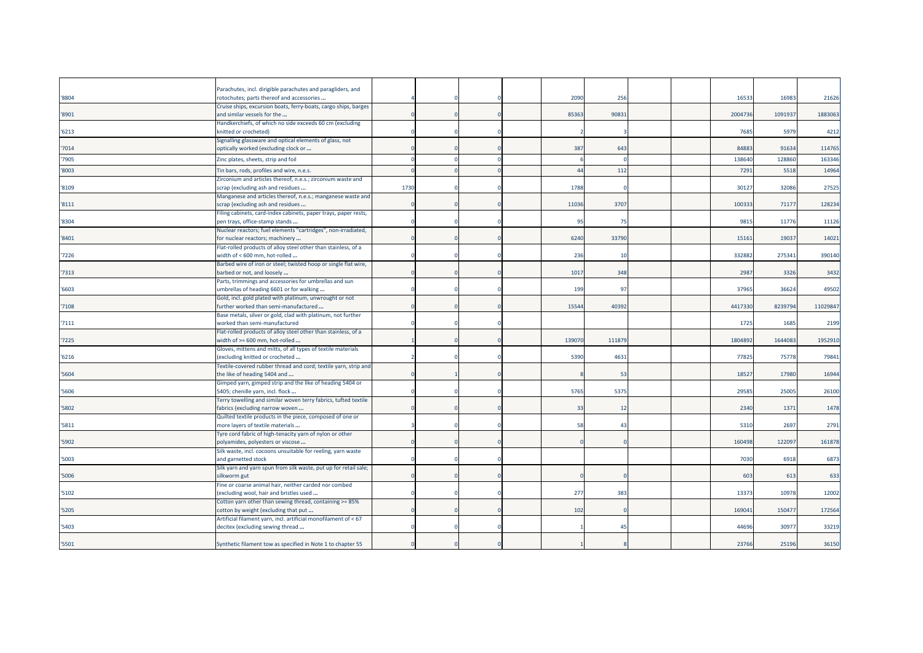|       | Parachutes, incl. dirigible parachutes and paragliders, and                                         |      |  |        |                 |  |        |         |         |
|-------|-----------------------------------------------------------------------------------------------------|------|--|--------|-----------------|--|--------|---------|---------|
| '8804 | rotochutes; parts thereof and accessories                                                           |      |  | 2090   | 25 <sub>0</sub> |  | 1653   | 16983   | 2162    |
| '8901 | Cruise ships, excursion boats, ferry-boats, cargo ships, barges<br>and similar vessels for the      |      |  | 85363  | 9083            |  | 200473 | 109193  | 1883063 |
| '6213 | Handkerchiefs, of which no side exceeds 60 cm (excluding<br>knitted or crocheted)                   |      |  |        |                 |  | 7685   | 5979    | 4212    |
| '7014 | Signalling glassware and optical elements of glass, not<br>optically worked (excluding clock or     |      |  | 387    | 643             |  | 84883  | 91634   | 114765  |
| '7905 | Zinc plates, sheets, strip and foil                                                                 |      |  |        |                 |  | 13864  | 128860  | 163346  |
| '8003 | Tin bars, rods, profiles and wire, n.e.s.                                                           |      |  | 44     | 112             |  | 7291   | 5518    | 14964   |
| '8109 | Zirconium and articles thereof, n.e.s.; zirconium waste and<br>scrap (excluding ash and residues    | 1730 |  | 1788   |                 |  | 3012   | 32086   | 27525   |
| '8111 | Manganese and articles thereof, n.e.s.; manganese waste and<br>scrap (excluding ash and residues    |      |  | 11036  | 370             |  | 10033  | 7117    | 128234  |
| '8304 | Filing cabinets, card-index cabinets, paper trays, paper rests,<br>pen trays, office-stamp stands   |      |  | -95    | 75              |  | 981    | 11776   | 11126   |
| '8401 | Nuclear reactors; fuel elements "cartridges", non-irradiated,<br>for nuclear reactors; machinery    |      |  | 6240   | 3379            |  | 15161  | 19037   | 14021   |
| '7226 | Flat-rolled products of alloy steel other than stainless, of a<br>width of < 600 mm, hot-rolled     |      |  | 236    | 10              |  | 33288  | 27534   | 390140  |
| 7313  | Barbed wire of iron or steel; twisted hoop or single flat wire,<br>barbed or not, and loosely       |      |  | 1017   | 348             |  | 2987   | 3326    | 3432    |
| '6603 | Parts, trimmings and accessories for umbrellas and sun<br>umbrellas of heading 6601 or for walking  |      |  | 199    | 97              |  | 37965  | 36624   | 49502   |
| '7108 | Gold, incl. gold plated with platinum, unwrought or not<br>further worked than semi-manufactured    |      |  | 15544  | 4039            |  | 441733 | 8239794 | 1102984 |
| '7111 | Base metals, silver or gold, clad with platinum, not further<br>worked than semi-manufactured       |      |  |        |                 |  | 1725   | 1685    | 2199    |
| '7225 | Flat-rolled products of alloy steel other than stainless, of a<br>width of >= 600 mm, hot-rolled    |      |  | 139070 | 11187           |  | 180489 | 164408  | 1952910 |
| '6216 | Gloves, mittens and mitts, of all types of textile materials<br>(excluding knitted or crocheted     |      |  | 5390   | 463             |  | 77825  | 75778   | 79841   |
| '5604 | Textile-covered rubber thread and cord; textile yarn, strip and<br>the like of heading 5404 and     |      |  |        | 53              |  | 1852   | 17980   | 16944   |
| '5606 | Gimped yarn, gimped strip and the like of heading 5404 or<br>5405; chenille yarn, incl. flock       |      |  | 5765   | 5375            |  | 2958   | 25005   | 26100   |
| '5802 | Terry towelling and similar woven terry fabrics, tufted textile<br>fabrics (excluding narrow woven  |      |  | 33     | 12              |  | 2340   | 1371    | 1478    |
| '5811 | Quilted textile products in the piece, composed of one or<br>more layers of textile materials       |      |  | 58     | 43              |  | 5310   | 2697    | 2791    |
| '5902 | Tyre cord fabric of high-tenacity yarn of nylon or other<br>polyamides, polyesters or viscose       |      |  |        |                 |  | 160498 | 122097  | 161878  |
| '5003 | Silk waste, incl. cocoons unsuitable for reeling, yarn waste<br>and garnetted stock                 |      |  |        |                 |  | 7030   | 6918    | 6873    |
| '5006 | Silk yarn and yarn spun from silk waste, put up for retail sale;<br>silkworm gut                    |      |  |        |                 |  | 603    | 613     | 633     |
| '5102 | Fine or coarse animal hair, neither carded nor combed<br>(excluding wool, hair and bristles used    |      |  | 277    | 383             |  | 1337   | 10978   | 12002   |
| '5205 | Cotton yarn other than sewing thread, containing >= 85%<br>cotton by weight (excluding that put     |      |  | 102    |                 |  | 169041 | 150477  | 172564  |
| '5403 | Artificial filament yarn, incl. artificial monofilament of < 67<br>decitex (excluding sewing thread |      |  |        | 45              |  | 4469   | 30977   | 33219   |
| '5501 | Synthetic filament tow as specified in Note 1 to chapter 55                                         |      |  |        |                 |  | 23766  | 25196   | 36150   |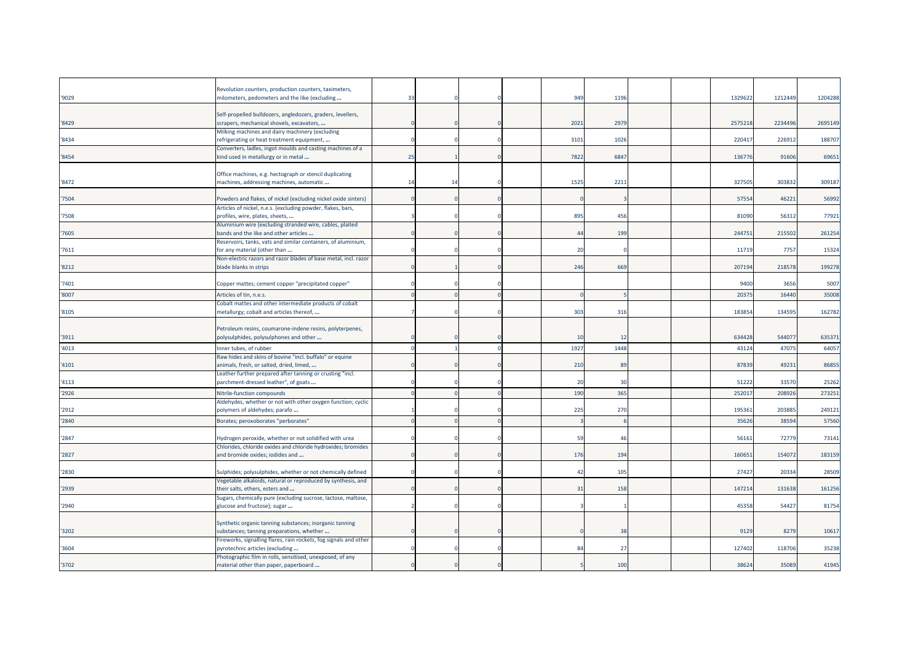| '9029 | Revolution counters, production counters, taximeters,<br>milometers, pedometers and the like (excluding                                                    | 33 |    |  | 949            | 1196 |  | 1329622 | 1212449 | 1204288 |
|-------|------------------------------------------------------------------------------------------------------------------------------------------------------------|----|----|--|----------------|------|--|---------|---------|---------|
| 8429  | Self-propelled bulldozers, angledozers, graders, levellers,<br>scrapers, mechanical shovels, excavators,                                                   |    |    |  | 2021           | 2979 |  | 2575218 | 2234496 | 2695149 |
| 8434  | Milking machines and dairy machinery (excluding<br>refrigerating or heat treatment equipment,                                                              |    |    |  | 3101           | 1026 |  | 220417  | 22691   | 188707  |
| '8454 | Converters, ladles, ingot moulds and casting machines of a<br>kind used in metallurgy or in metal                                                          | 25 |    |  | 7822           | 6847 |  | 136776  | 91606   | 69651   |
| 8472  | Office machines, e.g. hectograph or stencil duplicating<br>machines, addressing machines, automatic                                                        | 14 | 14 |  | 1525           | 2211 |  | 327505  | 303832  | 309187  |
| 7504  | Powders and flakes, of nickel (excluding nickel oxide sinters)                                                                                             |    |    |  |                |      |  | 57554   | 46221   | 56992   |
| 7508  | Articles of nickel, n.e.s. (excluding powder, flakes, bars,<br>profiles, wire, plates, sheets,<br>Aluminium wire (excluding stranded wire, cables, plaited |    |    |  | 895            | 456  |  | 81090   | 56312   | 77921   |
| 7605  | bands and the like and other articles                                                                                                                      |    |    |  | 44             | 199  |  | 244751  | 215502  | 261254  |
| 7611  | Reservoirs, tanks, vats and similar containers, of aluminium,<br>for any material (other than                                                              |    |    |  | 2 <sup>c</sup> |      |  | 11719   | 7757    | 15324   |
| '8212 | Non-electric razors and razor blades of base metal, incl. razor<br>blade blanks in strips                                                                  |    |    |  | 246            | 669  |  | 207194  | 218578  | 199278  |
| 7401  | Copper mattes; cement copper "precipitated copper"                                                                                                         |    |    |  |                |      |  | 9400    | 3656    | 5007    |
| '8007 | Articles of tin, n.e.s.                                                                                                                                    |    |    |  |                |      |  | 20375   | 1644    | 35008   |
| '8105 | Cobalt mattes and other intermediate products of cobalt<br>metallurgy; cobalt and articles thereof,                                                        |    |    |  | 303            | 316  |  | 183854  | 13459   | 162782  |
| 3911  | Petroleum resins, coumarone-indene resins, polyterpenes,<br>polysulphides, polysulphones and other                                                         |    |    |  | 10             | 12   |  | 634428  | 544077  | 635371  |
| 4013  | Inner tubes, of rubber                                                                                                                                     |    |    |  | 1927           | 1448 |  | 43124   | 47075   | 64057   |
| '4101 | Raw hides and skins of bovine "incl. buffalo" or equine<br>animals, fresh, or salted, dried, limed,                                                        |    |    |  | 210            | 89   |  | 87839   | 49231   | 86855   |
| '4113 | Leather further prepared after tanning or crusting "incl.<br>parchment-dressed leather", of goats                                                          |    |    |  | 20             | 30   |  | 51222   | 33570   | 25262   |
| '2926 | Nitrile-function compounds                                                                                                                                 |    |    |  | 190            | 365  |  | 25201   | 208926  | 273251  |
| 2912  | Aldehydes, whether or not with other oxygen function; cyclic<br>polymers of aldehydes; parafo                                                              |    |    |  | 225            | 270  |  | 195361  | 203885  | 249121  |
| '2840 | Borates; peroxoborates "perborates"                                                                                                                        |    |    |  |                |      |  | 35626   | 38594   | 57560   |
| 2847  | Hydrogen peroxide, whether or not solidified with urea                                                                                                     |    |    |  | - 59           | 46   |  | 56161   | 72779   | 73141   |
| '2827 | Chlorides, chloride oxides and chloride hydroxides; bromides<br>and bromide oxides; iodides and                                                            |    |    |  | 176            | 194  |  | 160651  | 154072  | 183159  |
| '2830 | Sulphides; polysulphides, whether or not chemically defined                                                                                                |    |    |  | 42             | 105  |  | 27427   | 20334   | 28509   |
| '2939 | Vegetable alkaloids, natural or reproduced by synthesis, and<br>their salts, ethers, esters and                                                            |    |    |  | 31             | 158  |  | 147214  | 131638  | 161256  |
| '2940 | Sugars, chemically pure (excluding sucrose, lactose, maltose,<br>glucose and fructose); sugar                                                              |    |    |  |                |      |  | 45358   | 54427   | 81754   |
| '3202 | Synthetic organic tanning substances; inorganic tanning<br>substances; tanning preparations, whether                                                       |    |    |  |                | 38   |  | 9129    | 8279    | 10617   |
| '3604 | Fireworks, signalling flares, rain rockets, fog signals and other<br>pyrotechnic articles (excluding                                                       |    |    |  | 84             | 27   |  | 127402  | 118706  | 35238   |
| '3702 | Photographic film in rolls, sensitised, unexposed, of any<br>material other than paper, paperboard                                                         |    |    |  |                | 100  |  | 38624   | 35089   | 41945   |